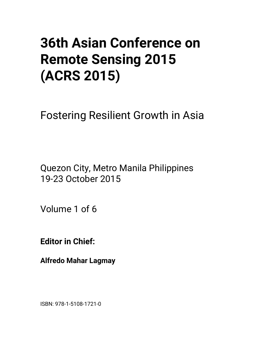# **36th Asian Conference on Remote Sensing 2015 (ACRS 2015)**

Fostering Resilient Growth in Asia

Quezon City, Metro Manila Philippines 19-23 October 2015

Volume 1 of 6

**Editor in Chief:** 

**Alfredo Mahar Lagmay** 

ISBN: 978-1-5108-1721-0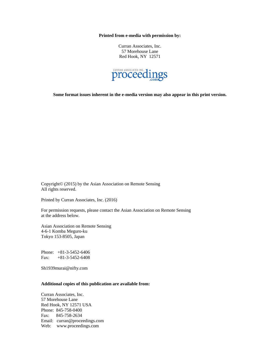**Printed from e-media with permission by:** 

Curran Associates, Inc. 57 Morehouse Lane Red Hook, NY 12571



**Some format issues inherent in the e-media version may also appear in this print version.** 

Copyright© (2015) by the Asian Association on Remote Sensing All rights reserved.

Printed by Curran Associates, Inc. (2016)

For permission requests, please contact the Asian Association on Remote Sensing at the address below.

Asian Association on Remote Sensing 4-6-1 Komba Meguro-ku Tokyo 153-8505, Japan

Phone: +81-3-5452-6406 Fax: +81-3-5452-6408

Sh1939murai@nifty.com

# **Additional copies of this publication are available from:**

Curran Associates, Inc. 57 Morehouse Lane Red Hook, NY 12571 USA Phone: 845-758-0400 Fax: 845-758-2634 Email: curran@proceedings.com Web: www.proceedings.com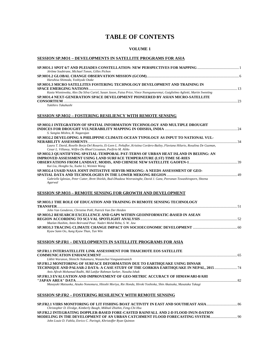# **TABLE OF CONTENTS**

#### **VOLUME 1**

#### **SESSION SP.MO1 – DEVELOPMENTS IN SATELLITE PROGRAMS FOR ASIA**

| SP.MO1.1 SPOT 6/7 AND PLEIADES CONSTELLATION: NEW PERSPECTIVES FOR MAPPING                                                     |  |
|--------------------------------------------------------------------------------------------------------------------------------|--|
| Jérôme Soubirane, Michael Tonon, Gilles Pichon                                                                                 |  |
| Haruhisa Shimoda, Yoshiyuki Otake                                                                                              |  |
| SP.MO1.3 MICRO SATELLITES FOSTERING TECHNOLOGY DEVELOPMENT AND TRAINING IN                                                     |  |
|                                                                                                                                |  |
| Kasia Wisniewska, Alex Da Silva Curiel, Susan Jason, Faisa Price, Vince Nsengumuremyi, Guiglielmo Aglietti, Martin Sweeting    |  |
|                                                                                                                                |  |
| SP.MO1.4 NEXT-GENERATION SPACE DEVELOPMENT PIONEERED BY ASIAN MICRO-SATELLITE                                                  |  |
| Yukihiro Takahashi                                                                                                             |  |
|                                                                                                                                |  |
|                                                                                                                                |  |
| <b>SESSION SP.MO2 – FOSTERING RESILIENCY WITH REMOTE SENSING</b>                                                               |  |
|                                                                                                                                |  |
| SP.MO2.1 INTEGRATION OF SPATIAL INFORMATION TECHNOLOGY AND MULTIPLE DROUGHT                                                    |  |
|                                                                                                                                |  |
| S. Sangita Mishra, R. Nagarajan                                                                                                |  |
| SP.MO2.2 DEVELOPING A PHILIPPINE CLIMATE-OCEAN TYPOLOGY AS INPUT TO NATIONAL VUL-                                              |  |
|                                                                                                                                |  |
| Laura T. David, Roselle Borja-Del Rosario, Ei-Leen L. Peñaflor, Kristina Cordero-Bailey, Flaviana Hilario, Rosalina De Guzman, |  |
| Cesar L. Villanoy, Wilfre-Do Rhoel Licuanan, Porfirio M. Aliño                                                                 |  |
| SP.MO2.3 OUANTIFYING SPATIAL-TEMPORAL PAT-TERNS OF URBAN HEAT ISLAND IN BELJING: AN                                            |  |
| <b>IMPROVED ASSESSMENT USING LAND SURFACE TEMPERATURE (LST) TIME SE-RIES</b>                                                   |  |
|                                                                                                                                |  |
| Kai Liu, Hongbo Su, Xueke Li, Weimin Wang                                                                                      |  |
| SP.MO2.4 USAID NASA JOINT INITIATIVE SERVIR-MEKONG: A NEEDS ASSESSMENT OF GEO-                                                 |  |
|                                                                                                                                |  |
| Gabrielle Iglesias, Peter Cutter, Brett Shields, Bud-Dhadasa Weerasinghe, David J. Ganz, Peeranan Towashiraporn, Sheena        |  |
| Agarwal                                                                                                                        |  |
|                                                                                                                                |  |
| <b>SESSION SP.MO3 – REMOTE SENSING FOR GROWTH AND DEVELOPMENT</b>                                                              |  |
|                                                                                                                                |  |
| <u>en mo2 i tite doi e oe enhaltion lain tha inima in demote eeneina teatinoi oav</u>                                          |  |

| SP.MO3.1 THE ROLE OF EDUCATION AND TRAINING IN REMOTE SENSING TECHNOLOGY  |  |
|---------------------------------------------------------------------------|--|
|                                                                           |  |
| John Van Genderen, Christine Pohl, Patrick Van Der Heiden                 |  |
| SP.MO3.2 RESEARCH EXCELLENCE AND GAPS WITHIN GEOINFORMATIC-BASED IN ASEAN |  |
|                                                                           |  |
| Mazlan Hashim, Amin Beirvand Pour, Nadzri Mohd Reba, S. W. Jaw            |  |
|                                                                           |  |
| Kyaw Sann Oo, Aung Kyaw Than, Tun Win                                     |  |
|                                                                           |  |

# **SESSION SP.FR1 – DEVELOPMENTS IN SATELLITE PROGRAMS FOR ASIA**

| <b>SP.FR1.1 INTERSATELLITE LINK ASSESSMENT FOR THAICHOTE EOS SATELLITE</b>                                     |  |
|----------------------------------------------------------------------------------------------------------------|--|
| Likhit Waranon, Shinichi Nakamura, Wasanchai Vongsantivanich                                                   |  |
| <b>SP.FR1.2 MONITORING OF SURFACE DEFORMATION DUE TO EARTHOUAKE USING DINSAR</b>                               |  |
| TECHNIQUE AND PALSAR-2 DATA: A CASE STUDY OF THE GORKHA EARTHOUAKE IN NEPAL, 2015                              |  |
| Anis Afirah Mohamad Radhi, Md Latifur Rahman Sarker, Nasuha Ishak                                              |  |
| <b>SP.FR1.3 EVALUATION AND IMPROVEMENT OF GEO-METRIC ACCURACY OF HIMAWARI-8/AHI</b>                            |  |
|                                                                                                                |  |
| Masayuki Matsuoka, Atsuko Nonomura, Hitoshi Moriya, Rie Honda, Hiroki Yoshioka, Shin Akatsuka, Masataka Takagi |  |
|                                                                                                                |  |
| <b>SESSION SP.FR2 - FOSTERING RESILIENCY WITH REMOTE SENSING</b>                                               |  |

| Christopher D. Elvidge, Kimberly Baugh, Mikhail Zhizhin, Feng-Chi Hsu             |  |
|-----------------------------------------------------------------------------------|--|
| SP.FR2.2 INTEGRATING DOPPLER-BASED FORE-CASTED RAINFALL AND 2-D FLOOD INUN-DATION |  |
|                                                                                   |  |
| John Louie D. Fabila, Enrico C. Paringit, Khristoffer Ryan Quinton                |  |
|                                                                                   |  |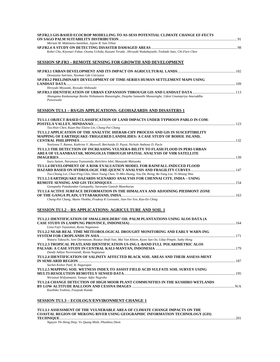| SP.FR2.3 GIS-BASED ECOCROP MODELLING TO AS-SESS POTENTIAL CLIMATE CHANGE EF-FECTS                                                                                                                                    |       |
|----------------------------------------------------------------------------------------------------------------------------------------------------------------------------------------------------------------------|-------|
| Meriam M. Makinano-Santillan, Jojene R. San-Tillan                                                                                                                                                                   |       |
| Kohei Cho, Kiyonari Fukue, Osamu Uchida, Kazumi Terada, Hiroyuki Wakabayashi, Toshiaki Sato, Chi-Farn Chen                                                                                                           |       |
| <b>SESSION SP.FR3 – REMOTE SENSING FOR GROWTH AND DEVELOPMENT</b>                                                                                                                                                    |       |
| Dewayany Sutrisno, Nyoman Gde Ustriyana                                                                                                                                                                              |       |
| SP.FR3.2 PRELIMINARY DEVELOPMENT OF TIME-SERIES HUMAN SETTLEMENT MAPS USING<br>Hiroyuki Miyazaki, Ryosuke Shibasaki                                                                                                  |       |
|                                                                                                                                                                                                                      |       |
| Ahangama Kankanamge Rasika Nishamanie Ranasinghe, Deepika Samanthi Munasinghe, Udeni Gnannpriya Anuruddha<br>Puswewala                                                                                               |       |
| SESSION TU1.1 – RS/GIS APPLICATIONS: GEOHAZARDS AND DISASTERS 1                                                                                                                                                      |       |
| TU1.1.1 OBJECT-BASED CLASSIFICATION OF LAND IMPACTS UNDER TYPHOON PABLO IN COM-                                                                                                                                      |       |
| Tzu-Hsin Chen, Kuan-Hui Elaine Lin, Chung-Pai Chang<br>TU1.1.2 APPLICATION OF THE ANALYTIC HIERAR-CHY PROCESS AND GIS IN SUSCEPTIBILITY<br>MAPPING OF EARTHQUAKE-TRIGGERED LANDSLIDES: A CASE STUDY OF BOHOL ISLAND, |       |
| Noelynna T. Ramos, Kathrine V. Maxwell, Betchaida D. Payot, Nichole Anthony D. Pacle                                                                                                                                 |       |
| TU1.1.3 THE DETECTION OF INCREASING VULNERA-BILITY TO FLASH FLOOD IN PERI-URBAN<br>AREA OF ULAANBAATAR, MONGOLIA THROUGH SPATIAL ANALYSIS OF VHR SATELLITE                                                           |       |
| Izuru Saizen, Narumasa Tsutsumida, Reiichiro Ishii, Masayuki Matsuoka                                                                                                                                                |       |
| TU1.1.4 DEVELOPMENT OF A RISK EVALUATION MODEL FOR RAINFALL-INDUCED FLOOD                                                                                                                                            |       |
| Tsu-Chiang Lei, Chun-Ping Chin, Shien Tsung Chen, Yi-Min Huang, You Da Jhong, Re-Yang Lee, Yi-Shiang Shiu<br>TU1.1.5 EARTHQUAKE HAZARDS SCENARIO ANALYSIS FOR CHENNAI CITY, INDIA – USING                            |       |
| Ganapathy Pattukandan Ganapathy, Saravana Ganesh Manoharan                                                                                                                                                           |       |
| TU1.1.6 ACTIVE SURFACE DEFORMATION IN THE HIMALAYA AND ADJOINING PIEDMONT ZONE                                                                                                                                       |       |
| Chung-Pai Chang, Akano Yhokha, Pradeep K Goswami, Jiun-Yee Yen, Kuo-En Ching                                                                                                                                         |       |
| <b>SESSION TU1.2 – RS APPLICATIONS: AGRICULTURE AND SOIL 1</b>                                                                                                                                                       |       |
| TU1.2.1 IDENTIFICATION OF SMALLHOLDERS' OIL PALM PLANTATIONS USING ALOS DATA (A<br>Lissa Fajri Yayusman, Ryota Nagasawa                                                                                              |       |
| TU1.2.2 NEAR-REAL TIME METEOROLOGICAL DROUGHT MONITORING AND EARLY WARN-ING<br>SYSTEM FOR CROPLANDS IN ASIA                                                                                                          | . 171 |
| Wataru Takeuchi, Soni Darmawan, Rizatus Shofi-Yati, Mai Van Khiem, Kyaw San Oo, Uday Pimple, Suthy Heng                                                                                                              |       |
| TU1.2.3 TROPICAL PEATLAND IDENTIFICATION US-ING L-BAND FULL POLARIMETRIC ALOS                                                                                                                                        |       |
| Dandy Aditya Novresiandi, Ryota Nagasawa                                                                                                                                                                             |       |
| TU1.2.4 IDENTIFICATION OF SALINITY AFFECTED BLACK SOIL AREAS AND THEIR ASSESS-MENT                                                                                                                                   |       |
| Sachin Kishor Patil, R. Nagarajan                                                                                                                                                                                    |       |
| TU1.2.5 MAPPING SOIL WETNESS INDEX TO ASSIST FIELD ACID SULFATE SOIL SURVEY USING<br>Wirastuti Widyatmanti, Yanuar Adjie Nugroho                                                                                     |       |
| TU1.2.6 CHANGE DETECTION OF HIGH MOOR PLANT COMMUNITIES IN THE KUSHIRO WETLANDS                                                                                                                                      |       |
| Kunihiko Yoshino, Fusayuki Kanda                                                                                                                                                                                     |       |

#### **SESSION TU1.3 – ECOLOGY/ENVIRONMENT CHANGE 1**

**TU1.3.1 ASSESSMENT OF THE VULNERABLE AREA OF CLIMATE CHANGE IMPACTS ON THE COASTAL REGION OF MEKONG RIVER USING GEOGRAPHIC INFORMATION TECHNOLOGY (GIS) TECHNIQUE**..................................................................................................................................................................................................201 *Nguyen Thi Hong Diep, Vo Quang Minh, Phankieu Diem*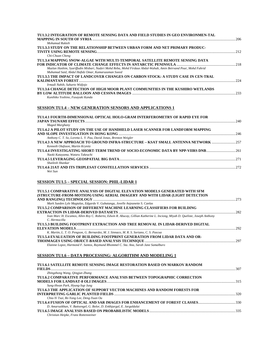| TU1.3.2 INTEGRATION OF REMOTE SENSING DATA AND FIELD STUDIES IN GEO ENVIRONMEN-TAL                              |
|-----------------------------------------------------------------------------------------------------------------|
| 206                                                                                                             |
| Mohamad Rukieh                                                                                                  |
| TU1.3.3 STUDY ON THE RELATIONSHIP BETWEEN URBAN FORM AND NET PRIMARY PRODUC-                                    |
| 212                                                                                                             |
| Chi-Chuan Cheng                                                                                                 |
| TU1.3.4 MAPPING SNOW-ALGAE WITH MULTI-TEMPORAL SATELLITE REMOTE SENSING DATA                                    |
|                                                                                                                 |
| Mazlan Hashim, Syariffudin Misbari, Nadzri Mohd Reba, Mohd Firdaus Abdul-Wahab, Amin Beirvand Pour, Mohd Fahrid |
| Muhamad Said, Abdul Hafidz Omar, Kamaruzaman Soeed                                                              |
| TU1.3.5 THE IMPACT OF LANDCOVER CHANGES ON CARBON STOCK: A STUDY CASE IN CEN-TRAL                               |
| 224                                                                                                             |
| Irmadi Nahib, Suharto Widjojo                                                                                   |
| TU1.3.6 CHANGE DETECTION OF HIGH MOOR PLANT COMMUNITIES IN THE KUSHIRO WETLANDS                                 |
| 233                                                                                                             |
| Kunihiko Yoshino, Fusayuki Kanda                                                                                |

# **SESSION TU1.4 – NEW GENERATION SENSORS AND APPLICATIONS 1**

| TU1.4.1 FOURTH-DIMENSIONAL OPTICAL HOLO-GRAM INTERFEROMETRY OF RAPID EYE FOR                |     |
|---------------------------------------------------------------------------------------------|-----|
|                                                                                             | 240 |
| Maged Marghany                                                                              |     |
| TU1.4.2 A PILOT STUDY ON THE USE OF HANDHELD LASER SCANNER FOR LANDFORM MAPPING             |     |
|                                                                                             |     |
| Anthony C. T. So, Loretta L. Y. Pau, David Jonas, Brenton Weigler                           |     |
| TU1.4.3 A NEW APPROACH TO GROUND INFRA-STRUCTURE – KSAT SMALL ANTENNA NETWORK …………………………257 |     |
| Kenneth Olafsson, Martin Krynitz                                                            |     |
| TU1.4.4 INVESTIGATING SHORT-TERM TREND OF SOCIO-ECONOMIC DATA BY NPP-VIIRS DNB261           |     |
| Naoki Katayama, Wataru Takeuchi                                                             |     |
|                                                                                             | 271 |
| Shailesh Shankar                                                                            |     |
|                                                                                             |     |
| Wei Sun                                                                                     |     |

# **SESSION TU1.5 – SPECIAL SESSION: PHIL-LIDAR 1**

| (STRUCTURE-FROM-MOTION) USING AERIAL IMAGERY AND WITH LIDAR (LIGHT DETECTION                                                                  |  |
|-----------------------------------------------------------------------------------------------------------------------------------------------|--|
| Mark Sueden Lyle Magtalas, Edgardo V. Gubatanga, Jovelle Anjeanette S. Canlas                                                                 |  |
| TU1.5.2 COMPARISON OF DIFFERENT MACHINE LEARNING CLASSIFIERS FOR BUILDING                                                                     |  |
|                                                                                                                                               |  |
| Ivan Marc H. Escamos, Allen Roy C. Roberto, Edwin R. Abucay, Gillian Katherine L. Inciong, Miyah D. Queliste, Joseph Anthony<br>C. Hermocilla |  |
| TU1.5.3 BUILDING FOOTPRINT EXTRACTION AND TREE REMOVAL IN LIDAR-DERIVED DIGITAL                                                               |  |
|                                                                                                                                               |  |
| K. Martin, L. T. O. Pengson, G. Bernardez, M. J. Sinnaco, M. R. S. Soriano, C. S. Pascua                                                      |  |
| TU1.5.4 EVALUATION OF BUILDING FOOTPRINT GENERATION FROM LIDAR DATA AND OR-                                                                   |  |
|                                                                                                                                               |  |
| Elainne Lopez, Harmond F. Santos, Raymund Rhommel C. Sta. Ana, Sarah Jane Samalburo                                                           |  |
|                                                                                                                                               |  |
| <b>SESSION TU1.6 – DATA PROCESSING: ALGORITHM AND MODELING 1</b><br>TU1.6.1 SATELLITE REMOTE SENSING IMAGE RESTORATION BASED ON MARKOV RANDOM |  |
|                                                                                                                                               |  |
| Zhingzhong Wang, Qingjun Zhang                                                                                                                |  |
| TU1.6.2 COMPARATIVE PERFORMANCE ANALYSIS BETWEEN TOPOGRAPHIC CORRECTION                                                                       |  |
|                                                                                                                                               |  |
| Sung-Hwan Park, Hyung-Sup Jung                                                                                                                |  |
| TU1.6.3 THE APPLICATION OF SUPPORT VECTOR MACHINES AND RANDOM FORESTS FOR                                                                     |  |
|                                                                                                                                               |  |
| Chia-Yi Tsai, Re-Yang Lee, Deng-Yuan Ou                                                                                                       |  |
|                                                                                                                                               |  |
| D. Amarsaikhan, V. Battsengel, G. Bolor, D. Enkhjargal, E. Jargaldalai                                                                        |  |

*Christian Heipke, Franz Rottensteiner*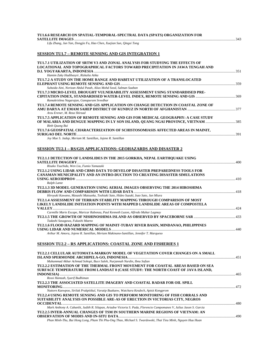#### **TU1.6.6 RESEARCH ON SPATIAL-TEMPORAL-SPECTRAL DATA (SPATS) ORGANIZATION FOR SATELLITE IMAGES** ..................................................................................................................................................................................343

*Lifu Zhang, Jun Yan, Dongjie Fu, Hao Chen, Xuejian Sun, Qingxi Tong* 

#### **SESSION TU1.7 – REMOTE SENSING AND GIS INTEGRATION 1**

| TU1.7.1 UTILIZATION OF SRTM V3 AND ZONAL ANALYSIS FOR STUDYING THE EFFECTS OF         |  |
|---------------------------------------------------------------------------------------|--|
| LOCATIONAL AND TOPOGRAPHICAL FACTORS TOWARD PRECIPITATION IN JAWA TENGAH AND          |  |
|                                                                                       |  |
| Hamim Zaky Hadibasyir, Rizkalia Atika                                                 |  |
| TU1.7.2 A STUDY ON THE HOME RANGE AND HABITAT UTILIZATION OF A TRANSLOCATED           |  |
|                                                                                       |  |
| Suhaida Aini, Norizan Abdul Patah, Alias Mohd Sood, Salman Saaban                     |  |
| TU1.7.3 MICRO-LEVEL DROUGHT VULNERABILITY ASSESSMENT USING STANDARDISED PRE-          |  |
|                                                                                       |  |
| Ramakrishna Nagarajan, Ganapuram Sreedhar                                             |  |
| TU1.7.4 REMOTE SENSING AND GIS APPLICATION ON CHANGE DETECTION IN COASTAL ZONE OF     |  |
|                                                                                       |  |
| Arzu Erener, M. Reza Shirzad                                                          |  |
| TU1.7.5 APPLICATION OF REMOTE SENSING AND GIS FOR MEDICAL GEOGRAPHY: A CASE STUDY     |  |
| OF MALARIA AND DENGUE MAPPING IN LY SON ISLAND, QUANG NGAI PROVINCE, VIETNAM 385      |  |
| Binh Quang Bui                                                                        |  |
| TU1.7.6 GEOSPATIAL CHARACTERIZATION OF SCHISTOSOMIASIS AFFECTED AREAS IN MAINIT,      |  |
|                                                                                       |  |
| Joy Mae S. Jadap, Meriam M. Santillan, Jojene R. Santillan                            |  |
|                                                                                       |  |
| <b>SESSION TU2.1 - RS/GIS APPLICATIONS: GEOHAZARDS AND DISASTER 2</b>                 |  |
| TU2.1.1 DETECTION OF LANDSLIDES IN THE 2015 GORKHA, NEPAL EARTHQUAKE USING            |  |
|                                                                                       |  |
| Risako Tsuchida, Wen Liu, Fumio Yamazaki                                              |  |
| TU2.1.2 USING LIDAR AND CBMS DATA TO DEVELOP DISASTER PREPAREDNESS TOOLS FOR          |  |
| CANAMAN MUNICIPALITY AND AN INTRO-DUCTION TO CREATING DISASTER SIMULATIONS            |  |
|                                                                                       |  |
| Ralph Lante                                                                           |  |
| TU2.1.3 3D MODEL GENERATION USING AERIAL IMAGES OBSERVING THE 2014 HIROSHIMA          |  |
|                                                                                       |  |
| Hiroyuki Kawano, Masashi Matsuoka, Toshiaki Sato, Hideo Suzuki, Isao Sato, Jun Miura  |  |
| TU2.1.4 ASSESSMENT OF TERRAIN STABILITY MAPPING THROUGH COMPARISON OF MOST            |  |
| LIKELY LANDSLIDE INITIATION POINTS WITH MAPPED LANDSLIDE AREAS OF COMPOSTELA          |  |
|                                                                                       |  |
| Carmille Marie Escape, Maricar Rabonza, Paul Kenneth Luzon, Alfredo Mahar Lagmay      |  |
|                                                                                       |  |
| Tadashi Sasagawa, Fukashi Maeno                                                       |  |
| TU2.1.6 FLOOD HAZARD MAPPING OF MAINIT-TUBAY RIVER BASIN, MINDANAO, PHILIPPINES       |  |
|                                                                                       |  |
| Arthur M. Amora, Jojene R. Santillan, Meriam Makinano-Santillan, Jennifer T. Marqueso |  |
| <b>SESSION TU2.2 – RS APPLICATIONS: COASTAL ZONE AND FISHERIES 1</b>                  |  |
|                                                                                       |  |
| TU2.2.1 CELLULAR AUTOMATA-MARKOV MODEL OF VEGETATION COVER CHANGES ON A SMALL         |  |
|                                                                                       |  |
| Muhammad Akbar Achmad Sohopi, Buce Saleh, Nurjannah Nurdin, Ibnu Sofian               |  |
| TU2.2.2 ESTIMATION OF THE THERMAL FRONT MOVEMENT FOR COASTAL AREAS BASED ON SEA       |  |

| SURFACE TEMPERATURE FROM LANDSAT 8 (CASE STUDY: THE NORTH COAST OF JAVA ISLAND,                                       |  |
|-----------------------------------------------------------------------------------------------------------------------|--|
|                                                                                                                       |  |
| Rossi Hamzah, Syarif Budhiman                                                                                         |  |
| <b>TU2.2.3 THE ASSOCIATED SATELLITE IMAGERY AND COASTAL RADAR FOR OIL SPILL</b>                                       |  |
|                                                                                                                       |  |
| Nuttorn Kaewpoo, Siriluk Prukpitikul, Varatip Buakaew, Watchara Kesdech, Apisit Kongprom                              |  |
| TU2.2.4 USING REMOTE SENSING AND GIS TO PERFORM MONITORING OF FISH CORRALS AND                                        |  |
| SUITABILITY ANALYSIS ON POSSIBLE ARE-AS OF ERECTION IN VICTORIAS CITY, NEGROS                                         |  |
|                                                                                                                       |  |
| Mark Anthony A. Cabanlit, Judith R. Silapan, Ariadne Victoria S. Pada, Florencio Campomanes V, Julius Jason S. Garcia |  |
| TU2.2.5 INTER-ANNUAL CHANGES OF TSM IN SOUTHERN MARINE REGIONS OF VIETNAM: AN                                         |  |
|                                                                                                                       |  |
|                                                                                                                       |  |

*Phan Minh-Thu, Bui Hong Long, Pham Thi Phu-Ong Thao, Michael S. Twardowski, Thai Tieu Minh, Nguyen Huu Huan*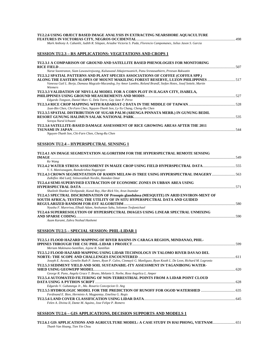| TU2.2.6 USING OBJECT BASED IMAGE ANALYSIS IN EXTRACTING NEARSHORE AQUACULTURE                                                                                                                                                      |  |
|------------------------------------------------------------------------------------------------------------------------------------------------------------------------------------------------------------------------------------|--|
| Mark Anthony A. Cabanlit, Judith R. Silapan, Ariadne Victoria S. Pada, Florencio Campomanes, Julius Jason S. Garcia                                                                                                                |  |
| <b>SESSION TU2.3 – RS APPLICATIONS: VEGETATIONS AND CROPS 1</b>                                                                                                                                                                    |  |
| TU2.3.1 A COMPARISON OF GROUND AND SATELLITE BASED PHENOLOGIES FOR MONITORING                                                                                                                                                      |  |
| Narut Soontranon, Siam Lawawirojwong, Kulsawasd Jitkajornwanich, Panu Srestasathiern, Preesan Rakwatin                                                                                                                             |  |
| TU2.3.2 SPATIAL PATTERNS AND PLANT SPECIES ASSOCIATIONS OF COFFEE (COFFEA SPP.)                                                                                                                                                    |  |
| 17 - ALONG THE EASTERN SLOPES OF MOUNT MAKILING FOREST RESERVE, LUZON PHILIPPINES ……………………………………<br>Vanessa Gail L. Borja, Damasa Magcale-Macandog, Ivy Amor Lambio, Roland Brandl, Stefan Hotes, Josef Settele, Martin<br>Wiemers |  |
| TU2.3.3 VALIDATION OF NDVI-LAI MODEL FOR A CORN PLOT IN ILAGAN CITY, ISABELA,<br>Edgardo Tongson, Daniel Marc G. Dela Torre, Gay Jane P. Perez                                                                                     |  |
|                                                                                                                                                                                                                                    |  |
| Jyun-Bin Chen, Chi-Farn Chen, Nguyen-Thanh Son, Ly-Yu Chang, Cheng-Ru Chen                                                                                                                                                         |  |
| TU2.3.5 SPATIAL DISTRIBUTION OF SUGAR PALM (ARENGA PINNATA MERR.) IN GUNUNG BEDIL                                                                                                                                                  |  |
| Soraya Nurul Ichwani<br>TU2.3.6 SATELLITE-BASED DAMAGE ASSESSMENT OF RICE GROWING AREAS AFTER THE 2011                                                                                                                             |  |
| Nguyen-Thanh Son, Chi-Farn Chen, Cheng-Ru Chen                                                                                                                                                                                     |  |
| <b>SESSION TU2.4 - HYPERSPECTRAL SENSING 1</b>                                                                                                                                                                                     |  |
| TU2.4.1 AN IMAGE SEGMENTATION ALGORITHM FOR THE HYPERSPECTRAL REMOTE SENSING                                                                                                                                                       |  |
|                                                                                                                                                                                                                                    |  |
| Ke Wang<br>TU2.4.2 WATER STRESS ASSESSMENT IN MAIZE CROP USING FIELD HYPERSPECTRAL DATA555<br>V. S. Manivasagam, Ramakrishna Nagarajan                                                                                             |  |
| Zulkiflee Abd Latif, Sitinoratikah Nordin, Hamdan Omar                                                                                                                                                                             |  |
| TU2.4.4 SEMI-SUPERVISED EXTRACTION OF ECONOMIC ZONES IN URBAN AREA USING                                                                                                                                                           |  |
| Shailesh Shankar Deshpande, Kunal Ray, Har-Rick Vin, Arun Inamdar                                                                                                                                                                  |  |
| TU2.4.5 SPECTRAL DISCRIMINATION OF Prosopis glandulosa (MESQUITE) IN ARID ENVIRON-MENT OF<br>SOUTH AFRICA; TESTING THE UTILITY OF IN SITU HYPERSPECTRAL DATA AND GUIDED                                                            |  |
| Nyasha F. Mureriwa, Elhadi Adam, Anshuman Sahu, Solomon Tesfamichael                                                                                                                                                               |  |
| TU2.4.6 SUPERRESOLUTION OF HYPERSPECTRAL IMAGES USING LINEAR SPECTRAL UNMIXING                                                                                                                                                     |  |
| Azam Karami, Zahra Nezhad Hashemi                                                                                                                                                                                                  |  |
| <b>SESSION TU2.5 - SPECIAL SESSION: PHIL-LIDAR 1</b>                                                                                                                                                                               |  |
| TU2.5.1 FLOOD HAZARD MAPPING OF RIVER BASINS IN CARAGA REGION, MINDANAO, PHIL-                                                                                                                                                     |  |
| Meriam Makinano-Santillan, Jojene R. Santillan<br>TU2.5.2 FLOOD HAZARD MAPPING USING LIDAR TECHNOLOGY IN TALOMO RIVER DAVAO DEL                                                                                                    |  |
| Joseph E. Acosta, Genelin Ruth P. James, Ryan P. Calvo, Cinmayii G. Manliguez, Ryan Keath L. De Leon, Richard M. Logronio                                                                                                          |  |
| TU2.5.3 SEDIMENT YIELD AND SOIL SUSTAINABIL-ITY ASSESSMENT IN TAGANIBONG WATER-                                                                                                                                                    |  |
| George R. Puno, Angela Grace T. Bruno, Melanie S. Norbe, Rose Angelica L. Amper<br>TU2.5.4 AUTOMATED FILTERING OF NON-TERRESTRIAL POINTS FROM A LIDAR POINT CLOUD                                                                  |  |
|                                                                                                                                                                                                                                    |  |
| Edgardo V. Gubatanga Jr., Ma. Rosario Concepcion O. Ang                                                                                                                                                                            |  |
| Ferdinand E. Bien, Herminio A. Magpantay, Emelina G. Regis                                                                                                                                                                         |  |
|                                                                                                                                                                                                                                    |  |

*Felen A. Divina II, Dante M. Aquino, Jose Felipe P. Romero* 

# **SESSION TU2.6 – GIS APPLICATIONS, DECISION SUPPORTS AND MODELS 1**

**TU2.6.1 GIS APPLICATIONS AND AGRICULTURE MODEL: A CASE STUDY IN HAI PHONG, VIETNAM**.........................651 *Thanh Van Hoang, Tien Yin Chou*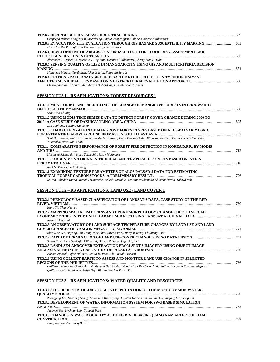| Ornprapa Robert, Yongyoot Witheetrirong, Ampun Janpengpen, Colonel Chatree Kittikachorn                                                      |  |
|----------------------------------------------------------------------------------------------------------------------------------------------|--|
| TU2.6.3 EVACUATION SITE EVALUATION THROUGH GIS HAZARD SUSCEPTIBILITY MAPPING665<br>Maria Cecilia Paringit, Jan Michael Taylo, Alexis Fillone |  |
| TU2.6.4 DEVELOPMENT OF ARCGIS-CUSTOMIZED TOOL FOR FLOOD RISK ASSESSMENT AND                                                                  |  |
|                                                                                                                                              |  |
| Alexander T. Demetillo, Michelle V. Japitana, Dennis Y. Villanueva, Cherry Mae P. Tulfo                                                      |  |
| TU2.6.5 SENSING QUALITY OF LIFE IN MANGGAR CITY USING GIS AND MULTICRITERIA DECISION                                                         |  |
|                                                                                                                                              |  |
| Mohamad Marzuki Tambunan, Ishar Isnaidi, Fahrudin Sera'Ie<br>TU2.6.6 CRITICAL PATH ANALYSIS FOR DISASTER RELIEF EFFORTS IN TYPHOON HAIYAN-   |  |
|                                                                                                                                              |  |
| Christopher Ian P. Santos, Ken Adrian B. Ara-Can, Dinnah Feye H. Andal                                                                       |  |
| <b>SESSION TU3.1 – RS APPLICATIONS: FOREST RESOURCES 1</b>                                                                                   |  |
| TU3.1.1 MONITORING AND PREDICTING THE CHANGE OF MANGROVE FORESTS IN IRRA-WADDY                                                               |  |
|                                                                                                                                              |  |
| Shou-Hao Chiang                                                                                                                              |  |
| TU3.1.2 USING MODIS TIME SERIES DATA TO DETECT FOREST COVER CHANGE DURING 2000 TO                                                            |  |
|                                                                                                                                              |  |
| Zou Taohong, Yoshino Kunihiko                                                                                                                |  |
| TU3.1.3 CHARACTERIZATION OF MANGROVE FOREST TYPES BASED ON ALOS-PALSAR MOSAIC                                                                |  |
| Soni Darmawan, Wataru Takeuchi, Etsuko Naka-Zono, Yenni Vetrita, Gathot Winarso, Vu Tien Dien, Kyaw San Oo, Ketut                            |  |
| Wikantika, Dewi Kania Sari                                                                                                                   |  |
| TU3.1.4 COMPARATIVE PERFORMANCE OF FOREST FIRE DETECTION IN KOREA D.P.R. BY MODIS                                                            |  |
|                                                                                                                                              |  |
| Masataka Mizutani, Wataru Takeuchi, Masao Moriyama                                                                                           |  |
| TU3.1.5 CARBON MONITORING IN TROPICAL AND TEMPERATE FORESTS BASED ON INTER-                                                                  |  |
|                                                                                                                                              |  |
| Karl H. Thunes, Svein Solberg                                                                                                                |  |
| TU3.1.6 EXAMINING TEXTURE PARAMETERS OF ALOS PALSAR-2 DATA FOR ESTIMATING                                                                    |  |
|                                                                                                                                              |  |
| Rajesh Bahadur Thapa, Manabu Watanabe, Takeshi Motohka, Masanobu Shimada, Shinichi Suzuki, Takuya Itoh                                       |  |
|                                                                                                                                              |  |
| <b>SESSION TU3.2 – RS APPLICATIONS: LAND USE / LAND COVER 1</b>                                                                              |  |
|                                                                                                                                              |  |

| TU3.2.1 PHENOLOGY-BASED CLASSIFICATION OF LANDSAT-8 DATA, CASE STUDY OF THE RED                                      |     |
|----------------------------------------------------------------------------------------------------------------------|-----|
|                                                                                                                      |     |
| Hang Thi Thuy Nguyen                                                                                                 |     |
| TU3.2.2 MAPPING SPATIAL PATTERNS AND URBAN MORPHOLOGY CHANGES DUE TO SPECIAL                                         |     |
|                                                                                                                      |     |
| Naeema Alhosani                                                                                                      |     |
| TU3.2.3 AN OBSERVATORY OF LAND SURFACE TEMPERATURE CHANGES BY LAND USE AND LAND                                      |     |
|                                                                                                                      |     |
| Khin Mar Yee, Hoyong Ahn, Dong Yoon Shin, Jinwoo Park, Hohyun Jeong, Chuluong Choi                                   |     |
|                                                                                                                      |     |
| Sinasi Kaya, Cem Gazioglu, Elif Sertel, Dursun Z. Seker, Ugur Alganci                                                |     |
| TU3.2.5 LANDUSE/LANDCOVER EXTRACTION FROM SPOT 6 IMAGERY USING OBJECT IMAGE                                          |     |
|                                                                                                                      |     |
| Zylshal Zylshal, Fajar Yulianto, Junita M. Pasa-Ribu, Indah Prasasti                                                 |     |
| TU3.2.6 USING COLLECT EARTH TO ASSESS AND MONITOR LAND USE CHANGE IN SELECTED                                        |     |
|                                                                                                                      | 766 |
| Guillermo Mendoza, Guilio Marchi, Mayumi Ouintos-Natividad, Mark De Claro, Nilda Patiga, Bonifacio Rabang, Ildefonso |     |
| Ouilloy, Danilo Mollicone, Adiya Bey, Alfonso Sanches Paus-Diaz                                                      |     |

# **SESSION TU3.3 – RS APPLICATIONS: WATER QUALITY AND RESOURCES**

| TU3.3.1 SECCHI DEPTH: THEORETICAL INTERPRETATION OF THE MOST COMMON WATER-                               |      |
|----------------------------------------------------------------------------------------------------------|------|
|                                                                                                          | -776 |
| Zhongping Lee, Shaoling Shang, Chuanmin Hu, Keping Du, Alan Weidemann, Weilin Hou, Junfang Lin, Gong Lin |      |
| TU3.3.2 DEVELOPMENT OF WATER INFORMATION SYSTEM FOR SWG BASED SIMULATION                                 |      |
|                                                                                                          | .782 |
| Jaehyun Yoo, Kyehyun Kim, Yonggil Park                                                                   |      |
| TU3.3.3 CHANGES IN WATER QUALITY AT BUNG RIVER BASIN, QUANG NAM AFTER THE DAM                            |      |
|                                                                                                          | 789  |
| Hung Nguyen Viet Long Rui Ta                                                                             |      |

*Hung Nguyen Viet, Long Bui Ta*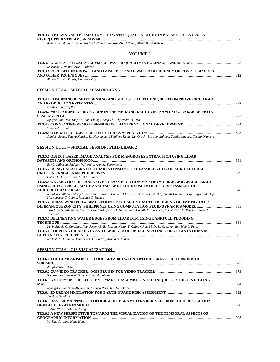| Kasumaiya Mahajir, Ahmad Nadzri Mohamed, Norizan Abdul Patah, Abdul Majid Wahab                                                                                                                                                |  |
|--------------------------------------------------------------------------------------------------------------------------------------------------------------------------------------------------------------------------------|--|
|                                                                                                                                                                                                                                |  |
| <b>VOLUME 2</b>                                                                                                                                                                                                                |  |
| Roseanne V. Ramos, Ariel C. Blanco                                                                                                                                                                                             |  |
| TU3.3.6 POPULATION GROWTH AND IMPACTS OF NILE WATER DEFICIENCY ON EGYPT USING GIS                                                                                                                                              |  |
| Ahmed Ibrahim Ramzi, Alaa El-Nahry                                                                                                                                                                                             |  |
| <b>SESSION TU3.4 - SPECIAL SESSION: JAXA</b>                                                                                                                                                                                   |  |
| TU3.4.1 COMBINING REMOTE SENSING AND STATISTICAL TECHNIQUES TO IMPROVE RICE AR-EA<br>Lakshman Nagraj Rao                                                                                                                       |  |
| TU3.4.2 MONITORING OF RICE CROP IN THE ME-KONG DELTA VIETNAM USING RADAR RE-MOTE                                                                                                                                               |  |
| Nguyen Lam-Dao, Thuy Le-Toan, Phung Hoang-Phi, Thy Pham-Thi-Mai<br>Tadayoshi Yahata                                                                                                                                            |  |
| Shinichi Sobue, Yutaka Kaneko, Ko Hamamoto, Michihiro Koide, Kei Oyoshi, Lal Samarakoon, Tsugito Nagano, Toshio Okumura                                                                                                        |  |
| <b>SESSION TU3.5 - SPECIAL SESSION: PHIL-LIDAR 2</b>                                                                                                                                                                           |  |
| TU3.5.1 OBJECT-BASED IMAGE ANALYSIS FOR MANGROVES EXTRACTION USING LIDAR<br>Rey L. Jalbuena, Rudolph V. Peralta, Ayin M. Tamondong                                                                                             |  |
| TU3.5.2 USING UNCALIBRATED LIDAR INTENSITY FOR CLASSIFICATION OF AGRICULTURAL<br>Coleen D. U. Carranza, Ariel C. Blanco                                                                                                        |  |
| TU3.5.3 GENERATION OF LAND COVER CLASSIFI-CATION MAP FROM LIDAR AND AERIAL IMAGE<br>USING OBJECT BASED IMAGE ANALYSIS AND FLOOD SUSCEPTIBILITY ASSESSMENT OF                                                                   |  |
| Ronaldo T. Alberto, Shirly C. Serrano, Guiller B. Damian, Eliza E. Camaso, Ariel R. Biagtan, Mi-Guelito F. Isip, Klifford M. Orge,<br>Mark Joseph C. Quinto, Romnick C. Tagaca                                                 |  |
| TU3.5.4 URBAN WIND FLOW SIMULATION OF LI-DAR-EXTRACTED BUILDING GEOMETRY IN UP<br>Jara Kaye S. Villanueva, Ma. Rosario Con-Cepcion O. Ang, Loureal Camille V. Inocencio, Ma. Victoria D. Rejuso, Jerome T.<br><b>Tolentino</b> |  |
| TU3.5.5 DELINEATING WATER EDGES FROM LIDAR DTM USING BANKFULL-FLOODING                                                                                                                                                         |  |
| Kevin Angelo C. Gonzales, Noel Jerome B. Borlongan, Nestor T. Olfindo, Roel M. De La Cruz, Anjillyn Mae C. Perez<br>TU3.5.6 COUPLING LIDAR DATA AND LANDSAT 8 OLI IN DELINEATING CORN PLANTATIONS IN                           |  |
| Michelle V. Japitana, James Earl D. Cubillas, Arnold G. Apdohan                                                                                                                                                                |  |
| <u>SESSION TU3.6 – GIS VISUALIZATION 1</u>                                                                                                                                                                                     |  |
| TU3.6.1 THE COMPARISON OF FLOOD AREA BETWEEN TWO DIFFERENCE DETERMINISTIC                                                                                                                                                      |  |
| Anujit Vansarochana<br>Suchawadee Sillaparat, Sanphet Chunithipai-San                                                                                                                                                          |  |
| TU3.6.3 A STUDY ON THE EFFICIENT IMAGE TRANSMISSION TECHNIQUE FOR THE GIS DIGITAL                                                                                                                                              |  |
| Myung-Hee Jo, Dong-Hyun Kim, Ju-Sung Park, Jin-Hwan Park<br>Javkhaa Gereltuya                                                                                                                                                  |  |
| TU3.6.5 RASTER MAPPING OF TOPOGRAPHIC PARAMETERS DERIVED FROM HIGH RESOLUTION                                                                                                                                                  |  |
| Yi-Hua Wang, Yi-Hsing Tseng                                                                                                                                                                                                    |  |
| TU3.6.6 A NEW PERSPECTIVE TOWARDS THE VISUALIZATION OF THE TEMPORAL ASPECTS OF<br>Yu-Ting Su, Jung-Hong Hong                                                                                                                   |  |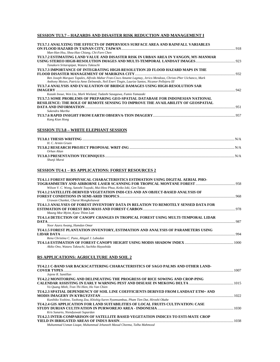# **SESSION TU3.7 – HAZARDS AND DISASTER RISK REDUCTION AND MANAGEMENT I**

| TU3.7.1 ANALYZING THE EFFECTS OF IMPERVIOUS SURFACE AREA AND RAINFALL VARIABLES<br>Man-Han Hsu, Shou-Hao Chiang, Chi-Farn Chen                                                                                                                      |  |
|-----------------------------------------------------------------------------------------------------------------------------------------------------------------------------------------------------------------------------------------------------|--|
| TU3.7.2 ESTIMATING LAND VALUE AND DISASTER RISK IN URBAN AREA IN YANGON, MY-MANMAR                                                                                                                                                                  |  |
| Tanakorn Sritarapipat, Wataru Takeuchi<br>TU3.7.3 IMPORTANCE OF INTEGRATING HIGH-RESOLUTION 2D FLOOD HAZARD MAPS IN THE                                                                                                                             |  |
| Ben Joseph Marquez Tapales, Alfredo Mahar Fran-Cisco Amante Lagmay, Jerico Mendoza, Christo-Pher Uichanco, Mark<br>Anthony Moises, Patricia Anne Delmendo, Neil Eneri Tingin, Laurize Santos, Nicanor Pellejera III                                 |  |
| TU3.7.4 ANALYSIS AND EVALUATION OF BRIDGE DAMAGES USING HIGH-RESOLUTION SAR                                                                                                                                                                         |  |
| Kazuki Inoue, Wen Liu, Mark Wieland, Tadashi Sasagawa, Fumio Yamazaki<br>TU3.7.5 SOME PROBLEMS OF PREPARING GEO-SPATIAL DATABASE FOR INDONESIAN NATIONAL<br><b>RESILIENCE: THE ROLE OF REMOTE SENSING TO IMPROVE THE AVAILABILITY OF GEOSPATIAL</b> |  |
| Sukendra Martha                                                                                                                                                                                                                                     |  |
| Kang Kian Hong                                                                                                                                                                                                                                      |  |
| <b>SESSION TU3.8 - WHITE ELEPHANT SESSION</b>                                                                                                                                                                                                       |  |
| H. C. Armin Gruen                                                                                                                                                                                                                                   |  |
| Orhan Altan                                                                                                                                                                                                                                         |  |
| Shunji Murai                                                                                                                                                                                                                                        |  |
| <b>SESSION TU4.1 – RS APPLICATIONS: FOREST RESOURCES 2</b>                                                                                                                                                                                          |  |
| TU4.1.1 FOREST BIOPHYSICAL CHARACTERISTICS ESTIMATION USING DIGITAL AERIAL PHO-<br>Wilson V. C. Wong, Satoshi Tsuyuki, Mui-How Phua, Keiko Ioki, Gen Takao                                                                                          |  |
| TU4.1.2 SATELLITE-DERIVED VEGETATION INDI-CES AND AN OBJECT-BASED ANALYSIS OF<br>Urawan Chanket, Charat Mongkolsawat                                                                                                                                |  |
| TU4.1.3 ANALYSES OF FOREST INVENTORY DATA IN RELATION TO REMOTELY SENSED DATA FOR                                                                                                                                                                   |  |
| Maung Moe Myint, Kyaw Thinn Latt<br>TU4.1.4 DETECTION OF CANOPY CHANGES IN TROPICAL FOREST USING MULTI-TEMPORAL LIDAR                                                                                                                               |  |
| Noor Azura Awang, Hamdan Omar<br>TU4.1.5 FOREST PLANTATION INVENTORY, ESTIMATION AND ANALYSIS OF PARAMETERS USING                                                                                                                                   |  |
| Rena Christina C. Puno, Abigail J. Labadan<br>Akiko Ono, Wataru Takeuchi, Sachiko Hayashida                                                                                                                                                         |  |
| <b>RS APPLICATIONS: AGRICULTURE AND SOIL 2</b>                                                                                                                                                                                                      |  |
| TU4.2.1 C-BAND SAR BACKSCATTERING CHARACTERISTICS OF SAGO PALMS AND OTHER LAND-<br>Jojene R. Santillan                                                                                                                                              |  |
| TU4.2.2 MONITORING AND DELINEATING THE PROGRESS OF RICE SOWING AND CROP-PING                                                                                                                                                                        |  |
| Vo Quang Minh, Tran Thi Hien, Ho Van Chien                                                                                                                                                                                                          |  |
| TU4.2.3 SPATIAL DEPENDENCY OF SOIL LINE COEFFICIENTS DERIVED FROM LANDSAT ETM+ AND                                                                                                                                                                  |  |
| Kunihiko Yoshino, Taohong Zou, Khishig-Suren Nyamsambuu, Pham Tien Dat, Hiroshi Okabe<br>TU4.2.4 GIS APPLICATION FOR LAND SUITABILITIES OF LOCAL FRUITS CULTIVATION: CASE                                                                           |  |
| Kris Sunarto, Niendyawati Supardan                                                                                                                                                                                                                  |  |
| TU4.2.5 INTER-COMPARISON OF SATELLITE BASED VEGETATION INDICES TO ESTI-MATE CROP                                                                                                                                                                    |  |

**YIELD IN IRRIGATED AREAS OF INDUS BASIN**..............................................................................................................................1038

*Muhammad Usman Liaqat, Muhammad Jehanzeb Masud Cheema, Talha Mahmood*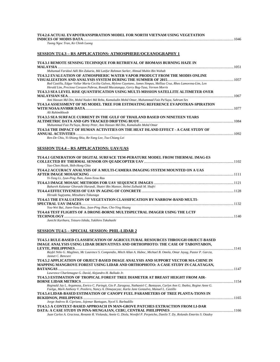#### **TU4.2.6 ACTUAL EVAPOTRANSPIRATION MODEL FOR NORTH VIETNAM USING VEGETATION**

# **INDICES OF MODIS DATA**......................................................................................................................................................................1046

*Tuong Ngoc Tran, Ke Chinh Luong* 

#### **SESSION TU4.3 – RS APPLICATIONS: ATMOSPHERE/OCEANOGRAPHY 1**

| TU4.3.1 REMOTE SENSING TECHNIQUE FOR RETRIEVAL OF BIOMASS BURNING HAZE IN                                                                                                                                                                                                                                          |      |
|--------------------------------------------------------------------------------------------------------------------------------------------------------------------------------------------------------------------------------------------------------------------------------------------------------------------|------|
|                                                                                                                                                                                                                                                                                                                    |      |
| Muhamad Faridzul Adli Bin Zakaria, Md Latifur Rahman Sarker, Ahmad Mubin Bin Wahab                                                                                                                                                                                                                                 |      |
| TU4.3.2 EVALUATION OF ATMOSPHERIC WATER VAPOR PRODUCT FROM THE MODIS ONLINE                                                                                                                                                                                                                                        |      |
| Red Castilla, Edgar Vallar Maria Cecilia Galvez, Mylene Cayetano, James Simpas, Melliza Cruz, Rheo Lamorena-Lim, Len<br>Herald Lim, Preciosa Corazon Pabroa, Ronald Macatangay, Gerry Bag-Tasa, Vernon Morris                                                                                                      |      |
| TU4.3.3 SEA LEVEL RISE QUANTIFICATION USING MULTI-MISSION SATELLITE ALTIMETER OVER                                                                                                                                                                                                                                 |      |
|                                                                                                                                                                                                                                                                                                                    |      |
| Ami Hassan Md Din, Mohd Nadzri Md Reba, Kamaludin Mohd Omar, Muhammad Faiz Pa'Suya, Sahrum Ses                                                                                                                                                                                                                     |      |
| TU4.3.4 ASSESSMENT OF M5 MODEL TREE FOR ESTIMATING REFERENCE EVAPOTRAN-SPIRATION                                                                                                                                                                                                                                   |      |
| Ali Rahimikhoob                                                                                                                                                                                                                                                                                                    | 1077 |
| TU4.3.5 SEA SURFACE CURRENT IN THE GULF OF THAILAND BASED ON NINETEEN YEARS                                                                                                                                                                                                                                        |      |
|                                                                                                                                                                                                                                                                                                                    |      |
| Muhammad Faiz Pa'Suya, Benny Peter, Ami Hassan Md Din, Kamaludin Mohd Omar                                                                                                                                                                                                                                         |      |
| TU4.3.6 THE IMPACT OF HUMAN ACTIVITIES ON THE HEAT ISLAND EFFECT - A CASE STUDY OF                                                                                                                                                                                                                                 |      |
|                                                                                                                                                                                                                                                                                                                    |      |
| $\mathbf{D}$ . $\mathbf{D}$ . $\mathbf{C}$ $\mathbf{L}$ . $\mathbf{V}$ . $\mathbf{C}$ $\mathbf{L}$ : $\mathbf{C}$ . $\mathbf{L}$ : $\mathbf{L}$ : $\mathbf{L}$ : $\mathbf{L}$ : $\mathbf{L}$ : $\mathbf{L}$ : $\mathbf{L}$ : $\mathbf{L}$ : $\mathbf{L}$ : $\mathbf{L}$ : $\mathbf{L}$ : $\mathbf{L}$ : $\mathbf{$ |      |

*Ren-De Chiu, Yi-Shiang Shiu, Re-Yang Lee, Tsu-Chiang Lei* 

# **SESSION TU4.4 – RS APPLICATIONS: UAV/UAS**

| TU4.4.1 GENERATION OF DIGITAL SURFACE TEM-PERATURE MODEL FROM THERMAL IMAG-ES   |      |
|---------------------------------------------------------------------------------|------|
|                                                                                 |      |
| Yao-Chen Hsieh, Shih-Hong Chio                                                  |      |
| TU4.4.2 ACCURACY ANALYSIS OF A MULTI-CAMERA IMAGING SYSTEM MOUNTED ON A UAS     |      |
|                                                                                 |      |
| Yi-Tang Li, Jyun-Ping Jhan, Jiann-Yeou Rau                                      |      |
|                                                                                 |      |
| Bahareh Kalantar Ghorashi Harandi, Shattri Bin Mansor, Helmi Zulhaidi M. Shafri |      |
|                                                                                 |      |
| Hiroaki Sugiyama, Mitsuharu Tokunaga                                            |      |
| TU4.4.5 THE EVALUATION OF VEGETATION CLASSIFICATION BY NARROW-BAND MULTI-       |      |
|                                                                                 | 1132 |
| You-Wei Bai, Jiann-Yeou Rau, Jyun-Ping Jhan, Cho-Ying Huang                     |      |
| TU4.4.6 TEST FLIGHTS OF A DRONE-BORNE MULTISPECTRAL IMAGER USING THE LCTF       |      |
|                                                                                 | 1140 |
| Junichi Kurihara. Tetsuro Ishida. Yukihiro Takahashi                            |      |

#### **SESSION TU4.5 – SPECIAL SESSION: PHIL-LIDAR 2**

| TU4.5.1 RULE-BASED CLASSIFICATION OF AGRICULTURAL RESOURCES THROUGH OBJECT-BASED                                                                                                                                             |      |
|------------------------------------------------------------------------------------------------------------------------------------------------------------------------------------------------------------------------------|------|
| IMAGE ANALYSIS USING LIDAR DERIVATIVES AND ORTHOPHOTO: THE CASE OF TABONTABON,                                                                                                                                               |      |
|                                                                                                                                                                                                                              |      |
| Reyfel Niño G. Maglines, Mc Laurence S. Compendio, Mitch Allan A. Haboc, Michael B. Omela, Omar Jayag, Pastor P. Garcia,<br>Jannet C. Bencure                                                                                |      |
| TU4.5.2 APPLICATION OF OBJECT-BASED IMAGE ANALYSIS AND SUPPORT VECTOR MA-CHINE IN                                                                                                                                            |      |
| MAPPING MANGROVE FOREST USING LIDAR AND ORTHOPHOTO: A CASE STUDY IN CALATAGAN,                                                                                                                                               |      |
|                                                                                                                                                                                                                              | 1147 |
| Lawrence Charlemagne G. David, Alejandro H. Ballado Jr.                                                                                                                                                                      |      |
| TU4.5.3 ESTIMATION OF TROPICAL FOREST TREE DIAMETER AT BREAST HEIGHT FROM AIR-                                                                                                                                               |      |
|                                                                                                                                                                                                                              |      |
| Reginald Jay L. Argamosa, Enrico C. Paringit, Gio P. Zaragosa, Nathaniel C. Bantayan, Carlyn Ann G. Ibañez, Regine Anne G.<br>Faelga, Mark Anthony V. Posilero, Nancy A. Dimayacyac, Karla Jane Gonzalvo, Manuel L. Castillo |      |
| TU4.5.4 LIDAR-BASED ESTIMATION OF CANOPY FUEL PARAMETERS OF TREE PLANTA-TIONS IN                                                                                                                                             |      |
|                                                                                                                                                                                                                              | 1165 |
| Jorge Andrew B. Cipriano, Jojemar Bantugan, Nycel S. Barbadillo                                                                                                                                                              |      |
| TU4.5.5 A CONTEXT-BASED APPROACH IN MAN-GROVE PATCHES EXTRACTION FROM LI-DAR                                                                                                                                                 |      |
|                                                                                                                                                                                                                              |      |
| Juan Carlos A. Graciosa, Renante R. Violanda, Annie G. Diola, Wenifel P. Perpetcho, Danilo T. Dy, Rolando Emerito S. Otadov                                                                                                  |      |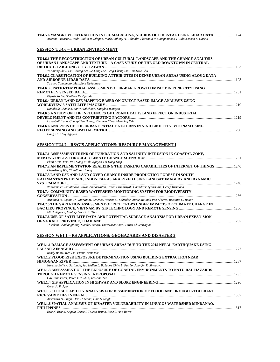| TU4.5.6 MANGROVE EXTRACTION IN E.B. MAGALONA, NEGROS OCCIDENTAL USING LIDAR DATA 1174<br>Ariadne Victoria S. Pada, Judith R. Silapan, Mark Anthony A. Cabanlit, Florencio P. Campomanes V, Julius Jason S. Garcia |  |
|-------------------------------------------------------------------------------------------------------------------------------------------------------------------------------------------------------------------|--|
| SESSION TU4.6 – URBAN ENVIRONMENT                                                                                                                                                                                 |  |
| TU4.6.1 THE RECONSTRUCTION OF URBAN CULTURAL LANDSCAPE AND THE CHANGE ANALYSIS<br>OF URBAN LANDSCAPE AND TEXTURE - A CASE STUDY OF THE OLD DOWNTOWN IN CENTRAL                                                    |  |
|                                                                                                                                                                                                                   |  |
| Yi-Shiang Shiu, Tsu-Chiang Lei, Re-Yang Lee, Feng-Cheng Lin, Tzu-How Chu                                                                                                                                          |  |
| TU4.6.2 CLASSIFICATION OF BUILDING ATTRIB-UTES IN DENSE URBAN AREAS USING ALOS-2 DATA                                                                                                                             |  |
| Tatsuya Yamamoto, Masafumi Nakagawa<br>TU4.6.3 SPATIO-TEMPORAL ASSESSMENT OF UR-BAN GROWTH IMPACT IN PUNE CITY USING                                                                                              |  |
| Piyush Yadav, Shailesh Deshpande                                                                                                                                                                                  |  |
| TU4.6.4 URBAN LAND USE MAPPING BASED ON OBJECT-BASED IMAGE ANALYSIS USING                                                                                                                                         |  |
|                                                                                                                                                                                                                   |  |
| Kanoksuk Chankon, Sanwit Iabchoon, Sangdao Wongsai                                                                                                                                                                |  |
| TU4.6.5 A STUDY ON THE INFLUENCES OF URBAN HEAT ISLAND EFFECT ON INDUSTRIAL                                                                                                                                       |  |
| Lung-Shih Yang, Chung-Tien Huang, Tien-Yin Chou, Mei-Ling Yeh                                                                                                                                                     |  |
| TU4.6.6 ANALYSIS OF THE URBAN SPATIAL PAT-TERNS IN NINH BINH CITY, VIETNAM USING                                                                                                                                  |  |
|                                                                                                                                                                                                                   |  |
| Hang Thi Thuy Nguyen                                                                                                                                                                                              |  |
|                                                                                                                                                                                                                   |  |
| SESSION TU4.7 – RS/GIS APPLICATIONS: RESOURCE MANAGEMENT I                                                                                                                                                        |  |
| TU4.7.1 ASSESSMENT TREND OF INUNDATION AND SALINITY INTRUSION IN COASTAL ZONE,                                                                                                                                    |  |
|                                                                                                                                                                                                                   |  |
| Phan Kieu Diem, Vo Quang Minh, Nguyen Thi Hong Diep                                                                                                                                                               |  |
| TU4.7.2 AN IMPLEMENTATION REALIZING THE TASKING CAPABILITIES OF INTERNET OF THINGS  1240<br>Chen-Hung Wu, Chih-Yuan Huang                                                                                         |  |
| TU4.7.3 LAND USE AND LAND COVER CHANGE INSIDE PRODUCTION FOREST IN SOUTH                                                                                                                                          |  |
| KALIMANTAN PROVINCE, INDONESIA AS ANALYZED USING LANDSAT IMAGERY AND DYNAMIC                                                                                                                                      |  |
|                                                                                                                                                                                                                   |  |
| Widiatmaka Widiatmaka, Wiwin Ambarwulan, Irman Firmansyah, Chandrasa Sjamsudin, Cecep Kusmana                                                                                                                     |  |
| TU4.7.4 COMMUNITY-BASED WATERSHED MONITORING SYSTEM FOR BIODIVERSITY                                                                                                                                              |  |
| Armando N. Espino Jr., Marvin M. Cinense, Nicasio C. Salvador, Annie Melinda Paz-Alberto, Restituto C. Bauan                                                                                                      |  |
| TU4.7.5 THE VARIATION ASSESSMENT OF RICE CROPS UNDER IMPACTS OF CLIMATE CHANGE IN                                                                                                                                 |  |
| Mi H. Nguyen, Minh O. Vo, Du T. Thai                                                                                                                                                                              |  |
| TU4.7.6 USE OF SATELLITE DATA AND POTENTIAL SURFACE ANALYSIS FOR URBAN EXPAN-SION                                                                                                                                 |  |
| Thirakan Chaikongthong, Suvalak Nakya, Thanwarat Anan, Tatiya Chuentragun                                                                                                                                         |  |
|                                                                                                                                                                                                                   |  |
| <b>SESSION WE1.1 - RS APPLICATIONS: GEOHAZARDS AND DISASTER 3</b>                                                                                                                                                 |  |

| WE1.1.1 DAMAGE ASSESSMENT OF URBAN AREAS DUE TO THE 2015 NEPAL EARTHOUAKE USING        |      |
|----------------------------------------------------------------------------------------|------|
|                                                                                        |      |
| Rendy Bahri, Wen Liu, Fumio Yamazaki                                                   |      |
| WE1.1.2 FLOOD RISK EXPOSURE DETERMINA-TION USING BUILDING EXTRACTION NEAR              |      |
|                                                                                        |      |
| Naressa Belle A. Saripada, Jao Hallen L. Bañados Chito L. Patiño, Jonnifer R. Sinogaya |      |
| WE1.1.3 ASSESSMENT OF THE EXPOSURE OF COASTAL ENVIRONMENTS TO NATU-RAL HAZARDS         |      |
|                                                                                        |      |
| Gay Jane Perez, Peter T. Y. Shih, Tee-Ann Teo                                          |      |
|                                                                                        |      |
| Gerardo P. Apor                                                                        |      |
| WE1.1.5 SITE SUITABILITY ANALYSIS FOR DISSEMINATION OF FLOOD AND DROUGHT-TOLERANT      |      |
|                                                                                        |      |
| Amrendra N. Singh, Devi D. Sinha, Uma S. Singh                                         |      |
| WE1.1.6 SPATIAL ANALYSIS OF DISASTER VULNERABILITY IN LINUGOS WATERSHED MINDANAO.      |      |
| PHILIPPINES.                                                                           | 1317 |
| Eric N. Bruno, Angela Grace I. Toledo-Bruno, Rose L. Ann Barro                         |      |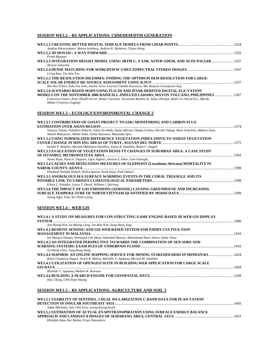# **SESSION WE1.2 – RS APPLICATIONS: CHM/DEM/DTM GENERATION**

| Anahita Khosravipour, Martin Isenburg, Andrew K. Skidmore, Tiejun Wang                                                    |      |
|---------------------------------------------------------------------------------------------------------------------------|------|
|                                                                                                                           |      |
| Frank Bignone                                                                                                             |      |
|                                                                                                                           |      |
| Atriyon Julzarika                                                                                                         |      |
|                                                                                                                           |      |
| I-Ling Kuo, Tee-Ann Teo                                                                                                   |      |
| WE1.2.5 THE RESOLUTION DILEMMA: FINDING THE OPTIMUM DEM RESOLUTION FOR LARGE-                                             |      |
|                                                                                                                           | 1357 |
| Ben Hur Pintor, Eula Fae Sola, Justine Teves, Loureal Camille Inocencio, Ma. Rosario Concepcion Ang                       |      |
| WE1.2.6 SCENARIO-BASED MAPS USING FLO-2D AND IFSAR-DERIVED DIGITAL ELE-VATION                                             |      |
| MODELS ON THE NOVEMBER 2006 RAINFALL-INDUCED LAHARS, MAYON VOLCANO, PHILIPPINES  1367                                     |      |
| Francesca Llanes, Peter Khallil Ferrer, Romer Gacusan, Victoriano Realino II, Julius Obrigue, Rodri-Go Narod Eco, Alfredo |      |
| Mahar Francisco Lagmay                                                                                                    |      |

# **SESSION WE1.3 – ECOLOGY/ENVIRONMENTAL CHANGE 2**

| WE1.3.1 CONTRIBUTION OF GOSAT PROJECT TO GHG MONITORING AND CARBON FLUX                                                                                                                    |      |
|--------------------------------------------------------------------------------------------------------------------------------------------------------------------------------------------|------|
|                                                                                                                                                                                            |      |
| Tatsuya Yokota, Nobuhiro Kikuchi, Yukio Yo-Shida, Isamu Morino, Osamu Uchino, Hiroshi Takagi, Heos-Sook Kim, Makoto Saito,<br>Shamil Maksyutov, Hibiki Noda, Fumie Kawazoe, Masataka Ajiro |      |
| WE1.3.2 USING NORMALIZED DIFFERENCE VEGETATION INDEX (NDVI) TO ASSESS VEGETATION                                                                                                           |      |
|                                                                                                                                                                                            |      |
| Kendel P. Bolanio, Meriam Makinano-Santillan, Jojene R. Santillan, Rolyn C. Daguil                                                                                                         |      |
| WE1.3.3 EVALUATION OF VEGETATION DENSI-TY CHANGES IN SUBURBAN AREA: A CASE STUDY                                                                                                           |      |
|                                                                                                                                                                                            | 1383 |
| Sinasi Kaya, Paria E. Osgouei, Ugur Alganci, Dursun Z. Seker, Cem Gazioglu                                                                                                                 |      |
| WE1.3.4 CAUSES AND MITIGATION MEASURES OF ELEPHANT (Loxodonta Africana) MORTALITY IN                                                                                                       |      |
|                                                                                                                                                                                            | 1389 |
| Elizabeth Naliaka Wakoli, Hellen Iparan, Noah Sitati, Paul Odwori                                                                                                                          |      |
| WE1.3.5 ANOMALOUS SEA SURFACE WARMING EVENTS IN THE CORAL TRIANGLE AND ITS                                                                                                                 |      |
|                                                                                                                                                                                            |      |
| Eileen L. Peñaflor, Laura T. David, William J. Skirving                                                                                                                                    |      |
| WE1.3.6 THE IMPACT OF GAS EMISSIONS (AEROSOL) CAUSING GREENHOUSE AND INCREASING                                                                                                            |      |
|                                                                                                                                                                                            |      |
| Tuong Ngoc Tran, Ke Chinh Luong                                                                                                                                                            |      |

#### **SESSION WE1.4 – WEB GIS**

| WE1.4.1 A STUDY ON MEASURES FOR CON-STRUCTING GAME ENGINE-BASED 3D WEB GIS DISPLAY         |  |
|--------------------------------------------------------------------------------------------|--|
| Jun-Hyung Kim, Su-Myung Gang, Jin-Man Kim, Sung-Hyun Jang                                  |  |
| WE1.4.2 REMOTE SENSING AND GIS WEB-BASED SYSTEM FOR PADDY CULTIVA-TION                     |  |
|                                                                                            |  |
| Siti Masayu Yahaya, Norhayati Che Musa, Zubaidah Mansor, Muhammad Nazir Siham, Sutha Veloo |  |
| WE1.4.3 AN INTEGRATED PERSPECTIVE TO-WARDS THE COMBINATION OF SEN-SORS AND                 |  |
|                                                                                            |  |
| Yu-Sheng Chen, Jung Hong Hong                                                              |  |
| WE1.4.4 MAP4RM: AN ONLINE MAPPING SERVICE FOR MINING STAKEHOLDERS IN MINDANAO              |  |
| Rolyn Cutamora Daguil, Junrie B. Matias, Michelle V. Japitana, Meriam M. Santillan         |  |
| WE1.4.5 UTILIZATION OF OPENGEO SUITE IN BUILDING WEB APPLICATION FOR LARGE SCALE           |  |
|                                                                                            |  |
| Michelle V. Japitana, Melbert R. Bonotan                                                   |  |
|                                                                                            |  |
| Hao Chang, Chih-Yuan Huang                                                                 |  |

#### **SESSION WE1.5 – RS APPLICATIONS: AGRICULTURE AND SOIL 3**

| WE1.5.1 USABILITY OF SENTINEL-1 DUAL PO-LARIZATION C-BAND DATA FOR PLAN-TATION |  |
|--------------------------------------------------------------------------------|--|
|                                                                                |  |
| Jukka Miettinen, Soo Chin Liew, Leong Keong Kwoh                               |  |
| WE1.5.2 ESTIMATION OF ACTUAL EVAPOTRANSPIRATION USING SURFACE ENERGY BALANCE   |  |
|                                                                                |  |
| Khalifah Insan Nur Rahmi, Projo Danoedoro                                      |  |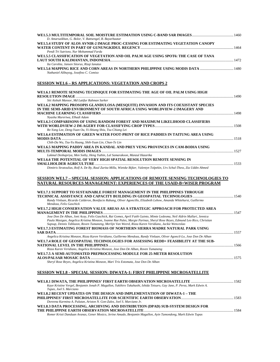| 1460 . 1460 . WULTITEMPORAL SOIL MOISTURE ESTIMATION USING C-BAND SAR IMAGES                                                                                                                                                                         |  |
|------------------------------------------------------------------------------------------------------------------------------------------------------------------------------------------------------------------------------------------------------|--|
| D. Amarsaikhan, G. Bolor, V. Battsengel, B. Bayarbaatar<br>WE1.5.4 STUDY OF ALOS AVNIR-2 IMAGE PROC-CESSING FOR ESTIMATING VEGETATION CANOPY                                                                                                         |  |
|                                                                                                                                                                                                                                                      |  |
| Pendi Tri Sutrisno, Nur Mohammad Farda                                                                                                                                                                                                               |  |
| WE1.5.5 CLASSIFICATION OF VEGETATION AND OIL PALM AGE USING SPOT6: THE CASE OF TANA                                                                                                                                                                  |  |
| Ita Carolita, Jansen Sitorus, Rizgi Ianatus                                                                                                                                                                                                          |  |
| 1480 . 1480 . WELL, S.6 MAPPING RICE AND CORN AREAS IN NORTHERN PHILIPPINE USING MODIS DATA                                                                                                                                                          |  |
| Nathaniel Alibuyog, Josefino C. Comiso                                                                                                                                                                                                               |  |
| <b>SESSION WE1.6 – RS APPLICATIONS: VEGETATION AND CROPS 2</b>                                                                                                                                                                                       |  |
|                                                                                                                                                                                                                                                      |  |
| WE1.6.1 REMOTE SENSING TECHNIQUE FOR ESTIMATING THE AGE OF OIL PALM USING HIGH                                                                                                                                                                       |  |
| Siti Aishah Mansor, Md Latifur Rahman Sarker                                                                                                                                                                                                         |  |
| WE1.6.2 MAPPING PROSOPIS GLANDULOSA (MESQUITE) INVASION AND ITS COEXISTANT SPECIES                                                                                                                                                                   |  |
| IN THE SEMI-ARID ENVIRONMENT OF SOUTH AFRICA USING WORLDVIEW-2 IMAGERY AND                                                                                                                                                                           |  |
| Nyasha Mureriwa, Elhadi Adam                                                                                                                                                                                                                         |  |
| WE1.6.3 COMPARISONS OF USING RANDOM FOREST AND MAXIMUM LIKELIHOOD CLASSIFIERS                                                                                                                                                                        |  |
|                                                                                                                                                                                                                                                      |  |
| Re-Yang Lee, Deng-Yuan Ou, Yi-Shiang Shiu, Tsu-Chiang Lei<br>WE1.6.4 ESTIMATION OF GREEN WATER FOOT-PRINT OF RICE PADDIES IN TAITUNG AREA USING                                                                                                      |  |
|                                                                                                                                                                                                                                                      |  |
| Chih-Da Wu, Tzu-Yu Huang, Shih-Yuan Lin, Chun-Te Lin                                                                                                                                                                                                 |  |
| WE1.6.5 MAPPING PADDY AREA IN KANDAL AND PREY VENG PROVINCES IN CAM-BODIA USING                                                                                                                                                                      |  |
| Lakmal Deshapriya, Men Sothy, Heng Yuthin, Lal Samarakoon, Manzul Hazarika                                                                                                                                                                           |  |
| WE1.6.6 THE POTENTIAL OF VERY HIGH SPATIAL RESOLUTION REMOTE SENSING IN                                                                                                                                                                              |  |
|                                                                                                                                                                                                                                                      |  |
| Dimitris Stratoulias, Rolf A. De By, Raul Zurita-Milla, Wietske Bijker, Valentyn Tolpekin, Urs Schul-Thess, Zia Uddin Ahmed                                                                                                                          |  |
|                                                                                                                                                                                                                                                      |  |
|                                                                                                                                                                                                                                                      |  |
| SESSION WE1.7 – SPECIAL SESSION: APPLICATIONS OF REMOTE SENSING TECHNOLOGIES TO                                                                                                                                                                      |  |
| NATURAL RESOURCES MANAGEMENT: EXPERIENCES OF THE USAID-B+WISER PROGRAM                                                                                                                                                                               |  |
| WE1.7.1 SUPPORT TO SUSTAINABLE FOREST MANAGEMENT IN THE PHILIPPINES THROUGH                                                                                                                                                                          |  |
|                                                                                                                                                                                                                                                      |  |
| Randy Vinluan, Ricardo Calderon, Bonifacio Rabang, Oliver Agoncillo, Elizabeth Lebow, Amanda Whitehurst, Guillermo<br>Mendoza, Felix Gaschick                                                                                                        |  |
| WE1.7.2 HIGH CONSERVATION VALUE AREAS AS A STRATEGIC APPROACH FOR PROTECTED AREA                                                                                                                                                                     |  |
|                                                                                                                                                                                                                                                      |  |
| Jose Don De Alban, Joni Acay, Felix Gaschick, Rai Gomez, April Faith Guinto, Mimie Ledesma, Neil Aldrin Mallari, Jennica<br>Paula Masigan, Angelica Kristina Monzon, Joanne Rae Pales, Margie Parinas, Sheryl Rose Reyes, Edmund Leo Rico, Christian |  |
| Supsup, Dennis Tablazon, Roven Tumaneng, Merlijn Van Weerd, Rizza Karen Veridiano, Jackie Wenceslao                                                                                                                                                  |  |
| WE1.7.3 ESTIMATING FOREST BIOMASS OF NORTHERN SIERRA MADRE NATURAL PARK USING                                                                                                                                                                        |  |
| Angelica Kristina Monzon, Rizza Karen Veridiano, Guillermo Mendoza, Randy Vinluan, Oliver Agoncil-Lo, Jose Don De Alban                                                                                                                              |  |
| WE1.7.4 ROLE OF GEOSPATIAL TECHNOLOGIES FOR ASSESSING REDD+ FEASIBILITY AT THE SUB-                                                                                                                                                                  |  |
|                                                                                                                                                                                                                                                      |  |
| Rizza Karen Veridiano, Angelica Kristina Monzon, Jose Don De Alban, Roven Tumaneng<br>WE1.7.5 A SEMI-AUTOMATED PREPROCESSING MODULE FOR 25-METER RESOLUTION                                                                                          |  |
|                                                                                                                                                                                                                                                      |  |
| Sheryl Rose Reyes, Angelica Kristina Monzon, Mari Trix Estomata, Jose Don De Alban                                                                                                                                                                   |  |
|                                                                                                                                                                                                                                                      |  |
| SESSION WE1.8 - SPECIAL SESSION: DIWATA-1: FIRST PHILIPPINE MICROSATELLITE                                                                                                                                                                           |  |
|                                                                                                                                                                                                                                                      |  |
| Kaye Kristine Vergel, Benjamin Jonah P. Magallon, Yukihiro Takahashi, Ishida Tetsuro, Gay Jane, P. Perez, Mark Edwin A.                                                                                                                              |  |
| Tupas, Joel S. Marciano                                                                                                                                                                                                                              |  |
| WE1.8.2 RECENT UPDATES ON THE DESIGN AND IMPLEMENTATION OF DIWATA-1 – THE                                                                                                                                                                            |  |
| Doreena Karmina A. Pulutan, Ariston N. Gon-Zalez, Joel S. Marciano Jr.                                                                                                                                                                               |  |
| WE1.8.3 DATA PROCESSING, ARCHIVING AND DISTRIBUTION (DPAD) SUB-SYSTEM DESIGN FOR                                                                                                                                                                     |  |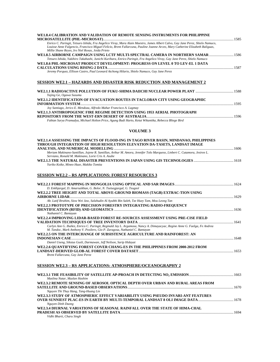| WE1.8.4 CALIBRATION AND VALIDATION OF REMOTE SENSING INSTRUMENTS FOR PHILIPPINE                                                                                                                            |  |
|------------------------------------------------------------------------------------------------------------------------------------------------------------------------------------------------------------|--|
| Enrico C. Paringit, Tetsuro Ishida, Fra Angelico Viray, Mara Alain Maestro, James Albert Calvo, Gay Jane Perez, Shielo Namuco,                                                                             |  |
| Louisse Anne Fulgencio, Francisco Miguel Felicio, Brent Fallarcuna, Pauline Joanne Arceo, Mary Catherine Elizabeth Baliguas,<br>Millie Shane Reyes, Iro Niel Roxas, Joida Prieto                           |  |
| WE1.8.5 AIRBORNE CAMPAIGN USING LCTF MULTI-SPECTRAL CAMERA IN NORTHERN SAMAR  1586                                                                                                                         |  |
| Tetsuro Ishida, Yukihiro Takahashi, Junichi Kurihara, Enrico Paringit, Fra Angelico Viray, Gay Jane Perez, Shielo Namuco<br>WE1.8.6 PHL-MICROSAT PRODUCT DEVELOPMENT: PROGRESS ON LEVEL 0 TO LEV-EL 1 DATA |  |
| Jeremy Porquez, Ellison Castro, Paul Leonard Atchong Hilario, Shielo Namuco, Gay Jane Perez                                                                                                                |  |
|                                                                                                                                                                                                            |  |
| <b>SESSION WE2.1 - HAZARDS AND DISASTER RISK REDUCTION AND MANAGEMENT 2</b>                                                                                                                                |  |
| Yajing Ge, Ogawa Susumu                                                                                                                                                                                    |  |
| WE2.1.2 IDENTIFICATION OF EVACUATION ROUTES IN TACLOBAN CITY USING GEOGRAPHIC                                                                                                                              |  |
| Joy Santiago, Jerico E. Mendoza, Alfredo Mahar Francisco A. Lagmay                                                                                                                                         |  |
| WE2.1.3 ANTHROPOGENIC FIRE REGIME DETECTION USING 1953 AERIAL PHOTOGRAPH                                                                                                                                   |  |
|                                                                                                                                                                                                            |  |
| Fabian Surya Pramudya, Michael Holton Price, Agung Budi Harto, Ketut Wikantika, Rebecca Bliege Bird                                                                                                        |  |
| <b>VOLUME 3</b>                                                                                                                                                                                            |  |
| WE2.1.4 ASSESSING THE IMPACTS OF FLOOD-ING IN TAGO RIVER BASIN, MINDANAO, PHILIPPINES                                                                                                                      |  |
| THROUGH INTEGRATION OF HIGH RESOLUTION ELEVATION DA-TASETS, LANDSAT IMAGE                                                                                                                                  |  |
|                                                                                                                                                                                                            |  |
| Meriam Makinano-Santillan, Jojene R. Santillan, Arthur M. Amora, Jennifer Tolo Marqueso, Linbert C. Cutamora, Jesiree L.<br>Serviano, Ronald M. Makinano, Lorie Cris A. Asube                              |  |
| Yuriko Koike, Mineo Haze, Makiko Tomita                                                                                                                                                                    |  |
|                                                                                                                                                                                                            |  |
| <b>SESSION WE2.2 - RS APPLICATIONS: FOREST RESOURCES 3</b>                                                                                                                                                 |  |
|                                                                                                                                                                                                            |  |
| D. Enkhjargal, D. Amarsaikhan, G. Bolor, N. Tsetsegjargal, G. Tsogzol                                                                                                                                      |  |
| WE2.2.2 TREE HEIGHT AND TOTAL ABOVE-GROUND BIOMASS (TAGB) EXTRAC-TION USING                                                                                                                                |  |
| Ab. Latif Ibrahim, Siow Wei Jaw, Salahudin Al Ayubbi Bin Saleh, Tze Huey Tam, Mou Leong Tan                                                                                                                |  |
| WE2.2.3 PROTOTYPE OF PRECISION FORESTRY INTEGRATING RADIO-FREQUENCY                                                                                                                                        |  |
| Nathaniel C. Bantayan                                                                                                                                                                                      |  |
| WE2.2.4 IMPROVING LIDAR-BASED FOREST RE-SOURCES ASSESSMENT USING PRE-CISE FIELD                                                                                                                            |  |
|                                                                                                                                                                                                            |  |
| Carlyn Ann G. Ibañez, Enrico C. Paringit, Reginald Jay L. Argamosa, Nancy A. Dimayacyac, Regine Anne G. Faelga, Fe Andrea<br>M. Tandoc, Mark Anthony V. Posilero, Gio P. Zaragosa, Nathaniel C. Bantayan   |  |
| WE2.2.5 ON THE INTERCHANGE OF SUBSISTENCE AGRICULTURE AND RAINFOREST: AN                                                                                                                                   |  |
|                                                                                                                                                                                                            |  |
| Daniel Useng, Sikstus Gusli, Darmawan, Jeff Neilson, Sarip Hidayat                                                                                                                                         |  |
| WE2.2.6 QUANTIFYING FOREST COVER CHANG-ES IN THE PHILIPPINES FROM 2000-2012 FROM                                                                                                                           |  |
| Brent Fallarcuna, Gay Jane Perez                                                                                                                                                                           |  |
| <b>SESSION WE2.3 – RS APPLICATIONS: ATMOSPHERE/OCEANOGRAPHY 2</b>                                                                                                                                          |  |
|                                                                                                                                                                                                            |  |
| Maslina Natar, Mazlan Hashim                                                                                                                                                                               |  |
| WE2.3.2 REMOTE SENSING OF AEROSOL OPTICAL DEPTH OVER URBAN AND RURAL AREAS FROM                                                                                                                            |  |
| Nguyen Thi Thuy Hang, Tang-Huang Lin                                                                                                                                                                       |  |
| WE2.3.3 STUDY OF ATMOSPHERIC EFFECT VARIABILITY USING PSEUDO INVARI-ANT FEATURES                                                                                                                           |  |
|                                                                                                                                                                                                            |  |

*Nguyen Dinh Duong*  **WE2.3.4 DIURNAL VARIATIONS OF SEASONAL RAINFALL OVER THE STATE OF HIMA-CHAL PRADESH AS OBSERVED BY SATELLITE DATA**.............................................................................................................................1694 *Vidhi Bharti, Charu Singh*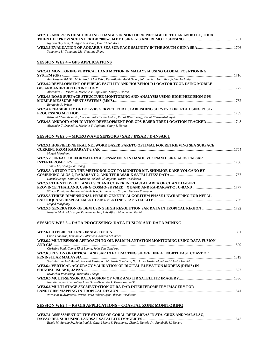| WE2.3.5 ANALYSIS OF SHORELINE CHANGES IN NORTHERN PASSAGE OF THUAN AN INLET, THUA<br>THIEN HUE PROVINCE IN PERIOD 2000-2014 BY USING GIS AND REMOTE SENSING …………………………………………………………………………… |  |
|-------------------------------------------------------------------------------------------------------------------------------------------------------------------------------------------|--|
| Nguyen Huy Anh, Ho Ngoc Anh Tuun, Dinh Thanh Kien                                                                                                                                         |  |
| Yonghong Li, Tongtong Liu, Shaoling Shang                                                                                                                                                 |  |
|                                                                                                                                                                                           |  |
| <b>SESSION WE2.4 – GPS APPLICATIONS</b>                                                                                                                                                   |  |
| WE2.4.1 MONITORING VERTICAL LAND MOTION IN MALAYSIA USING GLOBAL POSI-TIONING                                                                                                             |  |
| Ami Hassan Md Din, Mohd Nadzri Md Reba, Kam-Aludin Mohd Omar, Sahrum Ses, Amir Sharifuddin Ab Latip                                                                                       |  |
| WE2.4.2 DEVELOPMENT OF PUBLIC FACILITY AND HOUSEHOLD LOCATOR TOOL USING MOBILE                                                                                                            |  |
|                                                                                                                                                                                           |  |
| Alexander T. Demetillo, Michelle V. Japi-Tana, Sonny S. Norca                                                                                                                             |  |
| WE2.4.3 ROAD SURFACE STRUCTURE MONITORING AND ANALYSIS USING HIGH PRECISION GPS                                                                                                           |  |
| Bonifacio R. Prieto                                                                                                                                                                       |  |
| WE2.4.4 FEASIBILITY OF DOL-VRS SERVICE FOR ESTABLISHING SURVEY CONTROL USING POST-                                                                                                        |  |
| Kitsanut Chanutboonsin, Constantin-Octavian Andrei, Kanok Weerawong, Teetat Charoenkalunyuta                                                                                              |  |
| WE2.4.5 ANDROID APPLICATION DEVELOPMENT FOR GPS-BASED TREE LOCATION TRACKER ………………………………………………………………                                                                                      |  |
| Alexander T. Demetillo, Michelle V. Japitana, Sonny S. Norca                                                                                                                              |  |
| SESSION WE2.5 – MICROWAVE SENSORS / SAR / INSAR / D-INSAR 1                                                                                                                               |  |
|                                                                                                                                                                                           |  |
| WE2.5.1 HOPFIELD NEURAL NETWORK BASED PARETO OPTIMAL FOR RETRIEVING SEA SURFACE<br>Maged Marghany                                                                                         |  |
| WE2.5.2 SURFACE DEFORMATION ASSESS-MENTS IN HANOI, VIETNAM USING ALOS PALSAR                                                                                                              |  |
| Tuan S Le, Chung-Pai Chang                                                                                                                                                                |  |
| WE2.5.3 A STUDY FOR THE METHODOLOGY TO MONITOR MT. SHINMOE-DAKE VOLCANO BY                                                                                                                |  |
| Daisuke Sango, Shunichi Kusano, Takashi Shibayama, Kazuo Yoshikawa                                                                                                                        |  |
| WE2.5.4 THE STUDY OF LAND USE/LAND COV-ER IN COASTAL AREA OF CHANTHA-BURI                                                                                                                 |  |
|                                                                                                                                                                                           |  |
| Wimon Pathtong, Amornchai Prakobya, Suramongkon Siripon, Nuttorn Kaewpoo                                                                                                                  |  |
| WE2.5.5 THREE-DIMENSIONAL HYBRID GENETIC ALGORITHM PHASE UNWRAPPING FOR NEPAL                                                                                                             |  |
| Maged Marghany                                                                                                                                                                            |  |
| WE2.5.6 GENERATION OF DEM USING HIGH RESOLUTION SAR DATA IN TROPICAL REGION 1792                                                                                                          |  |
| Nasuha Ishak, Md Latifur Rahman Sarker, Anis Afirah Mohammad Radhi                                                                                                                        |  |
| SESSION WE2.6 – DATA PROCESSING: DATA FUSION AND DATA MINING                                                                                                                              |  |
|                                                                                                                                                                                           |  |
| Charis Lanaras, Emmanuel Baltsavias, Konrad Schindler                                                                                                                                     |  |
| WE2.6.2 MULTISENSOR APPROACH TO OIL PALM PLANTATION MONITORING USING DATA FUSION                                                                                                          |  |
| Christine Pohl, Chong Khai Loong, John Van Genderen                                                                                                                                       |  |
| WE2.6.3 FUSION OF OPTICAL AND SAR IN EXTRACTING SHORELINE AT NORTHEAST COAST OF                                                                                                           |  |
| Syaifulnizam Abd Manaf, Norwati Mustapha, Md Nasir Sulaiman, Nor Azura Husin, Mohd Radzi Abdul Hamid                                                                                      |  |
| WEA CA VEDTICAL A COURA CV VALUATION OF BICITAL FLEVATION MOBELS (BEMS) IN                                                                                                                |  |

| WE2.6.4 VERTICAL ACCURACY VALIDATION OF DIGITAL ELEVATION MODELS (DEMS) IN |      |
|----------------------------------------------------------------------------|------|
|                                                                            |      |
| Kwanchai Pakoksung, Masataka Takagi                                        |      |
|                                                                            |      |
| Nam-Ki Jeong, Hyung-Sup Jung, Sung-Hwan Park, Kwan-Young Oh                |      |
| WE2.6.6 MULTI-STAGE SEGMENTATION OF RA-DAR INTERFEROMETRY IMAGERY FOR      |      |
|                                                                            | 1841 |
| Wirastuti Widyatmanti, Prima Dinta Rahma Syam, Ikhsan Wicaksono            |      |
|                                                                            |      |

**SESSION WE2.7 – RS GIS APPLICATIONS – COASTAL ZONE MONITORING**

| WE2.7.1 ASSESSMENT OF THE STATUS OF CORAL REEF AREAS IN STA. CRUZ AND MALALAG.                         |      |
|--------------------------------------------------------------------------------------------------------|------|
|                                                                                                        | 1842 |
| Remie M. Aurelio Jr., John Paul B. Onez, Melvin S. Pasaporte, Cleto L. Nanola Jr., Annabelle U. Novero |      |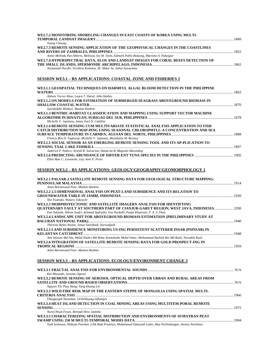| WE2.7.2 MONITORING SHORELING CHANGES IN EAST COASTS OF KOREA USING MULTI-                    |      |
|----------------------------------------------------------------------------------------------|------|
|                                                                                              | 1849 |
| Young Choung                                                                                 |      |
| WE2.7.3 REMOTE SENSING APPLICATION OF THE GEOPHYSICAL CHANGES IN THE COASTLINES              |      |
|                                                                                              | 1852 |
| Annie Melinda Paz-Alberto, Melisssa Joy M. Sison, Edmark Pablo Bulaong, Marietta A. Pakaigue |      |
| WE2.7.4 HYPERSPECTRAL DATA, ALOS AND LANDSAT IMAGES FOR CORAL REEFS DETECTION OF             |      |
|                                                                                              |      |
| Nurjannah Nurdin, Teruhisa Komatsu, M. Akbar As, Suhai Sawayama                              |      |

# **SESSION WE3.1 – RS APPLICATIONS: COASTAL ZONE AND FISHERIES 2**

| WE3.1.1 GEOSPATIAL TECHNIQUES ON HARMFUL ALGAL BLOOM DETECTION IN THE PHILIPPINE                                 |  |
|------------------------------------------------------------------------------------------------------------------|--|
| Aldwin Torres Almo, Laura T. David, John Hedley                                                                  |  |
| WE3.1.2 ON MODELS FOR ESTIMATION OF SUBMERGED SEAGRASS ABOVEGROUND BIOMASS IN                                    |  |
| Syarifuddin Misbari, Mazlan Hashim                                                                               |  |
| WE3.1.3 BENTHIC-HABITAT CLASSIFICATION AND MAPPING USING SUPPORT VECTOR MACHINE                                  |  |
|                                                                                                                  |  |
| Michelle V. Japitana, James Earl D. Cubillas                                                                     |  |
| WE3.1.4 REMOTE SENSING CUM MULTIVARIATE STATISTICAL ANALYSIS APPLICATION TO FISH                                 |  |
| CATCH DISTRIBUTION MAP-PING USING SEASONAL CHLOROPHYLL-A CONCENTRATION AND SEA                                   |  |
| Francis Ben D. Taglucop, Michelle V. Japitana, Monalaine M. Bermoy                                               |  |
| WE3.1.5 SOCIAL SENSOR AS AN EMERGING REMOTE SENSING TOOL AND ITS AP-PLICATION TO                                 |  |
|                                                                                                                  |  |
| Jaderick P. Pabico, Arnold R. Salvacion, Dama-Sa B. Magcale-Macandog                                             |  |
| Ellen Mae C. Leonardo, Gay Jane P. Perez                                                                         |  |
| SESSION WE3.2 – RS APPLICATIONS: GEOLOGY/GEOGRAPHY/GEOMORPHOLOGY 1                                               |  |
|                                                                                                                  |  |
| WE3.2.1 PALSAR-2 SATELLITE REMOTE SENSING DATA FOR GEOLOGICAL STRUCTURE MAPPING:                                 |  |
|                                                                                                                  |  |
| Amin Beiranvand Pour, Mazlan Hashim                                                                              |  |
| WE3.2.2 2.5-DIMENSIONAL ANALYSIS ON PEAT-LAND SUBSIDENCE AND ITS RELATION TO                                     |  |
|                                                                                                                  |  |
| Sho Tsunoda, Wataru Takeuchi                                                                                     |  |
| WE3.2.3 MORPHOTECTONIC AND SATELLITE IMAGERY ANALYSIS FOR IDENTIFYING                                            |  |
| QUATERNARY FAULT AT SOUTHERN PART OF CIANJUR-GARUT REGION, WEST JAVA, INDONESIA  1930                            |  |
| Emi Sukiyah, Ildrem Syafri, Achmad Sjafrudin, Eza Nurfadli, Puspa Khaerani, P. A. S. Dian                        |  |
| WE3.2.4 LANDSCAPE UNIT FOR ABOVEGROUND BIOMASS ESTIMATION (PRELIMINARY STUDY AT                                  |  |
| Theresia Retno Wulan, Junun Sartohadi, Nurwadjedi                                                                |  |
| WE3.2.5 LAND SUBSIDENCE MONITORING US-ING PERSISTENT SCATTERER INSAR (PSINSAR) IN                                |  |
|                                                                                                                  |  |
| Ami Hassan Md Din, Mohd Nadzri Md Reba, Kamaludin Mohd Omar, Mohammad Rashidi Bin Md Razli, Noradila Rusli       |  |
| WE3.2.6 INTEGRATION OF SATELLITE REMOTE SENSING DATA FOR GOLD PROSPECT-ING IN                                    |  |
|                                                                                                                  |  |
| Amin Beiranvand Pour, Mazlan Hashim                                                                              |  |
| <b>SESSION WE3.3 – RS APPLICATIONS: ECOLOGY/ENVIRONMENT CHANGE 3</b>                                             |  |
|                                                                                                                  |  |
| Kai Miyazaki, Susumu Ogawa                                                                                       |  |
| WE3.3.2 REMOTE SENSING OF AEROSOL OPTICAL DEPTH OVER URBAN AND RURAL AREAS FROM                                  |  |
|                                                                                                                  |  |
| Nguyen Thi Thuy Hang, Tang-Huang Lin                                                                             |  |
| WE3.3.3 WILD FIRE RISK MAP IN THE EASTERN STEPPE OF MONGOLIA USING SPATIAL MULTI-                                |  |
|                                                                                                                  |  |
| Elbegjargal Nasanbat, Ochirkhuyag Lkhamjav                                                                       |  |
| WE3.3.4 HEAT ISLAND DETECTION IN COAL MINING AREAS USING MULTITEM-PORAL REMOTE                                   |  |
|                                                                                                                  |  |
| Nurul Ihsan Fawzi, Retnadi Heru Jatmiko                                                                          |  |
| WE3.3.5 CHARACTERIZING SPATIAL DISTRIBUTION AND ENVIRONMENTS OF SUMATRAN PEAT                                    |  |
|                                                                                                                  |  |
| Yudi Setiawan, Hidayat Pawitan, Lilik Budi Prasetyo, Muhammad Irfansyah Lubis, May Parlindungan, Annisa Nurdiana |  |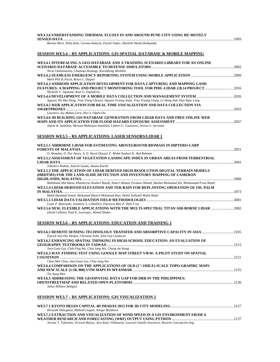# **WE3.3.6 UNDERSTANDING THERMAL FLUXES IN AND AROUND PUNE CITY USING RE-MOTELY SENSED DATA** ............................................................................................................................................................................................1993

*Ravina More, Neha Kale, Garima Kataria, Piyush Yadav, Shailesh Shank Deshpande* 

# **SESSION WE3.4 – RS APPLICATIONS: GIS SPATIAL DATABASE & MOBILE MAPPING**

| WE3.4.1 INTERFACING A GEO-DATABASE AND A TRAINING SCENARIO LIBRARY FOR AN ONLINE                                                             |  |
|----------------------------------------------------------------------------------------------------------------------------------------------|--|
| Nirut Chalainanont, Chamnan Kumsap, Worakhong Meekhla                                                                                        |  |
| Mark Phil B. Pacot, Rolyn C. Daguil                                                                                                          |  |
| WE3.4.3 ANDROID APPLICATION DEVELOPMENT FOR DATA CAPTURING AND MAPPING LAND                                                                  |  |
| FEATURES: A MAPPING AND PROJECT MONITORING TOOL FOR PHIL-LIDAR 2.B.14 PROJECT2016<br>Michelle V. Japitana, Roel G. Damalerio                 |  |
|                                                                                                                                              |  |
| Nguyen Thi Mai Dung, Tran Trung Chuyen, Nguyen Truong Xuan, Tran Truong Giang, Le Hong Anh, Dao Ngoc Long                                    |  |
| WE3.4.5 WEB APPLICATION FOR REAL TIME VISUALIZATION AND DATA COLLECTION VIA                                                                  |  |
| Laurence Jay Mabao Lerit, Alex S. Olpen-Da                                                                                                   |  |
| WE3.4.6 3D BUILDING GIS DATABASE GENERATION FROM LIDAR DATA AND FREE ONLINE WEB                                                              |  |
| Jojene R. Santillan, Meriam Makinano-Santillan, Linbert C. Cutamora, Jesiree L. Serviano                                                     |  |
| <u>SESSION WE3.5 – RS APPLICATIONS: LASER SENSORS/LIDAR 1</u>                                                                                |  |
| WE3.5.1 AIRBORNE LIDAR FOR ESTIMATING ABOVEGROUND BIOMASS IN DIPTERO-CARP                                                                    |  |
| O. Hamdan, O. Nor Azura, A. D. Nurul Dasani, F. Mohd Azahari K. Abd Rahman                                                                   |  |
| WE3.5.2 ASSESSMENT OF VEGETATION LANDSCAPE INDEX IN URBAN AREAS FROM TERRESTRIAL                                                             |  |
|                                                                                                                                              |  |
| Takuhiro Wakita, Junichi Susaki, Amane Kuriki<br>WE3.5.3 THE APPLICATION OF LIDAR DERIVED HIGH RESOLUTION DIGITAL TERRAIN MODELS             |  |
| (HRDTMS) FOR THE LAND-SLIDE DETECTION AND INVENTORY MAPPING OF CAMERON                                                                       |  |
|                                                                                                                                              |  |
| Mohamad Abd Mana, Khamarrul Azahari Razak, Azhari Ahmad, Ferdaus Ahmad, Mazlan Mohamad Zin, Mohammad Firuz Ramli                             |  |
| WE3.5.4 LIDAR-DERIVED ELEVATION AND TER-RAIN FOR REPLANTING OPERATION OF OIL PALM                                                            |  |
| Mohd Hasmadi Ismail, Mohamad Khairil Mohamad Razi, Helmi Zulhaidi Mohd Shafri                                                                |  |
|                                                                                                                                              |  |
| Louie P. Balicanta, Joemarie S. Caballero, Patrizcia Mae P. Dela Cruz                                                                        |  |
| WE3.5.6 NEW, FLEXIBLE APPLICATIONS WITH THE MULTI-SPECTRAL TITAN AIR-BORNE LIDAR 2082<br>David Collison, Paul E. Larocque, Ahmed Shaker      |  |
| <b>SESSION WE3.6 – RS APPLICATIONS: EDUCATION AND TRAINING 1</b>                                                                             |  |
| WE3.6.1 REMOTE SENSING TECHNOLOGY TRANSFER AND ABSORPTIVE CAPACITY IN ASIA 2105<br>Patrick Van Der Heiden, Christine Pohl, John Van Genderen |  |
| WE3.6.2 ENHANCING SPATIAL THINKING IN HIGH-SCHOOL EDUCATION: AN EVALUATION OF                                                                |  |
| Jinn-Guey Lay, Chih-Ying Wu, Chia-Jung Wu, Chung-An Wang                                                                                     |  |
| WE3.6.3 WAY-FINDING TEST USING GOOGLE MAP STREET VIEW: A PILOT STUDY ON SPATIAL                                                              |  |
| Chun-Min Chou, Jinn-Guey Lay, Chia-Jung Wu                                                                                                   |  |
| WE3.6.4 COMPARISON ON THE APPLICATIONS OF OLD (1":1MILE) SCALE TOPO-GRAPHIC MAPS                                                             |  |
| Tin Aung Moe                                                                                                                                 |  |
| WE3.6.5 ADDRESSING THE GEOSPATIAL DATA GAP FOR DRR IN THE PHILIPPINES:                                                                       |  |
| Julius Millano Bañgate                                                                                                                       |  |
| <b>SESSION WE3.7 - RS APPLICATIONS: GIS VISUALIZATION 2</b>                                                                                  |  |
|                                                                                                                                              |  |
|                                                                                                                                              |  |

| Hiroyuki Hasegawa, Mahesh Gogate, Kengo Miyahara                                                              |  |
|---------------------------------------------------------------------------------------------------------------|--|
| WE3.7.2 EXTRACTION AND VISUALIZATION OF WIND SPEED IN A GIS ENVIRONMENT FROM A                                |  |
|                                                                                                               |  |
| Jerome T. Tolentino, Victoria Rejuso, Jara Kaye Villanueva, Loureal Camille Inocencio, Rosario Concepcion Ang |  |
|                                                                                                               |  |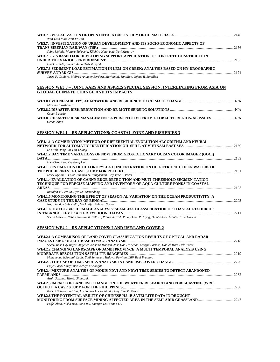| Wan-Hsin Mao, Jihn-Fa Jan                                                                                                                                                                   |  |
|---------------------------------------------------------------------------------------------------------------------------------------------------------------------------------------------|--|
| WE3.7.4 INVESTIGATION OF URBAN DEVELOPMENT AND ITS SOCIO-ECONOMIC ASPECTS OF                                                                                                                |  |
| Seina Uchida, Wataru Takeuchi, Kiichiro Hatoyama, Yuri Mazurov                                                                                                                              |  |
| WE3.7.5 GIS BASED FOR DEVELOPING SUPPORT APPLICATION OF CONCRETE CONSTRUCTION                                                                                                               |  |
| Hiroki Ishida, Sumiko Anno, Takeshi Iyoda                                                                                                                                                   |  |
| WE3.7.6 SEDIMENT LOAD ESTIMATION IN LEM-ON CREEK; ANALYSIS BASED ON HY-DROGRAPHIC                                                                                                           |  |
|                                                                                                                                                                                             |  |
| Jared P. Culdora, Melfred Anthony Berdera, Meriam M. Santillan, Jojene R. Santillan                                                                                                         |  |
| <u>SESSION WE3.8 - JOINT AARS AND ASPRES SPECIAL SESSION: INTERLINKING FROM ASIA ON</u>                                                                                                     |  |
| <b>GLOBAL CLIMATE CHANGE AND ITS IMPACTS</b>                                                                                                                                                |  |
| Mitsunori Yoshimura                                                                                                                                                                         |  |
| Oscar Lizardo                                                                                                                                                                               |  |
| WE3.8.3 DISASTER RISK MANAGEMENT: A PER-SPECTIVE FROM GLOBAL TO REGION-AL ISSUES<br>Orhan Altan                                                                                             |  |
| <b>SESSION WE4.1 - RS APPLICATIONS: COASTAL ZONE AND FISHERIES 3</b>                                                                                                                        |  |
| WE4.1.1 A COMBINATION METHOD OF DIFFERENTIAL EVOLUTION ALGORITHM AND NEURAL                                                                                                                 |  |
| Le Minh Hang, Vu Van Truong                                                                                                                                                                 |  |
| WE4.1.2 DAY TIME VARIATIONS OF NDVI FROM GEOSTATIONARY OCEAN COLOR IMAGER (GOCI)                                                                                                            |  |
| Hwa-Seon Lee, Kyu-Sung Lee                                                                                                                                                                  |  |
| WE4.1.3 ESTIMATION OF CHLOROPYLLA CONCENTRATION ON OLIGOTROPHIC OPEN WATERS OF                                                                                                              |  |
| Mark Jayson B. Felix, Jamaica N. Pangasinan, Gay Jane P. Perez                                                                                                                              |  |
| WE4.1.4 EVALUATION OF CANNY EDGE DETEC-TION AND MUTI-THRESHOLD SEGMEN-TATION                                                                                                                |  |
| TECHNIQUE FOR PRECISE MAPPING AND INVENTORY OF AQUA-CULTURE PONDS IN COASTAL                                                                                                                |  |
| Rudolph V. Peralta, Ayin M. Tamondong                                                                                                                                                       |  |
| WE4.1.5 MONITORING THE EFFECT OF SEASON-AL VARIATION ON THE OCEAN PRODUCTIVITY: A                                                                                                           |  |
| Noor Saadah Sabarudin, Md Latifur Rahman Sarker                                                                                                                                             |  |
| WE4.1.6 OBJECT-BASED IMAGE ANALYSIS: SEAMLESS CLASSIFICATION OF COASTAL RESOURCES                                                                                                           |  |
| Sheila Marie S. Rabi, Christine R. Beltran, Rianel April A. Palo, Omar P. Jayag, Humberto R. Montes Jr., P Garcia                                                                           |  |
| <b>SESSION WE4.2 – RS APPLICATIONS: LAND USE/LAND COVER 2</b>                                                                                                                               |  |
|                                                                                                                                                                                             |  |
| WE4.2.1 A COMPARISON OF LAND COVER CLASSIFICATION RESULTS OF OPTICAL AND RADAR                                                                                                              |  |
|                                                                                                                                                                                             |  |
| Sheryl Rose Cay Reyes, Angelica Kristina Monzon, Jose Don De Alban, Margie Parinas, Daniel Marc Dela Torre<br>WE4.2.2 CHANGING LANDSCAPE OF JAMBI PROVINCE: A MULTI TEMPORAL ANALYSIS USING |  |
|                                                                                                                                                                                             |  |
| Muhammad Irfansyah Lubis, Yudi Setiawan, Hidayat Pawitan, Lilik Budi Prasetyo                                                                                                               |  |
|                                                                                                                                                                                             |  |
| Fulya Basak Sariyilmaz, Nebiye Musaoglu<br>WE4.2.4 MIXTURE ANALYSIS OF MODIS NDVI AND NDWI TIME-SERIES TO DETECT ABANDONED                                                                  |  |
|                                                                                                                                                                                             |  |
| Asahi Sakuma, Hiroto Shimazaki<br>WE4.2.5 IMPACT OF LAND USE CHANGE ON THE WEATHER RESEARCH AND FORE-CASTING (WRF)                                                                          |  |
|                                                                                                                                                                                             |  |

**OUTPUT: A CASE STUDY FOR THE PHILIPPINES**..........................................................................................................................2238 *Robert Baluyot Badrina, Jay Samuel L. Combinido, Gay Jane P. Perez* 

**MONITORING FROM SURFACE MINING AFFECTED AREA IN THE SEMI-ARID GRASSLAND**.......................................2247 *Feifei Zhao, Nisha Bao, Lixin Wu, Shanjun Liu, Yanan Liu* 

**WE4.2.6 THE POTENTIAL ABILITY OF CHINESE HJ-1B SATELLITE DATA IN DROUGHT**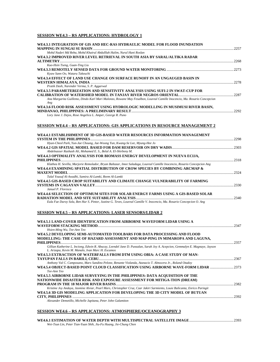# **SESSION WE4.3 – RS APPLICATIONS: HYDROLOGY 1**

| WE4.3.1 INTEGRATION OF GIS AND HEC-RAS HYDRAULIC MODEL FOR FLOOD INUNDATION                                                                                                                     |  |
|-------------------------------------------------------------------------------------------------------------------------------------------------------------------------------------------------|--|
| Mohd Nadzri Md Reba, Mohd Khairul Abdulllah Halim, Nurul Hani Roslan                                                                                                                            |  |
| WE4.3.2 IMPROVED RIVER LEVEL RETRIEVAL IN SOUTH ASIA BY SARAL/ALTIKA RADAR                                                                                                                      |  |
| Kuo-Hsin Tseng, Guan-Ting Liu<br>Kyaw Sann Oo, Wataru Takeuchi                                                                                                                                  |  |
| WE4.3.4 EFFECT OF LAND USE CHANGE ON SURFACE RUNOFF IN AN UNGAUGED BASIN IN                                                                                                                     |  |
| Pratik Dash, Narender Verma, S. P. Aggarwal                                                                                                                                                     |  |
| WE4.3.5 PARAMETERIZATION AND SENSITIVITY ANALYSIS USING SUFI-2 IN SWAT-CUP FOR                                                                                                                  |  |
| Ana Margarita Guillemo, Dindo Karl Mari Malonzo, Rowane May Fesalbon, Loureal Camille Inocencio, Ma. Rosario Concepcion<br>Ang                                                                  |  |
| WE4.3.6 FLOOD RISK ASSESSMENT USING HYDROLOGIC MODELLING IN MUSIMUSI RIVER BASIN,                                                                                                               |  |
| Lory Jane J. Dejos, Rose Angelica L. Amper, George R. Puno                                                                                                                                      |  |
| <b>SESSION WE4.4 - RS APPLICATIONS: GIS APPLICATIONS IN RESOURCE MANAGEMENT 2</b>                                                                                                               |  |
| WE4.4.1 ESTABLISHMENT OF 3D GIS-BASED WATER RESOURCES INFORMATION MANAGEMENT                                                                                                                    |  |
| Hyun-Cheol Park, Yun-Jae Choung, Jae-Woong Yun, Kwang-Se Lee, Myung-Hee Jo                                                                                                                      |  |
| Abdelnasser Rashash Ali, Mohamed E. S., Belal A. El-Shirbeny M.                                                                                                                                 |  |
| WE4.4.3 OPTIMALITY ANALYSIS FOR BIOMASS ENERGY DEVELOPMENT IN NUEVA ECIJA,                                                                                                                      |  |
|                                                                                                                                                                                                 |  |
| Klathea H. Sevilla, Marjorie Remolador, Bryan Baltazar, Imee Saladaga, Loureal Camille Inocencio, Rosario Concepcion Ang                                                                        |  |
| WE4.4.4 EXAMINING SPATIAL DISTRIBUTION OF CROW SPECIES BY COMBINING ARCMAP &                                                                                                                    |  |
| Talal Yousuf Al-Awadhi, Samira Al-Lamki, Reem Al-Lamki                                                                                                                                          |  |
| WE4.4.5 GIS-BASED CROP SUITABILITY AND CLIMATE CHANGE VULNERABILITY OF FARMING<br>Januel P. Floresca                                                                                            |  |
| WE4.4.6 SELECTION OF OPTIMUM SITES FOR SOLAR ENERGY FARMS USING A GIS-BASED SOLAR                                                                                                               |  |
|                                                                                                                                                                                                 |  |
| Eula Fae Duroy Sola, Ben Hur S. Pintor, Justine G. Teves, Loureal Camille V. Inocencio, Ma. Rosario Concepcion O. Ang                                                                           |  |
| <b>SESSION WE4.5 - RS APPLICATIONS: LASER SENSORS/LIDAR 2</b>                                                                                                                                   |  |
| WE4.5.1 LAND-COVER IDENTIFICATION FROM AIRBORNE WAVEFORM LIDAR USING A                                                                                                                          |  |
|                                                                                                                                                                                                 |  |
| Hsien-Ming Wu, Tee-Ann Teo<br>WE4.5.2 DEVELOPING SEMI-AUTOMATED TOOLBARS FOR DATA PROCESSING AND FLOOD                                                                                          |  |
| MODELLING: THE CASE OF HAZARD ASSESSMENT AND MAP-PING IN MIMAROPA AND LAGUNA,                                                                                                                   |  |
| Gillian Katherine L. Inciong, Edwin R. Abucay, Leendel Jane D. Punzalan, Sarah Joy A. Acepcion, Gemmalyn E. Magnaye, Jayson                                                                     |  |
| L. Arizapa, Kevin M. Manalo, Ivan Marc H. Escamos<br>WE4.5.3 EXTRACTION OF WATERFALLS FROM DTM USING OBIA: A CASE STUDY OF MAN-                                                                 |  |
|                                                                                                                                                                                                 |  |
| Anthony Val C. Camposano, Marx Sandino Pelone, Renante Violanda, Atanacio T. Almocera Jr., Roland Otadov<br>WE4.5.4 OBJECT-BASED POINT CLOUD CLASSIFICATION USING AIRBORNE WAVE-FORM LIDAR 2373 |  |
| Tee-Ann Teo                                                                                                                                                                                     |  |
| WE4.5.5 AIRBORNE LIDAR SURVEYING IN THE PHILIPPINES: DATA ACQUISITION OF THE<br><b>NATIONWIDE DISASTER RISK AND EXPOSURE ASSESSMENT FOR MITIGA-TION (DREAM)</b>                                 |  |
| Kristine Joy Andaya, Jasmine Alviar, Pearl Mars, Christopher Cruz, Czar Jakiri Sarmiento, Louie Balicanta, Enrico Paringit                                                                      |  |
| WE4.5.6 3D GIS MODELING APPLICATION FOR DEVELOPING THE 3D CITY MODEL OF BUTUAN                                                                                                                  |  |
| Alexander Demetillo, Michelle Japitana, Peter John Galamiton                                                                                                                                    |  |
|                                                                                                                                                                                                 |  |
| <u>SESSION WE4.6 - RS APPLICATIONS: ATMOSPHERE/OCEANOGRAPHY 3</u>                                                                                                                               |  |

**WE4.6.1 ESTIMATION OF WATER DEPTH WITH MULTISPECTRAL SATELLITE IMAGE**.................................................2393 *Wei-Tsun Lin, Peter Tian-Yuan Shih, Jiu-Fu Huang, Jie-Chung Chen*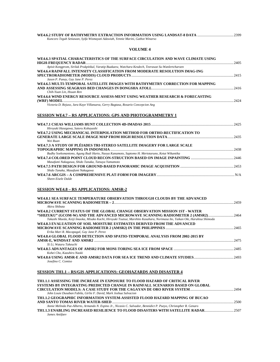| Kuncoro Teguh Setiawan, Syifa Wismayati Adawiah, Yennie Marini, Gathot Winarso |  |
|--------------------------------------------------------------------------------|--|

# **VOLUME 4**

| WE4.6.3 SPATIAL CHARACTERISTICS OF THE SURFACE CIRCULATION AND WAVE CLIMATE USING                                          |  |
|----------------------------------------------------------------------------------------------------------------------------|--|
| Apisit Kongprom, Siriluk Prukpitikul, Varatip Buakaew, Watchara Kesdech, Teerawat Su-Wanlertcharoen                        |  |
| WE4.6.4 RAINFALL INTENSITY CLASSIFICATION FROM MODERATE RESOLUTION IMAG-ING                                                |  |
|                                                                                                                            |  |
| Jason P. Punay, Gay Jane P. Perez                                                                                          |  |
| WE4.6.5 MULTI-TEMPORAL SATELLITE IMAGES WITH BATHYMETRY CORRECTION FOR MAPPING                                             |  |
|                                                                                                                            |  |
| Chih-Yuan Lin, Hsuan Ren                                                                                                   |  |
| WE4.6.6 WIND ENERGY RESOURCE ASSESS-MENT USING WEATHER RESEARCH & FORECASTING                                              |  |
|                                                                                                                            |  |
| Victoria D. Rejuso, Jara Kaye Villanueva, Gerry Bagtasa, Rosario Concepcion Ang                                            |  |
| <b>SESSION WE4.7 – RS APPLICATIONS: GPS AND PHOTOGRAMMETRY 1</b>                                                           |  |
|                                                                                                                            |  |
| Hiroyuki Hasegawa, Satoru Kobayashi                                                                                        |  |
| WE4.7.2 USING MECHANICAL INTERPOLATION METHOD FOR ORTHO-RECTIFICATION TO                                                   |  |
|                                                                                                                            |  |
| Wei Ruan                                                                                                                   |  |
| WE4.7.3 A STUDY OF PLÉIADES TRI-STEREO SATELLITE IMAGERY FOR LARGE SCALE                                                   |  |
|                                                                                                                            |  |
| Budhy Soeksmantono, Agung Budi Harto, Naoya Kanamoto, Saptomo H. Mertotaruno, Ketut Wikantika                              |  |
|                                                                                                                            |  |
| Masafumi Nakagawa, Shido Tanaka, Tatsuya Yamamoto                                                                          |  |
|                                                                                                                            |  |
| Shido Tanaka, Masafumi Nakagawa                                                                                            |  |
|                                                                                                                            |  |
| Sheen Eisele Dalde                                                                                                         |  |
|                                                                                                                            |  |
| <b>SESSION WE4.8 – RS APPLICATIONS: AMSR-2</b>                                                                             |  |
| WE4.8.1 SEA SURFACE TEMPERATURE OBSERVATION THROUGH CLOUDS BY THE ADVANCED                                                 |  |
|                                                                                                                            |  |
| Akira Shibata                                                                                                              |  |
| WE4.8.2 CURRENT STATUS OF THE GLOBAL CHANGE OBSERVATION MISSION 1ST - WATER                                                |  |
| "SHIZUKU" (GCOM-W) AND THE ADVANCED MICROWAVE SCANNING RADIOMETER 2 (AMSR2)2464                                            |  |
| Takashi Maeda, Keiji Imaoka, Misako Kachi, Hiroyuki Tsutsui, Marehito Kasahara, Norimasa Ito, Taikan Oki, Haruhisa Shimoda |  |
| WE4.8.3 EVALUATION OF SOIL MOISTURE ESTIMATES DERIVED FROM THE ADVANCED                                                    |  |
|                                                                                                                            |  |
| Erika Mari R. Macapagal, Gay Jane P. Perez                                                                                 |  |
| WE4.8.4 GLOBAL FLOOD DETECTION AND SPATIO-TEMPORAL ANALYSIS FROM 2002-2015 BY                                              |  |
|                                                                                                                            |  |
| Xi Li, Wataru Takeuchi                                                                                                     |  |
|                                                                                                                            |  |
| Kohei Cho, Kazuhiro Naoki                                                                                                  |  |
| Josefino C. Comiso                                                                                                         |  |
| SESSION TH1.1 – RS/GIS APPLICATIONS: GEOHAZARDS AND DISASTER 4                                                             |  |
|                                                                                                                            |  |
| TH1.1.1 ASSESSING THE INCREASE IN EXPOSURE TO FLOOD HAZARD OF CRITICAL RIVER                                               |  |

| <u>TIILINI AMALAMIN MUTTILII AMA AMA MITTI ILI ITAL MAA MATTI LA FIALMIL IHMLII MILLAAMI MITTILI AHMA MITTI</u>  |      |
|------------------------------------------------------------------------------------------------------------------|------|
| SYSTEMS BY INTEGRATING PREDICTED CHANGE IN RAINFALL SCENARIOS BASED ON GLOBAL                                    |      |
|                                                                                                                  |      |
| John Louie Dusaban Fabila, Girlie F. David, Mark Joshua Salvacion                                                |      |
| <b>TH1.1.2 GEOGRAPHIC INFORMATION SYSTEM-ASSISTED FLOOD HAZARD MAPPING OF BUCAO</b>                              |      |
|                                                                                                                  | 2500 |
| Annie Melinda Paz-Alberto, Armando N. Espino Jr., Nicasio C. Salvador, Bennidict P. Pueyo, Christopher R. Genaro |      |
| TH1.1.3 ENABLING INCREASED RESILIENCE TO FLOOD DISASTERS WITH SATELLITE RADAR2507                                |      |
| James Antifaev                                                                                                   |      |
|                                                                                                                  |      |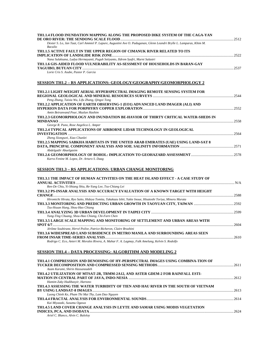| TH1.1.4 FLOOD INUNDATION MAPPING ALONG THE PROPOSED DIKE SYSTEM OF THE CAGA-YAN                                                                                  |  |
|------------------------------------------------------------------------------------------------------------------------------------------------------------------|--|
| Dexter S. Lo, Jan Taat, Carl Ammiel P. Lapure, Augustini Ave O. Paduganan, Glenn Leandri Brylle L. Lamparas, Khim M.<br>Baculio                                  |  |
| TH1.1.5 ACTIVE FAULT IN THE UPPER REGION OF CIMANUK RIVER RELATED TO ITS                                                                                         |  |
| Nana Sulaksana, Ludya Hermayanti, Puguh Setiyanto, Ildrem Syafri, Murni Sulastri<br>TH1.1.6 GIS-AIDED FLOOD VULNERABILITY AS-SESSMENT OF HOUSEHOLDS IN BARAN-GAY |  |
| Lorie Cris S. Asube, Pastor P. Garcia                                                                                                                            |  |
| <u>SESSION TH1.2 – RS APPLICATIONS: GEOLOGY/GEOGRAPHY/GEOMORPHOLOGY 2</u>                                                                                        |  |
| TH1.2.1 LIGHT-WEIGHT AERIAL HYPERSPECTRAL IMAGING REMOTE SENSING SYSTEM FOR                                                                                      |  |
| Peng Zhang, Taixia Wu, Lifu Zhang, Qingxi Tong<br>TH1.2.2 APPLICATION OF EARTH OBSERVING-1 (EO1) ADVANCED LAND IMAGER (ALI) AND                                  |  |
| Amin Beiranvand Pour, Mazlan Hashim<br>TH1.2.3 GEOMORPHOLOGY AND INUNDATION BE-HAVIOR OF THIRTY CRITICAL WATER-SHEDS IN                                          |  |
| George R. Puno, Rose Angelica L. Amper<br>TH1.2.4 TYPICAL APPLICATIONS OF AIRBORNE LIDAR TECHNOLOGY IN GEOLOGICAL                                                |  |
| Zheng Xiongwei, Xiao Chunlei<br>TH1.2.5 MAPPING SABKHA HABITATS IN THE UNITED ARAB EMIRATES (UAE) USING LAND-SAT 8                                               |  |
| Abdelgadir Abuelgasim<br>Karra Fenine M. Lopez, Dr. Arturo S. Daag                                                                                               |  |
| SESSION TH1.3 – RS APPLICATIONS: URBAN CHANGE MONITORING                                                                                                         |  |
| TH1,3,1 THE IMPACT OF HUMAN ACTIVITIES ON THE HEAT ISLAND EFFECT - A CASE STUDY OF                                                                               |  |
| Ren-De Chiu, Yi-Shiang Shiu, Re-Yang Lee, Tsu-Chiang Lei<br>TH1.3.2 PS-INSAR ANALYSIS AND ACCURACY EVALUATION OF A KNOWN TARGET WITH HEIGHT                      |  |
| Hiromichi Hirata, Ryo Saito, Hideya Tomita, Takakazu Ishii, Yukie Inoue, Hisatoshi Toriya, Minoru Murata                                                         |  |
| Tzu-Hsuan Hung, Shou-Hao Chiang<br>Yung-Ting Chuang, Shou-Hao Chiang, Chi-Farn Chen                                                                              |  |
| TH1.3.5 LARGE SCALE MAPPING AND MONITORING OF SETTLEMENT AND URBAN AREAS WITH                                                                                    |  |
| Jérôme Soubirane, Hervé Poilve, Patrice Bicheron, Claire Brushini<br>TH1.3.6 WIDESPREAD LAND SUBSIDENCE IN METRO MANILA AND SURROUNDING AREAS SEEN               |  |
| Rodrigo C. Eco, Anieri M. Morales Rivera, A. Mahar F. A. Lagmay, Falk Amelung, Kelvin S. Rodolfo                                                                 |  |
| SESSION TH1.4 – DATA PROCESSING: ALGORITHM AND MODELING 2                                                                                                        |  |
| TH1.4.1 COMPRESSION AND DENOISING OF HY-PERSPECTRAL IMAGES USING COMBINA-TION OF<br>Azam Karami, Shirin Hassanzadeh                                              |  |
| TH1.4.2 UTILIZATION OF MTSAT-2R, TRMM-2A12, AND ASTER GDEM-2 FOR RAINFALL ESTI-<br>Hamim Zaky Hadibasyir, Hartono                                                |  |
| TH1.4.3 ASSESSING THE WATER TURBIDITY OF TIEN AND HAU RIVER IN THE SOUTH OF VIETNAM                                                                              |  |
| Luong Chinh Ke, Pham Thi Mai Thy, Lam Dao Nguyen<br>Kai Miyazaki, Susumu Ogawa                                                                                   |  |
| TH1.4.5 LAND COVER CHANGE ANALYSIS IN LEYTE AND SAMAR USING MODIS VEGETATION                                                                                     |  |

**INDICES, PCA, AND ISODATA** ...............................................................................................................................................................2624 *Ariel C. Blanco, Alvin C. Baloloy*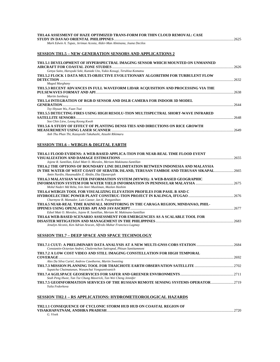| TH1.4.6 ASSESMENT OF HAZE OPTIMIZED TRANS-FORM FOR THIN CLOUD REMOVAL: CASE |      |
|-----------------------------------------------------------------------------|------|
|                                                                             | 2625 |
| Mark Edwin A. Tungs, Jorimaa Acosta, Alder Man Alminang, Joana Decilos      |      |

*Mark Edwin A. Tupas, Jerimae Acosta, Alder-Man Alminana, Joana Decilos* 

#### **SESSION TH1.5 – NEW GENERATION SENSORS AND APPLICATIONS 2**

| TH1.5.1 DEVELOPMENT OF HYPERSPECTRAL IMAGING SENSOR WHICH MOUNTED ON UNMANNED     |      |
|-----------------------------------------------------------------------------------|------|
|                                                                                   | 2626 |
| Genya Saito, Haruyuki Seki, Kuniaki Uto, Yukio Kosugi, Teruhisa Komatsu           |      |
| TH1.5.2 FLOCK 1 DATA MULTI-OBJECTIVE EVOLUTIONARY ALGORITHM FOR TURBULENT FLOW    |      |
|                                                                                   | 2632 |
| Maged Marghany                                                                    |      |
| TH1.5.3 RECENT ADVANCES IN FULL WAVEFORM LIDAR ACOUISITION AND PROCESSING VIA THE |      |
|                                                                                   | 2638 |
| Martin Isenburg                                                                   |      |
| <b>TH1.5.4 INTEGRATION OF RGB-D SENSOR AND DSLR CAMERA FOR INDOOR 3D MODEL</b>    |      |
| <b>GENERATION</b>                                                                 | 2644 |
| Tzy-Shyuan Wu, Fuan Tsai                                                          |      |
| TH1.5.5 DETECTING FIRES USING HIGH RESOLU-TION MULTISPECTRAL SHORT-WAVE INFRARED  |      |
|                                                                                   | 2648 |
| Soo Chin Liew, Leong Keong Kwoh                                                   |      |
| TH1.5.6 A STUDY OF EFFECT OF PLANTING DENSI-TIES AND DIRECTIONS ON RICE GROWTH    |      |
|                                                                                   | 2649 |
| Anh Thu Phan Thi, Kazuyoshi Takahashi, Atsushi Rikimaru                           |      |
|                                                                                   |      |

#### **SESSION TH1.6 – WEBGIS & DIGITAL EARTH**

| TH1.6.1 FLOOD EVIDENS: A WEB-BASED APPLICA-TION FOR NEAR-REAL TIME FLOOD EVENT       |      |
|--------------------------------------------------------------------------------------|------|
|                                                                                      |      |
| Jojene R. Santillan, Edsel Matt O. Morales, Meriam Makinano-Santillan                |      |
| TH1.6.2 THE OPTIONS OF BOUNDARY LINE DELIMITATION BETWEEN INDONESIA AND MALAYSIA     |      |
| IN THE WATER OF WEST COAST OF SEBATIK ISLAND, TERUSAN TAMBOE AND TERUSAN SIKAPAL2665 |      |
| Amin Nurdin, Hasanuddin Z. Abidin, Eka Djunarsjah                                    |      |
| TH1.6.3 MALAYSIAN WATER INFORMATION SYSTEM (MYWIS): A WEB-BASED GEOGRAPHIC           |      |
|                                                                                      |      |
| Mohd Nadzri Md Reba, Ivin Amri Musliman, Mazlan Hashim                               |      |
| TH1.6.4 WEBGIS TOOL FOR VISUALIZING ELEVATION PROFILES FOR PASIL B AND C             |      |
|                                                                                      |      |
| Charmyne B. Mamador, Luis Caezar, Ian K. Panganiban                                  |      |
| TH1.6.5 NEAR-REAL TIME RAINFALL MONITORING IN THE CARAGA REGION, MINDANAO, PHIL-     |      |
|                                                                                      | 2677 |
| Edsel Matt O. Morales, Jojene R. Santillan, Meriam M. Makinano-Santillan             |      |
| TH1.6.6 WEB-BASED SCENARIO ASSESSMENT FOR EMERGENCIES AS A SCALABLE TOOL FOR         |      |
|                                                                                      | 2683 |
| Jenalyn Alconis, Ken Adrian Aracan, Alfredo Mahar Francisco Lagmay                   |      |

#### **SESSION TH1.7 – DEEP SPACE AND SPACE TECHNOLOGY**

| Constantin-Octavian Andrei, Chalermchon Satirapod, Phisan Santitamnont              |      |
|-------------------------------------------------------------------------------------|------|
| TH1.7.2 A LOW COST VIDEO AND STILL IMAGING CONSTELLATION FOR HIGH TEMPORAL          |      |
|                                                                                     | 2692 |
| Alex Da Silva Curiel, Andrew Cawthorne, Martin Sweeting                             |      |
|                                                                                     |      |
| Supatcha Chaimatanan, Wasanchai Vongsantivanich                                     |      |
|                                                                                     |      |
| Seah Peng Hwee, Tan Tze Chung Maverick, Tan Wei Cheng Jennifer                      |      |
| TH1.7.5 GEOINFORMATION SERVICES OF THE RUSSIAN REMOTE SENSING SYSTEMS OPERATOR 2719 |      |
| Yulia Fedorkova                                                                     |      |

#### **SESSION TH2.1 – RS APPLICATIONS: HYDROMETEOROLOGICAL HAZARDS**

#### **TH2.1.1 CONSEQUENCE OF CYCLONIC STORM HUD HUD ON COASTAL REGION OF VISAKHAPATNAM, ANDHRA PRADESH**............................................................................................................................................2720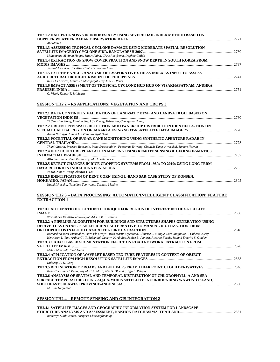| TH2.1.2 HAIL PROGNOSYS IN INDONESIA BY USING SEVERE HAIL INDEX METHOD BASED ON |      |
|--------------------------------------------------------------------------------|------|
|                                                                                |      |
| Abdullah Ali                                                                   |      |
| TH2.1.3 ASSESSING TROPICAL CYCLONE DAMAGE USING MODERATE SPATIAL RESOLUTION    |      |
|                                                                                |      |
| Muhammad Al-Amin Hoque, Stuart Phinn, Chris Roelfsema, Iraphne Childs          |      |
| TH2.1.4 EXTRACTION OF SNOW COVER FRACTION AND SNOW DEPTH IN SOUTH KOREA FROM   |      |
|                                                                                |      |
| Jeong-Cheol Kim, Jae-Won Choi, Hyung-Sup Jung                                  |      |
| TH2.1.5 EXTREME VALUE ANALYSIS OF EVAPORATIVE STRESS INDEX AS INPUT TO ASSESS  |      |
|                                                                                | 2741 |
| Resi O. Olivares, Marco D. Macapagal, Gay Jane P. Perez                        |      |
| TH2.1.6 IMPACT ASSESSMENT OF TROPICAL CYCLONE HUD HUD ON VISAKHAPATNAM, ANDHRA |      |
|                                                                                | 2751 |
| G. Vivek, Kumar T. Srinivasa                                                   |      |

#### **SESSION TH2.2 – RS APPLICATIONS: VEGETATION AND CROPS 3**

| TH2.2.1 DATA CONTINUITY VALIDATION OF LAND-SAT 7 ETM+ AND LANDSAT 8 OLI BASED ON                                                                                                                  | 2760 |
|---------------------------------------------------------------------------------------------------------------------------------------------------------------------------------------------------|------|
| Yi Cen, Hua Wang, Xiaojun She, Lifu Zhang, Taixia Wu, Changping Huang                                                                                                                             |      |
| TH2.2.2 GREEN OPEN SPACE DETECTION AND OWNERSHIP DISTRIBUTION IDENTIFICA-TION ON<br>Arista Nurbaya, Alinda Fm Zain, Ruchyat Deni                                                                  |      |
| TH2.2.3 POTENTIAL OF SUGAR CANE MONITORING USING SYNTHETIC APERTURE RADAR IN                                                                                                                      | 2778 |
| Thanit Intarat, Preesan Rakwatin, Panu Srestasathien, Peeteenut Triwong, Chanwit Tangsiriworakul, Samart Noivun<br>TH2.2.4 HORTICULTURE PLANTATION MAPPING USING REMOTE SENSING & GEOINFOR-MATICS |      |
| Alka Sharma, Sushma Panigrahy, M. H. Kalubarme                                                                                                                                                    | 2787 |
| TH2.2.5 DETECT CHANGES IN RICE CROPPING SYSTEMS FROM 1980s TO 2010s USING LONG TERM                                                                                                               | 2795 |
| Yi Ma, Nan N. Wang, Zhanyu Y. Liu<br>TH2.2.6 IDENTIFICATION OF DENT CORN USING L-BAND SAR-CASE STUDY OF KONSEN,                                                                                   |      |
| Naoki Ishitsuka, Nobuhiro Tomiyama, Tsukasa Makino                                                                                                                                                | 2805 |

#### **SESSION TH2.3 – DATA PROCESSING: AUTOMATIC/INTELLIGENT CLASSIFICATION; FEATURE EXTRACTION 1**

| <b>TH2.3.1 AUTOMATIC DETECTION TECHNIQUE FOR REGION OF INTEREST IN THE SATELLITE</b>                                    |      |
|-------------------------------------------------------------------------------------------------------------------------|------|
|                                                                                                                         | 2808 |
| Warinthorn Kiadtikornthaweeyot, Adrian R. L. Tatnall                                                                    |      |
| TH2.3.2 A PIPELINE ALGORITHM FOR BUILDINGS AND STRUCTURES SHAPES GENERATION USING                                       |      |
| DERIVED LAS DATASET: AN EFFICIENT ALTERNATIVE TO MANUAL DIGITIZA-TION FROM                                              |      |
|                                                                                                                         | 2818 |
| Bernardino Jerez Buenaobra, Aure Flo Oraya, Aries Martin Openiano, Claurice L. Mangle, Lora Magnolia F. Cubero, Kirby   |      |
| Henriksen L. Tan, Arthur Gil T. Sabandal, Laarlyn N. Abalos, Janice B. Jamora, Ricardo Fornis, Roland Emerito S. Otadoy |      |
| TH2.3.3 OBJECT BASED SEGMENTATION EFFECT ON ROAD NETWORK EXTRACTION FROM                                                |      |
|                                                                                                                         | 2828 |
| Mehdi Maboudi, Jalal Amini                                                                                              |      |
| TH2.3.4 APPLICATION OF WAVELET BASED TEX-TURE FEATURES IN CONTEXT OF OBJECT                                             |      |
|                                                                                                                         | 2838 |
| Kuldeep, P. K. Garg                                                                                                     |      |
| 7H2.3.5 DELINEATION OF ROADS AND BUILT-UPS FROM LIDAR POINT CLOUD DERIVATIVES2846                                       |      |
| Rena Christina C. Puno, Ray Mari N. Mozo, Alex S. Olpenda, Jigg L. Pelayo                                               |      |
| TH2.3.6 ANALYSIS OF SPATIAL AND TEMPORAL DISTRIBUTION OF CHLOROPHYLL-A AND SEA                                          |      |
| SURFACE TEMPERATURE USING AO-UA-MODIS SATELLITE IN SURROUNDING WAWONII ISLAND,                                          |      |
|                                                                                                                         | 2850 |
| Muslim Tadjuddah                                                                                                        |      |
|                                                                                                                         |      |

#### **SESSION TH2.4 – REMOTE SENSING AND GIS INTEGRATION 2**

| TH2.4.1 SATELLITE IMAGES AND GEOGRAPHIC INFORMATION SYSTEM FOR LANDSCAPE |  |
|--------------------------------------------------------------------------|--|
|                                                                          |  |
| Intareeya Sutthivanich, Suriporn Charungthanakij                         |  |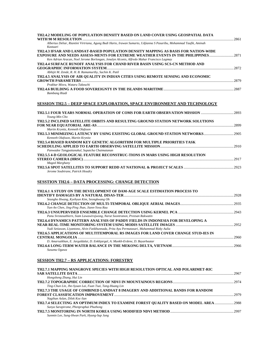| TH2.4.2 MODELING OF POPULATION DENSITY BASED ON LAND COVER USING GEOSPATIAL DATA                                                                                                                                                                                          |  |
|---------------------------------------------------------------------------------------------------------------------------------------------------------------------------------------------------------------------------------------------------------------------------|--|
| Albertus Deliar, Riantini Virtriana, Agung Budi Harto, Irawan Sumarto, Udjianna S Pasaribu, Mohammad Taufik, Aminah<br>Kastuari                                                                                                                                           |  |
| TH2.4.3 IFSAR AND LANDSAT-BASED POPULATION DENSITY MAPPING AS BASIS FOR NATION-WIDE<br>2871 - EXPOSURE AND NEEDS ASSESS-MENTS FOR EXTREME WEATHER EVENTS IN THE PHILIPPINES2<br>Ken Adrian Aracan, Noel Jerome Borlongan, Jenalyn Alconis, Alfredo Mahar Francisco Lagmay |  |
| TH2.4.4 SURFACE RUNOFF ANALYSIS FOR CHAND RIVER BASIN USING SCS-CN METHOD AND                                                                                                                                                                                             |  |
| Abhijit M. Zende, R. H. B. Ramamurthy, Sachin K. Patil<br>TH2.4.5 ANALYSIS OF AIR QUALITY IN INDIAN CITIES USING REMOTE SENSING AND ECONOMIC                                                                                                                              |  |
| Prakhar Misra, Wataru Takeuchi                                                                                                                                                                                                                                            |  |
| <b>Bambang Riadi</b>                                                                                                                                                                                                                                                      |  |
| SESSION TH2.5 – DEEP SPACE EXPLORATION, SPACE ENVIRONMENT AND TECHNOLOGY                                                                                                                                                                                                  |  |
| Young-Min Cho                                                                                                                                                                                                                                                             |  |
| TH2.5.2 INCLINED SATELLITE ORBITS AND RESULTING GROUND STATION NETWORK SOLUTIONS                                                                                                                                                                                          |  |
| Martin Krynitz, Kenneth Olafsson<br>TH2.5.3 MINIMIZING LATENCY BY USING EXISTING GLOBAL GROUND STATION NETWORKS2905<br>Kenneth Olafsson, Martin Krynitz                                                                                                                   |  |
| TH2.5.4 BIASED RANDOM KEY GENETIC ALGORITHM FOR MULTIPLE PRIORITIES TASK                                                                                                                                                                                                  |  |
| Panwadee Tangpattanakul, Supatcha Chaimatanan<br>TH2.5.5 4-D GEOLOGICAL FEATURE RECONSTRUC-TIONS IN MARS USING HIGH RESOLUTION<br><b>Maged Marghany</b>                                                                                                                   |  |
| TH2.5.6 SPOT SATELLITES TO SUPPORT REDD AT NATIONAL & PROJECT SCALES …………………………………………………………………………………<br>Jerome Soubirane, Patrick Houdry                                                                                                                                  |  |
| <b>SESSTION TH2.6 - DATA PROCESSING: CHANGE DETECTION</b>                                                                                                                                                                                                                 |  |
| TH2.6.1 A STUDY ON THE DEVELOPMENT OF DAM-AGE SCALE ESTIMATION PROCESS TO<br>Seungho Hwang, Kyehyun Kim, Seongkwang Oh                                                                                                                                                    |  |
| Yun-An Chen, Jing-Ping Jhan, Jiann-Yeou Rau                                                                                                                                                                                                                               |  |
| Panu Srestasathiern, Siam Lawawirojwong, Narut Soontranon, Preesan Rakwatin                                                                                                                                                                                               |  |
| TH2.6.4 DYNAMICS PATTERN ANALYSIS OF PADDY FIELDS IN INDONESIA FOR DEVELOPING A<br>Yudi Setiawan, Liyantono, Alvin Fatikhunnada, Prita Ayu Permatasari, Muhammad Rizky Aulia                                                                                              |  |
| TH2.6.5 APPLICATIONS OF MULTITEMPORAL RS IMAGES FOR LAND COVER CHANGE STUD-IES IN                                                                                                                                                                                         |  |
| D. Amarsaikhan, E. Jargaldalai, D. Enkhjargal, A. Munkh-Erdene, D. Bayarbaatar<br>Susumu Ogawa                                                                                                                                                                            |  |
| <u>SESSION TH2.7 – RS APPLICATIONS: FORESTRY</u>                                                                                                                                                                                                                          |  |
| TH2.7.1 MAPPING MANGROVE SPECIES WITH HIGH RESOLUTION OPTICAL AND POLARIMET-RIC                                                                                                                                                                                           |  |
| Hongsheng Zhang, Hui Lin<br>Ting-Chun Lin, Jhe-Syuan Lai, Fuan Tsai, Tang-Huang Lin                                                                                                                                                                                       |  |

| TH2.7.3 THE USAGE OF COMBINED LANDSAT 8 IMAGERY AND ADDITIONAL BANDS FOR RANDOM       |       |
|---------------------------------------------------------------------------------------|-------|
|                                                                                       | 2979  |
| Nagihan Aslan, Dilek Koc-San                                                          |       |
| TH2.7.4 SELECTING AN OPTIMUM INDEX TO EXAMINE FOREST OUALITY BASED ON MODEL AREA 2988 |       |
| Sunya Sarapirome, Phenpraphai Phuthong                                                |       |
|                                                                                       | -2997 |
| Sunmin Lee, Sung-Hwan Park, Hyung-Sup Jung                                            |       |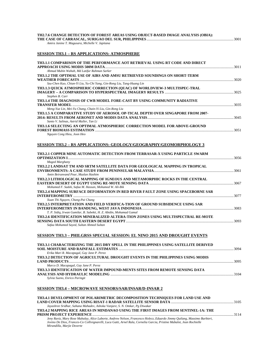| TH2.7.6 CHANGE DETECTION OF FOREST AREAS USING OBJECT-BASED IMAGE ANALYSIS (OBIA): |  |
|------------------------------------------------------------------------------------|--|
|                                                                                    |  |
| Amira Janine T. Magusara, Michelle V. Japitana                                     |  |

# **SESSION TH3.1 – RS APPLICATIONS: ATMOSPHERE**

| TH3.1.1 COMPARISON OF THE PERFORMANCE AOT RETRIEVAL USING RT CODE AND DIRECT                                                                              |      |
|-----------------------------------------------------------------------------------------------------------------------------------------------------------|------|
| Ahmad Mubin Wahab, Md Latifur Rahman Sarker                                                                                                               |      |
| TH3.1.2 THE OPTIMAL USE OF AIRS AND AMSU RETRIEVED SOUNDINGS ON SHORT-TERM                                                                                |      |
|                                                                                                                                                           |      |
| Szu-Chen Kuo, Chian-Yi Liu, Yu-Chi Yang, Gin-Rong Liu, Tang-Huang Lin                                                                                     |      |
| TH3.1.3 QUICK ATMOSPHERIC CORRECTION (OUAC) OF WORLDVIEW-3 MULTISPEC-TRAL                                                                                 |      |
| Stephen B. Carr                                                                                                                                           |      |
| TH3.1.4 THE DIAGNOSIS OF CWB MODEL FORE-CAST BY USING COMMUNITY RADIATIVE                                                                                 |      |
|                                                                                                                                                           |      |
| Meng-Yue Lin, Mei-Yu Chang, Chain-Yi Liu, Gin-Rong Liu                                                                                                    |      |
| TH3.1.5 A COMPARATIVE STUDY OF AEROSOL OP-TICAL DEPTH OVER SINGAPORE FROM 2007-                                                                           |      |
|                                                                                                                                                           |      |
| Santo V. Salinas, Astrid Muller, Tan Li                                                                                                                   |      |
| TH3.1.6 SELECTING AN OPTIMAL ATMOSPHERIC CORRECTION MODEL FOR ABOVE-GROUND                                                                                |      |
| Nguyen Cong Hieu, Joon Heo                                                                                                                                |      |
| <b>SESSION TH3.2 – RS APPLICATIONS: GEOLOGY/GEOGRAPHY/GEOMORPHOLOGY 3</b><br>TH3.2.1 COPPER MINE AUTOMATIC DETECTION FROM TERRASAR-X USING PARTICLE SWARM |      |
|                                                                                                                                                           |      |
| <b>Maged Marghany</b><br>TH3.2.2 LANDSAT TM AND SRTM SATELLITE DATA FOR GEOLOGICAL MAPPING IN TROPICAL                                                    |      |
|                                                                                                                                                           |      |
| Amin Beiranvand Pour, Mazlan Hashim                                                                                                                       |      |
| TH3.2.3 LITHOLOGICAL MAPPING OF IGNEOUS AND METAMORPHIC ROCKS IN THE CENTRAL                                                                              |      |
|                                                                                                                                                           |      |
| Mohamed F. Sadek, Safaa M. Hassan, Mohamed W. Ali-Bik                                                                                                     |      |
| TH3.2.4 MAPPING SURFACE DEFORMATION IN RED RIVER FAULT ZONE USING SPACEBORNE SAR                                                                          |      |
|                                                                                                                                                           |      |
| Xuan Thi Nguyen, Chung-Pai Chang                                                                                                                          |      |
| TH3.2.5 INTERPRETATION AND FIELD VERIFICA-TION OF GROUND SUBSIDENCE USING SAR                                                                             |      |
|                                                                                                                                                           |      |
| T. P. Sidiq, Irwan Gumilar, B. Subekti, H. Z. Abidin, Mohamad Gamal                                                                                       |      |
| TH3.2.6 IDENTIFICATION MINERALIZED ALTERA-TION ZONES USING MULTISPECTRAL RE-MOTE                                                                          |      |
| Safaa Mohamed Sayed, Sultan Ahmed Sultan                                                                                                                  |      |
| <b>SESSION TH3.3 - PHILGRSS SPECIAL SESSION: EL NINO 2015 AND DROUGHT EVENTS</b>                                                                          |      |
|                                                                                                                                                           |      |
| TH3.3.1 CHARACTERIZING THE 2015 DRY SPELL IN THE PHILIPPINES USING SATELLITE DERIVED<br>SOIL MOKTHER AND PAINFALL ESTIMATES                               | 3004 |

|                                                                                 | 3094 |
|---------------------------------------------------------------------------------|------|
| Erika Mari R. Macapagal, Gay Jane P. Perez                                      |      |
| TH3.3.2 DETECTION OF AGRICULTURAL DROUGHT EVENTS IN THE PHILIPPINES USING MODIS |      |
|                                                                                 |      |
| Marco D. Macapagal, Gay Jane P. Perez                                           |      |
| TH3.3.3 IDENTIFICATION OF WATER IMPOUND-MENTS SITES FROM REMOTE SENSING DATA    |      |
|                                                                                 | 3104 |
| Sylvia Sueno, Enrico Paringit                                                   |      |

# **SESSION TH3.4 – MICROWAVE SENSORS/SAR/INSAR/D-INSAR 2**

| TH3.4.1 DEVELOPMENT OF POLARIMETRIC DECOMPOSITION TECHNIQUES FOR LAND USE AND                                           |      |
|-------------------------------------------------------------------------------------------------------------------------|------|
|                                                                                                                         |      |
| Jayashree Sridhar, Sahana Mahadev, Ashoka Vanjare, S. N. Omkar, Pg Diwakar                                              |      |
| TH3.4.2 MAPPING RICE AREAS IN MINDANAO USING THE FIRST IMAGES FROM SENTINEL-1A: THE                                     |      |
|                                                                                                                         | 3114 |
| Jeny Raviz, Mary Rose Mabalay, Alice Laborte, Andrew Nelson, Francesco Holecz, Eduardo Jimmy Quilang, Massimo Barbieri, |      |
| Jovino De Dios, Frances-Co Collivignarelli, Luca Gatti, Arnel Rala, Cornelia Garcia, Pristine Mabalot, Jean Rochielle   |      |
| Mirandilla, Marjie Doverte                                                                                              |      |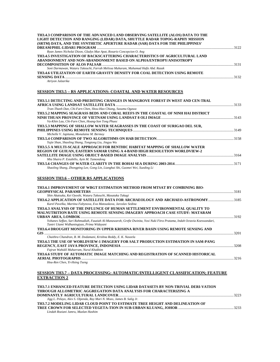| 3131 |
|------|
|      |
|      |
| 3132 |
|      |

*Atriyon Julzarika* 

# **SESSION TH3.5 – RS APPLICATIONS: COASTAL AND WATER RESOURCES**

| TH3.5.1 DETECTING AND PREDITING CHANGES IN MANGROVE FOREST IN WEST AND CEN-TRAL   |  |
|-----------------------------------------------------------------------------------|--|
|                                                                                   |  |
| Tran-Thanh Dan, Chi-Farn Chen, Shou-Hao Chiang, Susumu Ogawa                      |  |
| TH3.5.2 MAPPING SEAGRASS BEDS AND CORAL REEFS IN THE COASTAL OF NINH HAI DISTRICT |  |
|                                                                                   |  |
| Va-Khin Lau, Chi-Farn Chen, Hoang-Son Tong Phuoc                                  |  |
| TH3.5.3 MAPPING OF SHALLOW WATER SEAGRASSES IN THE COAST OF SURIGAO DEL SUR,      |  |
|                                                                                   |  |
| Michelle V. Japitana, Monalaine M. Bermoy                                         |  |
|                                                                                   |  |
| Yujie Shan, Shaoling Shang, Tongtong Liu, Jingyu Wu                               |  |
| TH3.5.5 A MULTI-SCALE APPROACH FOR BENTHIC HABITAT MAPPING OF SHALLOW WATER       |  |
| <b>REGION OF GUIUAN, EASTERN SAMAR USING A 4-BAND HIGH RESOLUTION WORLDVIEW-2</b> |  |
|                                                                                   |  |
| Mia Shaira P. Estabillo, Ayin M. Tamondong                                        |  |
|                                                                                   |  |
| Shaoling Shang, Zhongping Lee, Gong Lin, Lianghai Shi, Guomei Wei, Xueding Li     |  |
|                                                                                   |  |

#### **SESSION TH3.6 – OTHER RS APPLICATIONS**

| TH3.6.1 IMPROVEMENT OF WBGT ESTIMATION METHOD FROM MTSAT BY COMBINING BIO-                                                                                                                                                                                  |         |
|-------------------------------------------------------------------------------------------------------------------------------------------------------------------------------------------------------------------------------------------------------------|---------|
|                                                                                                                                                                                                                                                             | $-3181$ |
| Shin Akatsuka, Kei Oyoshi, Wataru Takeuchi, Masataka Takagi                                                                                                                                                                                                 |         |
| TH3.6.2 APPLICATION OF SATELLITE DATA FOR ARCHAEOLOGY AND ARCHAEO-ASTRONOMY3185                                                                                                                                                                             |         |
| Karel Pavelka, Martina Faltynova, Eva Matouskova, Jaroslav Sedina                                                                                                                                                                                           |         |
| TH3.6.3 ANALYSIS OF THE INFLUNCE OF HUMAN SETTLEMENT ENVIRONMENTAL QUALITY TO<br>MALNUTRITION RATE USING REMOTE SENSING IMAGERY APPROACH CASE STUDY: MATARAM                                                                                                |         |
| Yohanes Seffan, Sari Rahmadiah, Fauziah Al-Munawaroh, Grefie Dwinita, Yosi Nuki Fitra Pratama, Indah Octavia Koeswandari,<br>Tantri Utami Widhaningtyas, Prima Widayani<br>TH3.6.4 DROUGHT MONITORING IN UPPER KRISHNA RIVER BASIN USING REMOTE SENSING AND |         |
|                                                                                                                                                                                                                                                             | 3201    |
| Chaithra Chandran, B. M. Dodamani, Krishna Reddy, E. K. Naseela                                                                                                                                                                                             |         |
| TH3.6.5 THE USE OF WORLDVIEW-1 IMAGERY FOR SALT PRODUCTION ESTIMATION IN SAM-PANG                                                                                                                                                                           | - 3208  |
| Fajrun Wahidil Muharram, Nurul Khakhim<br>TH3.6.6 STUDY OF AUTOMATIC IMAGE MATCHING AND REGISTRATION OF SCANNED HISTORICAL                                                                                                                                  |         |
| <b>AERIAL PHOTOGRAPHS</b>                                                                                                                                                                                                                                   | 3216    |
| Hou-Ren Chen, Yi-Hsing Tseng                                                                                                                                                                                                                                |         |

#### **SESSION TH3.7 – DATA PROCESSING: AUTOMATIC/INTELLIGENT CLASSIFICATION; FEATURE EXTRACTION 2**

| TH3.7.1 ENHANCED FEATURE DETECTION USING LIDAR DATASETS BY NON-TRIVIAL DERI-VATION |      |
|------------------------------------------------------------------------------------|------|
| THROUGH ALLOMETRIC AGGREGATION DATA ANALYSIS FOR CHARACTERIZING A                  |      |
|                                                                                    | 3223 |
| Jigg L. Pelayo, Alex S. Olpenda, Ray Mari N. Mozo, James B. Salig Jr.              |      |
| TH3.7.2 MODELING LIDAR CLOUD POINT TO ESTIMATE TREE HEIGHT AND DELINEATION OF      |      |
|                                                                                    |      |
| Lindah Roziani Jamru, Mazlan Hashim                                                |      |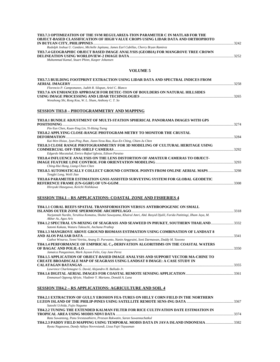| TH3.7.3 OPTIMIZATION OF THE SVM REGULARIZA-TION PARAMETER C IN MATLAB FOR THE           |  |
|-----------------------------------------------------------------------------------------|--|
| <b>OBJECT-BASED CLASSIFICATION OF HIGH VALUE CROPS USING LIDAR DATA AND ORTHOPHOTO</b>  |  |
|                                                                                         |  |
| Rudolph Joshua U. Candare, Michelle Japitana, James Earl Cubillas, Cherry Bryan Ramirez |  |
| TH3.7.4 GEOGRAPHIC OBJECT BASED IMAGE ANALYSIS (GEOBIA) FOR MANGROVE TREE CROWN         |  |
|                                                                                         |  |
| Muhammad Kamal, Stuart Phinn, Kasper Johansen                                           |  |

#### **VOLUME 5**

| TH3.7.5 BUILDING FOOTPRINT EXTRACTION USING LIDAR DATA AND SPECTRAL INDICES FROM    | 3258 |
|-------------------------------------------------------------------------------------|------|
| Florencio P. Campomanes, Judith R. Silapan, Ariel C. Blanco                         |      |
| <b>TH3.7.6 AN ENHANCED APPROACH FOR DETEC-TION OF BOULDERS ON NATURAL HILLSIDES</b> |      |
|                                                                                     | 3265 |
| Wenzhong Shi, Rong Kou, W. L. Shum, Anthony C. T. So                                |      |

# **SESSION TH3.8 – PHOTOGRAMMETRY AND MAPPING**

| TH3.8.1 BUNDLE ADJUSTMENT OF MULTI-STATION SPHERICAL PANORAMA IMAGES WITH GPS    |       |
|----------------------------------------------------------------------------------|-------|
|                                                                                  | 32.74 |
| Pin-Yun Chen, Kuan-Ying Lin, Yi-Hsing Tseng                                      |       |
| <b>TH3.8.2 APPLYING CLOSE-RANGE PHOTOGRAM-METRY TO MONITOR THE CRUSTAL</b>       |       |
|                                                                                  | 3284  |
| Kai-Wen Hsiao, Jyun-Ping Jhan, Jiann-Yeou Rau, Kuo-En Ching, Chien-Ju Chen       |       |
| TH3.8.3 CLOSE RANGE PHOTOGRAMMETRY FOR 3D MODELING OF CULTURAL HERITAGE USING    |       |
|                                                                                  | 3292  |
| Edgardo Macatulad, Enrico Rafael Iglesia, Edison Paraiso                         |       |
| TH3.8.4 INFLUENCE ANALYSIS ON THE LENS DISTORTION OF AMATEUR CAMERAS TO OBJECT-  |       |
|                                                                                  | -3293 |
| Ching-Hui Hung, Liang-Chien Chen                                                 |       |
| TH3.8.5 AUTOMATICALLY COLLECT GROUND CONTROL POINTS FROM ONLINE AERIAL MAPS 3298 |       |
| Tengfei Long, Weili Jiao                                                         |       |
| TH3.8.6 PARAMETER ESTIMATION GNSS ASSISTED SURVEYING SYSTEM FOR GLOBAL GEODETIC  |       |
|                                                                                  |       |
|                                                                                  |       |

*Hiroyuki Hasegawa, Keiichi Nishikawa* 

# **SESSION TH4.1 – RS APPLICATIONS: COASTAL ZONE AND FISHERIES 4**

| TH4.1.1 CORAL REEFS SPATIAL TRANSFORMATION VERSUS ANTHROPOGENIC ON SMALL                                                                        |         |
|-------------------------------------------------------------------------------------------------------------------------------------------------|---------|
|                                                                                                                                                 |         |
| Nurjannah Nurdin, Teruhisa Komatsu, Shuhei Sawayama, Khairul Amri, Abd. Rasyid Djalil, Farida Patittingi, Ilham Jaya, M.<br>Akbar As, Agus Aris |         |
| TH4.1.2 SPECTRAL UN-MIXING OF SEAGRASS AND SEAWEED IN PHUKET, SOUTHERN THAILAND332                                                              |         |
| Satomi Kakuta, Wataru Takeuchi, Anchana Prathep                                                                                                 |         |
| <b>TH4.1.3 MANGROVE ABOVE GROUND BIOMASS ESTIMATION USING COMBINATION OF LANDSAT 8</b>                                                          |         |
|                                                                                                                                                 | 3341    |
| Gathot Winarso, Yenni Vetrita, Anang D. Purwanto, Nanin Anggraini, Soni Darmawan, Doddy M. Yuwono                                               |         |
| TH4.1.4 PERFORMANCE OF EMPIRICAL C <sub>a</sub> -DERIVATION ALGORITHMS ON THE COASTAL WATERS                                                    |         |
|                                                                                                                                                 | $-3350$ |
| Jamaica Pangasinan, Mark Jayson Felix, Gay Jane Perez                                                                                           |         |
| TH4.1.5 APPLICATION OF OBJECT-BASED IMAGE ANALYSIS AND SUPPORT VECTOR MA-CHINE TO                                                               |         |
| <b>CREATE BROADSCALE MAP OF SEAGRASS USING LANDSAT 8 IMAGE: A CASE STUDY IN</b>                                                                 |         |
|                                                                                                                                                 | -3355   |
| Lawrence Charlemagne G. David, Alejandro H. Ballado Jr.                                                                                         |         |
|                                                                                                                                                 |         |
|                                                                                                                                                 |         |

*Emmanuel Oppong Afriyie, Vladimir Y. Mariano, Donald A. Luna* 

#### **SESSION TH4.2 – RS APPLICATIONS: AGRICULTURE AND SOIL 4**

| TH4.2.1 EXTRACTION OF GULLY EROSION FEA-TURES ON HILLY CORN FIELD IN THE NORTHERN |  |
|-----------------------------------------------------------------------------------|--|
|                                                                                   |  |
| Satoshi Uchida, Fujio Nagumo                                                      |  |
| TH4.2.2 TUNING THE EXTENDED KALMAN FILTER FOR RICE CULTIVATION DATE ESTIMATION IN |  |
|                                                                                   |  |
| Rata Suwantong, Panu Srestasathiern, Preesan Rakwatin, Saran Suwannachatkul       |  |
| TH4.2.3 PADDY FIELD MAPPING USING TEMPORAL MODIS DATA IN JAVA ISLAND INDONESIA    |  |
| Ryota Nagasawa, Dandy Aditya Novresiandi, Lissa Fajri Yayusman                    |  |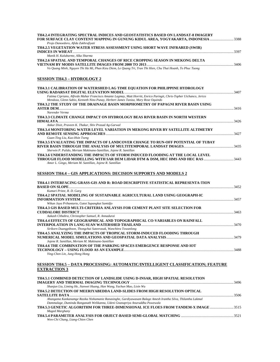| TH4.2.4 INTEGRATING SPECTRAL INDICES AND GEOSTATISTICS BASED ON LANDSAT-8 IMAGERY<br>FOR SURFACE CLAY CONTENT MAPPING IN GUNUNG KIDUL AREA, YOGYAKARTA, INDONESIA 3388 |  |
|------------------------------------------------------------------------------------------------------------------------------------------------------------------------|--|
| Projo Danoedoro, Afida Zukhrufiyati                                                                                                                                    |  |
| TH4.2.5 VEGETATION WATER STRESS ASSESSMENT USING SHORT WAVE INFRARED (SWIR)                                                                                            |  |
|                                                                                                                                                                        |  |
| Manik H. Kalubarme, Alka Sharma                                                                                                                                        |  |
| TH4.2.6 SPATIAL AND TEMPORAL CHANGES OF RICE CROPPING SEASON IN MEKONG DELTA                                                                                           |  |
|                                                                                                                                                                        |  |
| Vo Quang Minh, Nguyen Thi Ha Mi, Phan Kieu Diem, Le Quang Tri, Tran Thi Hien, Chu Thai Hoanh, To Phuc Tuong                                                            |  |
| <b>SESSION TH4.3 – HYDROLOGY 2</b>                                                                                                                                     |  |
|                                                                                                                                                                        |  |
| TH4.3.1 CALIBRATION OF WATERSHED LAG TIME EQUATION FOR PHILIPPINE HYDROLOGY                                                                                            |  |
|                                                                                                                                                                        |  |
| Fatima Cipriano, Alfredo Mahar Francisco Amante Lagmay, Matt Horritt, Enrico Paringit, Chris-Topher Uichanco, Jerico                                                   |  |
| Mendoza, Glenn Sabio, Kenneth Nino Punay, Herbert James Taniza, Mary Rose Oquindo                                                                                      |  |
| TH4.3.2 THE STUDY OF THE DRAINAGE BASIN MORPHOMETRY OF PAPAGNI RIVER BASIN USING                                                                                       |  |
|                                                                                                                                                                        |  |
| Narender Verma                                                                                                                                                         |  |
| TH4.3.3 CLIMATE CHANGE IMPACT ON HYDROLOGY BEAS RIVER BASIN IN NORTH WESTERN                                                                                           |  |
|                                                                                                                                                                        |  |
| Ankur Dixit, Praveen K. Thakur, Shiv Prasad Ag-Garwal                                                                                                                  |  |
| TH4.3.4 MONITORING WATER LEVEL VARIATION IN MEKONG RIVER BY SATELLITE ALTIMETRY                                                                                        |  |
|                                                                                                                                                                        |  |
| Guan-Ting Liu, Kuo-Hsin Tseng                                                                                                                                          |  |
| TH4.3.5 EVALUATING THE IMPACTS OF LANDCOVER CHANGE TO RUN-OFF POTENTIAL OF TUBAY                                                                                       |  |
| Sherwin P. Pulido, Meriam Makinano-Santillan, Jojene R. Santillan                                                                                                      |  |
| TH4.3.6 UNDERSTANDING THE IMPACTS OF STORM INDUCED FLOODING AT THE LOCAL LEVEL                                                                                         |  |
| THROUGH FLOOD MODELLING WITH SAR DEM LIDAR DTM & DSM, HEC HMS AND HEC RAS 3443                                                                                         |  |
| Amor L. Gingo, Meriam M. Santillan, Jojene R. Santillan                                                                                                                |  |
|                                                                                                                                                                        |  |
|                                                                                                                                                                        |  |
| SESSION TH4.4 – GIS APPLICATIONS: DECISION SUPPORTS AND MODELS 2                                                                                                       |  |
|                                                                                                                                                                        |  |
| TH4.4.1 INTERFACING GRASS-GIS AND R: ROAD DESCRIPTIVE STATISTICAL REPRESENTA-TION                                                                                      |  |
| Kumari Pritee, R. D. Garg                                                                                                                                              |  |
| TH4.4.2 SPATIAL MODELING OF SUSTAINABLE AGRICULTURAL LAND USING GEOGRAPH-IC                                                                                            |  |
|                                                                                                                                                                        |  |
| Wikan Jaya Prihantarto, Gatot Supangkat Samidjo                                                                                                                        |  |
| TH4.4.3 GIS BASED MULTI-CRITERIA ANLAYSIS FOR CEMENT PLANT SITE SELECTION FOR                                                                                          |  |
|                                                                                                                                                                        |  |
| Aakash Chhabra, Christopher Samuel, R. Annadurai                                                                                                                       |  |
| TH4.4.4 EFFECTS OF GEOGRAPHICAL AND TOPOGRAPHICAL CO-VARIABLES ON RAINFALL                                                                                             |  |
|                                                                                                                                                                        |  |
| Sirikorn Duangpiboon, Thongchai Suteerasak, Wanchitra Towanlong                                                                                                        |  |
| TH4.4.5 ANALYZING THE IMPACTS OF TROPICAL STORM-INDUCED FLOODING THROUGH                                                                                               |  |
|                                                                                                                                                                        |  |
| Jojene R. Santillan, Meriam M. Makinano-Santillan                                                                                                                      |  |
| TH4.4.6 THE COMBINATION OF THE PARKING SPACES EMERGENCE RESPONSE AND IOT                                                                                               |  |
|                                                                                                                                                                        |  |
| Ying-Chen Lin, Jung Hong Hong                                                                                                                                          |  |
|                                                                                                                                                                        |  |
| <u>SESSION TH4.5 – DATA PROCESSING: AUTOMATIC/INTELLIGENT CLASSIFICATION; FEATURE</u>                                                                                  |  |
| <b>EXTRACTION 3</b>                                                                                                                                                    |  |
|                                                                                                                                                                        |  |
| TH4.5.1 COMBINED DETECTION OF LANDSLIDE USING D-INSAR, HIGH SPATIAL RESOLUTION                                                                                         |  |
|                                                                                                                                                                        |  |
| Shanjun Liu, Liming He, Jianwei Huang, Han Wang, Yachun Mao, Lixin Wu                                                                                                  |  |
| TH4.5.2 DETECTION OF MEERIYABEDDA LAND-SLIDES FROM HIGH RESOLUTION OPTICAL                                                                                             |  |
|                                                                                                                                                                        |  |
| Ahangama Kankanamge Rasika Nishamanie Ranasinghe, Gardiyawasam Balage Amesh Irantha Silva, Thilantha Lakmal                                                            |  |
| Dammalage, Duminda Ranganath Welikanna, Udeni Gnanapriya Anuruddha Puwewala                                                                                            |  |
| TH4.5.3 GENETIC ALGORITHM FOR THREE-DIMENSIONAL ICE FLOES FROM TANDEM-X IMAGE 3515                                                                                     |  |
| Maged Marghany                                                                                                                                                         |  |
| Wen-Chi Chang, Liang-Chien Chen                                                                                                                                        |  |
|                                                                                                                                                                        |  |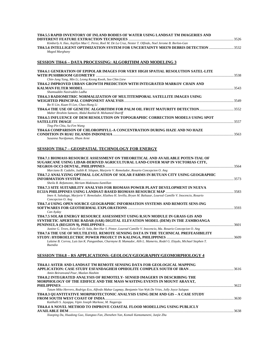| TH4.5.5 RAPID INVENTORY OF INLAND BODIES OF WATER USING LANDSAT TM IMAGERIES AND                                                                                                                                          |  |
|---------------------------------------------------------------------------------------------------------------------------------------------------------------------------------------------------------------------------|--|
| Kimberly A. Ilao, Anjillyn Mae C. Perez, Roel M. De La Cruz, Nestor T. Olfindo, Noel Jerome B. Borlon-Gan<br>TH4.5.6 INTELLIGENT OPTIMIZATION SYSTEM FOR UNCERTAINTY MH370 DEBRIS DETECTION 3532<br>Maged Marghany        |  |
| <b>SESSION TH4.6 – DATA PROCESSING: ALGORITHM AND MODELING 3</b>                                                                                                                                                          |  |
| TH4.6.1 GENERATION OF EPIPOLAR IMAGES FOR VERY HIGH SPATIAL RESOLUTION SATEL-LITE                                                                                                                                         |  |
| Chin-Jung Yang, Min Li, Leong Keong Kwoh, Soo Chin Liew<br>TH4.6.2 IMPROVED URBAN GROWTH PREDICTION WITH INTEGRATED MARKOV CHAIN AND                                                                                      |  |
| Shamsuddin Nasiruddin Ladha                                                                                                                                                                                               |  |
| TH4.6.3 RADIOMETRIC NORMALIZATION OF MULTITEMPORAL SATELLITE IMAGES USING<br>Bo-Yi Lin, Kuan-Yi Lee, Chao-Hung Li                                                                                                         |  |
| Maher Ibrahim Sameen, Abdul Rashid B. Mohamed Shariff                                                                                                                                                                     |  |
| TH4.6.5 INFLUENCE OF DEM RESOLUTION ON TOPOGRAPHIC CORRECTION MODELS USING SPOT                                                                                                                                           |  |
| Ting-Pin Chiu, Su-Fen Wang<br>TH4.6.6 COMPARISON OF CHLOROPHYLL-A CONCENTRATION DURING HAZE AND NO HAZE<br>Susanna Nurdjaman, Ilham Armi                                                                                  |  |
| <b>SESSION TH4.7 - GEOSPATIAL TECHNOLOGY FOR ENERGY</b><br>TH4.7.1 BIOMASS RESOURCE ASSESSMENT ON THEORETICAL AND AVAILABLE POTEN-TIAL OF<br>SUGARCANE USING LIDAR-DERIVED AGRICULTURAL LAND-COVER MAP IN VICTORIAS CITY, |  |
| Marciano B. Cadalin, Judith R. Silapan, Marjorie V. Remolador, Rosario Concepcion O. Ang                                                                                                                                  |  |
| TH4.7.2 ANALYZING OPTIMAL LOCATION OF SOLAR FARMS IN BUTUAN CITY USING GEOGRAPHIC                                                                                                                                         |  |
| Sheila B. Refamonte, Meriam Makinano-Santillan                                                                                                                                                                            |  |
| TH4.7.3 SITE SUITABILITY ANALYSIS FOR BIOMASS POWER PLANT DEVELOPMENT IN NUEVA                                                                                                                                            |  |
| Imee A. Saladaga, Marjorie V. Remolador, Klathea H. Sevilla, Bryan M. Baltazar, Loureal Camille V. Inocencio, Rosario<br>Concepcion O. Ang                                                                                |  |
| TH4.7.4 USING OPEN SOURCE GEOGRAPHIC INFORMATION SYSTEMS AND REMOTE SENS-ING<br>Can Ayday                                                                                                                                 |  |
| TH4.7.5 SOLAR ENERGY RESOURCE ASSESSMENT USING R.SUN MODULE IN GRASS GIS AND<br>SYNTHETIC APERTURE RADAR (SAR) DIGITAL ELEVATION MODEL (DEM) IN THE ZAMBOANGA                                                             |  |
|                                                                                                                                                                                                                           |  |
| Justine G. Teves, Eula Fae D. Sola, Ben Hur S. Pintor, Loureal Camille V. Inocencio, Ma. Rosario Concepcion O. Ang                                                                                                        |  |
| TH4.7.6 THE USE OF MULTILEVEL REMOTE SENSING DATA IN THE TECHNICAL PREFEASIBILITY                                                                                                                                         |  |
| Lalaine B. Correa, Luis Ian K. Panganiban, Charmyne B. Mamador, Alih L. Mamerto, Rodel G. Elaydo, Michael Stephen T.                                                                                                      |  |

*Buendia* 

#### **SESSION TH4.8 – RS APPLICATIONS: GEOLOGY/GEOGRAPHY/GEOMORPHOLOGY 4**

| TH4.8.1 ASTER AND LANDSAT TM REMOTE SENSING DATA FOR GEOLOGICAL MAPPING                               |      |
|-------------------------------------------------------------------------------------------------------|------|
|                                                                                                       |      |
| Amin Beiranvand Pour, Mazlan Hashim                                                                   |      |
| TH4.8.2 INTEGRATED ANALYSIS OF REMOTELY- SENSED IMAGERY IN DESCRIBING THE                             |      |
| MORPHOLOGY OF THE EDIFICE AND THE MASS WASTING EVENTS IN MOUNT ARAYAT,                                |      |
|                                                                                                       |      |
| Tatum Miko Herrero, Rodrigo Eco, Alfredo Mahar Lagmay, Benjamin Van Wyk De Vries, Jolly Joyce Sulapas |      |
| TH4.8.3 QUANTITATIVE MORPHOTECTONIC ANALYSIS USING DEM AND GIS - A CASE STUDY                         |      |
|                                                                                                       |      |
| Katihalli S. Jayappa, Vipin Joseph Markose, M. Nagaraju                                               |      |
| TH4.8.4 A NOVEL METHOD TO IMPROVE COASTAL FLOOD MODELLING USING PUBLICLY                              |      |
|                                                                                                       | 3638 |
| Xiaoping Du, Huadong Guo, Xiangtao Fan, Zhenzhen Yan, Komali Kantamaneni, Junjie Zhu                  |      |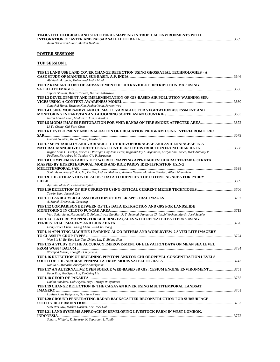| TH4.8.5 LITHOLOGICAL AND STRUCTURAL MAPPING IN TROPICAL ENVIRONMENTS WITH |      |
|---------------------------------------------------------------------------|------|
| <b>INTEGRATION OF ASTER AND PALSAR SATELLITE DATA</b>                     | 3639 |

*Amin Beiranvand Pour, Mazlan Hashim* 

# **POSTER SESSIONS**

# **TUP SESSION 1**

| TUP1.1 LAND USE LAND COVER CHANGE DETECTION USING GEOSPATIAL TECHNOLOGIES - A                                           |  |
|-------------------------------------------------------------------------------------------------------------------------|--|
|                                                                                                                         |  |
| Abhilash Maryada, Mohammed Abdul Moid                                                                                   |  |
| TUP1.2 RESEARCH ON THE ADVANCEMENT OF ULTRAVIOLET DISTRIBUTION MAP USING                                                |  |
|                                                                                                                         |  |
| Teppei Ishiuchi, Masaru Takata, Haruka Nakazawa                                                                         |  |
| TUP1.3 DEVELOPMENT AND IMPLEMENTATION OF GIS-BASED AIR POLLUTION WARNING SER-                                           |  |
|                                                                                                                         |  |
| Sungchul Hong, Taehoon Kim, Junhee Youn, Jeyoon Woo                                                                     |  |
| TUP1.4 USING MODIS-NDVI AND CLIMATIC VARIABLES FOR VEGETATION ASSESSMENT AND                                            |  |
|                                                                                                                         |  |
| Imran Ahmed Khan, Mudassar Hassan Arsalan                                                                               |  |
| TUP1.5 MODIS IMAGES RESTORATION FOR VNIR BANDS ON FIRE SMOKE AFFECTED AREA3672                                          |  |
| Li-Yu Chang, Chi-Farn Chen                                                                                              |  |
| TUP1.6 DEVELOPMENT AND EVALUATION OF EDU-CATION PROGRAM USING INTERFEROMETRIC                                           |  |
|                                                                                                                         |  |
| Hiroshi Ikemitsu, Kenta Nango, Yosuke Ito                                                                               |  |
| TUP1.7 SEPARABILITY AND VARIABILITY OF RHIZOPHORACEAE AND AVICENNIACEAE IN A                                            |  |
|                                                                                                                         |  |
| Regine Anne G. Faelga, Enrico C. Paringit, Gay Jane Perez, Reginald Jay L. Argamosa, Carlyn Ann Ibanez, Mark Anthony V. |  |
| Posilero, Fe Andrea M. Tandoc, Gio P. Zaragosa                                                                          |  |
| TUP1.8 COMPLEMENTARITY OF TWO RICE MAPPING APPROACHES: CHARACTERIZING STRATA                                            |  |
| MAPPED BY HYPERTEMPORAL MODIS AND RICE PADDY IDENTIFICATION USING                                                       |  |
|                                                                                                                         |  |
| Sonia Asilo, Kees (C. A. J. M.) De Bie, Andrew Skidmore, Andrew Nelson, Massimo Barbieri, Aileen Maunahan               |  |
| TUP1.9 THE UTILIZATION OF ALOS-2 DATA TO IDENTIFY THE POTENTIAL AREA FOR PADDY                                          |  |
|                                                                                                                         |  |
| Agustan, Mubekti, Lena Sumargana                                                                                        |  |
|                                                                                                                         |  |
| Taerim Kim, Jaehyuk Lee                                                                                                 |  |
|                                                                                                                         |  |
| A. Munkh-Erdene, M. Ganzorig                                                                                            |  |
| TUP1.12 COMPARISON BETWEEN OF TLS DATA EXTRACTION AND GPS FOR LANDSLIDE                                                 |  |
| Vera Sadarviana, Hasanuddin Z. Abidin, Irwan Gumilar, R. T. Achmad, Pangeran Christofel Yoshua, Martin Josef Schuler    |  |
|                                                                                                                         |  |
| TUP1.13 TEXTURE MAPPING FOR BUILDING FAÇADES WITH REPEATED PATTERNS USING                                               |  |
|                                                                                                                         |  |
| Liang-Chien Chen, Li-Ling Chan, Wen-Chi Chang                                                                           |  |
| TUP1.14 APPLYING MACHINE LEARNING ALGO-RITHMS AND WORLDVIEW-2 SATELLITE IMAGERY                                         |  |
| Wen-Lin Li, Re-Yang Lee, Tsu-Chiang Lei, Yi-Shiang Shiu                                                                 |  |
| TUP1.15 A STUDY OF THE ACCURACY IMPROVE-MENT OF ELEVATION DATA ON MEAN SEA LEVEL                                        |  |
|                                                                                                                         |  |
| Worapod Masiri, Thongthit Chayakula                                                                                     |  |
|                                                                                                                         |  |
| TUP1.16 DETECTION OF DECLINING PHYTOPLANKTON CHLOROPHYLL CONCENTRATION LEVELS                                           |  |
| Nabila Al-Maharbi, Abdelgadir Abuelgasim                                                                                |  |
| TUP1.17 AN ALTERNATIVE OPEN SOURCE WEB-BASED 3D GIS: CESIUM ENGINE ENVIRONMENT 3751                                     |  |
| Fuan Tsai, Jhe-Syuan Lai, Yu-Ching Liu                                                                                  |  |
|                                                                                                                         |  |
| Dadan Ramdani, Yadi Aryadi, Bayu Triyogo Widyantoro                                                                     |  |
|                                                                                                                         |  |
| TUP1.19 CHANGE DETECTION IN THE CAGAYAN RIVER USING MULTITEMPORAL LANDSAT                                               |  |
| Louisse Anne Fulgencio, Gay Jane Perez                                                                                  |  |
| TUP1.20 GROUND PENETRATING RADAR BACKSCATTER RECONSTRUCTION FOR SUBSURFACE                                              |  |
|                                                                                                                         |  |
| Siow Wei Jaw, Mazlan Hashim, Kee Hock Goh                                                                               |  |
| TUP1.21 LAND SYSTEMS APPROACH IN DEVELOPING LIVESTOCK FARM IN WEST LOMBOK,                                              |  |
|                                                                                                                         |  |
| Suharto Widjojo, K. Sunarto, N. Supardan, I. Nahib                                                                      |  |
|                                                                                                                         |  |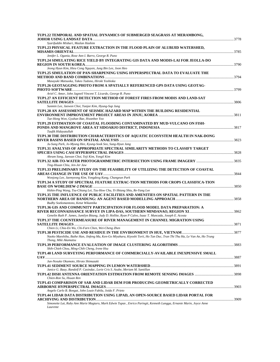| TUP1.22 TEMPORAL AND SPATIAL DYNAMICS OF SUBMERGED SEAGRASS AT MERAMBONG,                                               |      |
|-------------------------------------------------------------------------------------------------------------------------|------|
| Syarifuddin Misbari, Mazlan Hashim                                                                                      |      |
| TUP1.23 PHYSICAL FEATURE EXTRACTION IN THE FLOOD PLAIN OF ALUBIJID WATERSHED,                                           |      |
|                                                                                                                         | 3785 |
| Jenifer L. Ogania, Rose Ann I. Barro, George R. Puno                                                                    |      |
| TUP1.24 SIMULATING RICE YIELD BY INTEGRATING GIS DATA AND MODIS-LAI FOR JEOLLA-DO                                       |      |
|                                                                                                                         |      |
| Jeong Hyun Kim, Hieu Cong Nguyen, Jung Bin Lee, Joon Heo                                                                |      |
| TUP1.25 SIMULATION OF PAN-SHARPENING USING HYPERSPECTRAL DATA TO EVALUATE THE                                           |      |
|                                                                                                                         |      |
| Masayuki Matsuoka, Takeo Tadono, Hiroki Yoshioka                                                                        |      |
| TUP1.26 GEOTAGGING PHOTO FROM A SPATIALLY REFERENCED GPS DATA USING GEOTAG-                                             |      |
|                                                                                                                         |      |
| Ariel C. Amor, John Jagneil Vincent T. Licardo, George R. Puno                                                          |      |
| TUP1.27 AN EFFICIENT DETECTION METHOD OF FOREST FIRES FROM MODIS AND LAND-SAT                                           |      |
|                                                                                                                         |      |
| Sunmin Lee, Jaewon Choi, Yunjee Kim, Hyung-Sup Jung                                                                     |      |
| TUP1.28 AN ASSESSMENT OF SEISMIC HAZARD MAP WITHIN THE BUILDING RESIDENTIAL                                             |      |
|                                                                                                                         |      |
| Tae-Hong Won, Gyuhan Bae, Hwanhee Yoo                                                                                   |      |
| TUP1.29 ESTIMATION OF COASTAL FLOODING CONTAMINATED BY MUD-VULCANO ON FISH-                                             |      |
|                                                                                                                         |      |
| Taufik Hidayatullah                                                                                                     |      |
| TUP1.30 THE DISTRIBUTION CHARACTERISTICS OF AQUATIC ECOSYSTEM HEALTH IN NAK-DONG                                        |      |
|                                                                                                                         |      |
| Ju-Sung Park, Jo-Myung Hee, Kyung-Sook Seo, Sung-Hyun Jang                                                              |      |
| TUP1.31 ANALYSIS OF APPROPRIATE SPECTRAL SIMILARITY METHODS TO CLASSIFY TARGET                                          |      |
|                                                                                                                         |      |
| Ahram Song, Jaewan Choi, Yeji Kim, Yongil Kim                                                                           |      |
|                                                                                                                         |      |
| Ting-Hsuan Chiu, Jen-Jer Jaw                                                                                            |      |
| TUP1.33 PRELIMINARY STUDY ON THE FEASIBILITY OF UTILIZING THE DETECTION OF COASTAL                                      |      |
|                                                                                                                         |      |
| Wonjong Lee, Jaemyeong Kim, Yongdeog Kang, Changeun Park                                                                |      |
| TUP1.34 A STUDY OF SPECTRAL FEATURE EXTRAC-TION METHODS FOR CROPS CLASSIFICA-TION                                       |      |
|                                                                                                                         |      |
| Hshin-Ping Wang, Tsu-Chiang Lei, Tzu-How Chu, Yi-Shiang Shiu, Re-Yang Lee                                               |      |
| TUP1.35 THE INFLUENCE OF PUBLIC FACILITIES AND AMENITIES ON SPATIAL PATTERN IN THE                                      |      |
|                                                                                                                         |      |
| Budhy Soeksmantono, Ketut Wikantika                                                                                     |      |
| TUP1.36 GIS AND COMMUNITY PARTICIPATION FOR FLOOD MODEL DATA PREPARATION: A                                             |      |
|                                                                                                                         |      |
| Genelin Ruth P. James, Jumilyn Bitang, Judy D. Hollite, Ryan P Calvo, Isaac T. Muncada, Joseph E. Acosta                |      |
| TUP1.37 THE COUNTERMEASURE OF RIVER MANAGEMENT IN CHANNEL MIGRATION USING                                               |      |
|                                                                                                                         |      |
| Chien Li, Chia-En Wu, Chi-Farn Chen, Wei-Cheng Zhen                                                                     |      |
|                                                                                                                         |      |
| Naoko Maeshibu, Baihe Han, Jinfeng Ma, Ken-Go Miyahara, Kiyoshi Torii, Ho Tan Duc, Tran Thi Thu Ha, Le Van An, Ho Trung |      |
| Thong, Miki Akamatsu                                                                                                    |      |
|                                                                                                                         |      |
| Shih-Chieh Chou, Ming-Chih Cheng, Irene Hsu                                                                             |      |
| TUP1.40 LAND SURVEYING PERFORMANCE OF COMMERCIALLY-AVAILABLE INEXPENSIVE SMALL                                          |      |
|                                                                                                                         |      |
| Jun-Nosuke Okamoto, Hiroto Shimazaki                                                                                    |      |
|                                                                                                                         |      |
| Janice G. Baay, Randolf P. Casindac, Lorie Cris S. Asube, Meriam M. Santillan                                           |      |
|                                                                                                                         |      |
| Chien-Ron Su, Hsuan Ren                                                                                                 |      |
| TUP1.43 COMPARISON OF SAR AND LIDAR DEM FOR PRODUCING GEOMETRICALLY CORRECTED                                           |      |
|                                                                                                                         |      |
| Angelo Carlo B. Bongat, John Louie Fabila, Joida F. Prieto                                                              |      |
| TUP1.44 LIDAR DATA DISTRIBUTION USING LIPAD, AN OPEN-SOURCE BASED LIDAR PORTAL FOR                                      |      |
|                                                                                                                         |      |
| Simonette Lat, Ruby Ann Marie Magturo, Mark Edwin Tupas, Enrico Paringit, Kenneth Langga, Ernanie Marin, Joyce Anne     |      |
| Laurente                                                                                                                |      |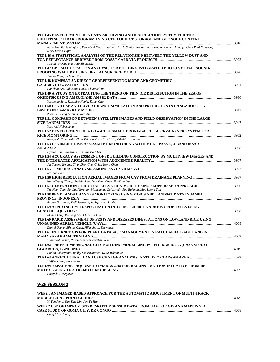| Ruby Ann Marie Magturo, Ken Abryl Eleazar Salanio, Carlo Santos, Kenan Biel Virtucio, Kenneth Langga, Gene Paul Quevedo,<br>Mark Edwin Tupas<br>TUP1.46 A STATISTICAL ANALYSIS OF THE RELATIONSHIP BETWEEN THE YELLOW DUST AND<br>Tatsuhiro Ogawa, Hiroto Shimazaki<br>TUP1.47 OPTIMAL LOCATION ANALYSIS FOR BUILDING INTEGRATED PHOTO VOLTAIC SOUND-<br>Junhee Youn, Je Yoon Woo<br>TUP1.48 KOMPSAT-3A DIRECT GEOREFERENCING MODE AND GEOMETRIC<br>Doochun Seo, Gibyeong Hong, Chunggil Jin<br>TUP1.49 A STUDY ON EXTRACTING THE TREND OF THIN ICE DISTRIBUTION IN THE SEA OF<br>Yasutomo Sato, Kazuhiro Naoki, Kohei Cho<br>TUP1.50 LAND USE AND COVER CHANGE SIMULATION AND PREDICTION IN HANGZHOU CITY<br>Zhou Lei, Fang Guohua, Wen Xin<br>TUP1.51 COMPARISON BETWEEN SATELLITE IMAGES AND FIELD OBSERVATION IN THE LARGE<br>Yasuyuki Nabeshima<br>TUP1.52 DEVELOPMENT OF A LOW-COST SMALL DRONE-BASED LASER-SCANNER SYSTEM FOR<br>Kazuyoshi Takahashi, Phan Thi Anh Thu, Hiroki Irie, Takahiro Yamada<br>TUP1.53 LANDSLIDE RISK ASSESSMENT MONITORING WITH MULTIPASS L, X BAND INSAR<br>Hyewon Yun, Jungrack Kim, Yunsoo Choi<br>TUP1.54 ACCURACY ASSESSMENT OF 3D BUILDING CONSTRUCTION BY MULTIVIEW IMAGES AND<br>Jin-Tseong Hwang, Ting-Chen Chu, Chien-Hong Chen<br>Masood Bari<br>Kuan-Tsung Chang, Ge-Wen Lee, Ben-Kang Chen, Jin-King Liu<br>Tze Huey Tam, Ab. Latif Ibrahim, Muhammad Zulkarnain Abd Rahman, Mou Leong Tan<br>TUP1.58 PEAT LANDS CHANGES MONITORING USING MODIS AND LANDSAT DATA IN JAMBI<br>Annisa Nurdiana, Yudi Setiawan, M. Irfansyah Lubis<br>TUP1.59 APPLYING HYPERSPECTRAL DATA TO IN-TERPRET VARIOUS CROP TYPES USING<br>I-Chen Yang, Re-Yang Lee, Chia-Hui Hsu<br>TUP1.60 RAPID ASSESSMENT OF PESTS AND DISEASES INFESTATIONS ON LOWLAND RICE USING<br>Daniel Useng, Sikstus Gusli, Hikmah Ali, Darmawan<br>TUP1.61 INTERNET GIS FOR PLANT DATABASE MANAGEMENT IN RATCHAPHATSADU LAND IN<br>MAHA SARAKHAM, THAILAND<br>Thanawut Saisud, Rasamee Suwanwerakamtorn<br>TUP1.62 THREE DIMENSIONAL CITY BUILDING MODELLING WITH LIDAR DATA (CASE STUDY:<br>Hudan Asharyanto, Budhy Soeksmantono, Ketut Wikantika<br>Yi-Wen Chou, Jihn-Fa Jan<br>TUP1.64 NEPAL EARTHQUAKE 4D-IMADAS 2015 FOR RECONSTRUCTION INITIATIVE FROM RE- | TUP1.45 DEVELOPMENT OF A DATA ARCHIVING AND DISTRIBUTION SYSTEM FOR THE<br>PHILIPPINES' LIDAR PROGRAM USING CEPH OBJECT STORAGE AND GEONODE CONTENT |      |
|------------------------------------------------------------------------------------------------------------------------------------------------------------------------------------------------------------------------------------------------------------------------------------------------------------------------------------------------------------------------------------------------------------------------------------------------------------------------------------------------------------------------------------------------------------------------------------------------------------------------------------------------------------------------------------------------------------------------------------------------------------------------------------------------------------------------------------------------------------------------------------------------------------------------------------------------------------------------------------------------------------------------------------------------------------------------------------------------------------------------------------------------------------------------------------------------------------------------------------------------------------------------------------------------------------------------------------------------------------------------------------------------------------------------------------------------------------------------------------------------------------------------------------------------------------------------------------------------------------------------------------------------------------------------------------------------------------------------------------------------------------------------------------------------------------------------------------------------------------------------------------------------------------------------------------------------------------------------------------------------------------------------------------------------------------------------------------------------------------------------------------------------------------------------------------------------------------------------------------------------------------------|-----------------------------------------------------------------------------------------------------------------------------------------------------|------|
|                                                                                                                                                                                                                                                                                                                                                                                                                                                                                                                                                                                                                                                                                                                                                                                                                                                                                                                                                                                                                                                                                                                                                                                                                                                                                                                                                                                                                                                                                                                                                                                                                                                                                                                                                                                                                                                                                                                                                                                                                                                                                                                                                                                                                                                                  |                                                                                                                                                     |      |
|                                                                                                                                                                                                                                                                                                                                                                                                                                                                                                                                                                                                                                                                                                                                                                                                                                                                                                                                                                                                                                                                                                                                                                                                                                                                                                                                                                                                                                                                                                                                                                                                                                                                                                                                                                                                                                                                                                                                                                                                                                                                                                                                                                                                                                                                  |                                                                                                                                                     |      |
|                                                                                                                                                                                                                                                                                                                                                                                                                                                                                                                                                                                                                                                                                                                                                                                                                                                                                                                                                                                                                                                                                                                                                                                                                                                                                                                                                                                                                                                                                                                                                                                                                                                                                                                                                                                                                                                                                                                                                                                                                                                                                                                                                                                                                                                                  |                                                                                                                                                     |      |
|                                                                                                                                                                                                                                                                                                                                                                                                                                                                                                                                                                                                                                                                                                                                                                                                                                                                                                                                                                                                                                                                                                                                                                                                                                                                                                                                                                                                                                                                                                                                                                                                                                                                                                                                                                                                                                                                                                                                                                                                                                                                                                                                                                                                                                                                  |                                                                                                                                                     |      |
|                                                                                                                                                                                                                                                                                                                                                                                                                                                                                                                                                                                                                                                                                                                                                                                                                                                                                                                                                                                                                                                                                                                                                                                                                                                                                                                                                                                                                                                                                                                                                                                                                                                                                                                                                                                                                                                                                                                                                                                                                                                                                                                                                                                                                                                                  |                                                                                                                                                     |      |
|                                                                                                                                                                                                                                                                                                                                                                                                                                                                                                                                                                                                                                                                                                                                                                                                                                                                                                                                                                                                                                                                                                                                                                                                                                                                                                                                                                                                                                                                                                                                                                                                                                                                                                                                                                                                                                                                                                                                                                                                                                                                                                                                                                                                                                                                  |                                                                                                                                                     |      |
|                                                                                                                                                                                                                                                                                                                                                                                                                                                                                                                                                                                                                                                                                                                                                                                                                                                                                                                                                                                                                                                                                                                                                                                                                                                                                                                                                                                                                                                                                                                                                                                                                                                                                                                                                                                                                                                                                                                                                                                                                                                                                                                                                                                                                                                                  |                                                                                                                                                     |      |
|                                                                                                                                                                                                                                                                                                                                                                                                                                                                                                                                                                                                                                                                                                                                                                                                                                                                                                                                                                                                                                                                                                                                                                                                                                                                                                                                                                                                                                                                                                                                                                                                                                                                                                                                                                                                                                                                                                                                                                                                                                                                                                                                                                                                                                                                  |                                                                                                                                                     |      |
|                                                                                                                                                                                                                                                                                                                                                                                                                                                                                                                                                                                                                                                                                                                                                                                                                                                                                                                                                                                                                                                                                                                                                                                                                                                                                                                                                                                                                                                                                                                                                                                                                                                                                                                                                                                                                                                                                                                                                                                                                                                                                                                                                                                                                                                                  |                                                                                                                                                     |      |
|                                                                                                                                                                                                                                                                                                                                                                                                                                                                                                                                                                                                                                                                                                                                                                                                                                                                                                                                                                                                                                                                                                                                                                                                                                                                                                                                                                                                                                                                                                                                                                                                                                                                                                                                                                                                                                                                                                                                                                                                                                                                                                                                                                                                                                                                  |                                                                                                                                                     |      |
|                                                                                                                                                                                                                                                                                                                                                                                                                                                                                                                                                                                                                                                                                                                                                                                                                                                                                                                                                                                                                                                                                                                                                                                                                                                                                                                                                                                                                                                                                                                                                                                                                                                                                                                                                                                                                                                                                                                                                                                                                                                                                                                                                                                                                                                                  |                                                                                                                                                     |      |
|                                                                                                                                                                                                                                                                                                                                                                                                                                                                                                                                                                                                                                                                                                                                                                                                                                                                                                                                                                                                                                                                                                                                                                                                                                                                                                                                                                                                                                                                                                                                                                                                                                                                                                                                                                                                                                                                                                                                                                                                                                                                                                                                                                                                                                                                  |                                                                                                                                                     |      |
|                                                                                                                                                                                                                                                                                                                                                                                                                                                                                                                                                                                                                                                                                                                                                                                                                                                                                                                                                                                                                                                                                                                                                                                                                                                                                                                                                                                                                                                                                                                                                                                                                                                                                                                                                                                                                                                                                                                                                                                                                                                                                                                                                                                                                                                                  |                                                                                                                                                     |      |
|                                                                                                                                                                                                                                                                                                                                                                                                                                                                                                                                                                                                                                                                                                                                                                                                                                                                                                                                                                                                                                                                                                                                                                                                                                                                                                                                                                                                                                                                                                                                                                                                                                                                                                                                                                                                                                                                                                                                                                                                                                                                                                                                                                                                                                                                  |                                                                                                                                                     |      |
|                                                                                                                                                                                                                                                                                                                                                                                                                                                                                                                                                                                                                                                                                                                                                                                                                                                                                                                                                                                                                                                                                                                                                                                                                                                                                                                                                                                                                                                                                                                                                                                                                                                                                                                                                                                                                                                                                                                                                                                                                                                                                                                                                                                                                                                                  |                                                                                                                                                     |      |
|                                                                                                                                                                                                                                                                                                                                                                                                                                                                                                                                                                                                                                                                                                                                                                                                                                                                                                                                                                                                                                                                                                                                                                                                                                                                                                                                                                                                                                                                                                                                                                                                                                                                                                                                                                                                                                                                                                                                                                                                                                                                                                                                                                                                                                                                  |                                                                                                                                                     |      |
|                                                                                                                                                                                                                                                                                                                                                                                                                                                                                                                                                                                                                                                                                                                                                                                                                                                                                                                                                                                                                                                                                                                                                                                                                                                                                                                                                                                                                                                                                                                                                                                                                                                                                                                                                                                                                                                                                                                                                                                                                                                                                                                                                                                                                                                                  |                                                                                                                                                     |      |
|                                                                                                                                                                                                                                                                                                                                                                                                                                                                                                                                                                                                                                                                                                                                                                                                                                                                                                                                                                                                                                                                                                                                                                                                                                                                                                                                                                                                                                                                                                                                                                                                                                                                                                                                                                                                                                                                                                                                                                                                                                                                                                                                                                                                                                                                  |                                                                                                                                                     |      |
|                                                                                                                                                                                                                                                                                                                                                                                                                                                                                                                                                                                                                                                                                                                                                                                                                                                                                                                                                                                                                                                                                                                                                                                                                                                                                                                                                                                                                                                                                                                                                                                                                                                                                                                                                                                                                                                                                                                                                                                                                                                                                                                                                                                                                                                                  |                                                                                                                                                     |      |
|                                                                                                                                                                                                                                                                                                                                                                                                                                                                                                                                                                                                                                                                                                                                                                                                                                                                                                                                                                                                                                                                                                                                                                                                                                                                                                                                                                                                                                                                                                                                                                                                                                                                                                                                                                                                                                                                                                                                                                                                                                                                                                                                                                                                                                                                  |                                                                                                                                                     |      |
|                                                                                                                                                                                                                                                                                                                                                                                                                                                                                                                                                                                                                                                                                                                                                                                                                                                                                                                                                                                                                                                                                                                                                                                                                                                                                                                                                                                                                                                                                                                                                                                                                                                                                                                                                                                                                                                                                                                                                                                                                                                                                                                                                                                                                                                                  |                                                                                                                                                     |      |
|                                                                                                                                                                                                                                                                                                                                                                                                                                                                                                                                                                                                                                                                                                                                                                                                                                                                                                                                                                                                                                                                                                                                                                                                                                                                                                                                                                                                                                                                                                                                                                                                                                                                                                                                                                                                                                                                                                                                                                                                                                                                                                                                                                                                                                                                  |                                                                                                                                                     |      |
|                                                                                                                                                                                                                                                                                                                                                                                                                                                                                                                                                                                                                                                                                                                                                                                                                                                                                                                                                                                                                                                                                                                                                                                                                                                                                                                                                                                                                                                                                                                                                                                                                                                                                                                                                                                                                                                                                                                                                                                                                                                                                                                                                                                                                                                                  |                                                                                                                                                     |      |
|                                                                                                                                                                                                                                                                                                                                                                                                                                                                                                                                                                                                                                                                                                                                                                                                                                                                                                                                                                                                                                                                                                                                                                                                                                                                                                                                                                                                                                                                                                                                                                                                                                                                                                                                                                                                                                                                                                                                                                                                                                                                                                                                                                                                                                                                  |                                                                                                                                                     |      |
|                                                                                                                                                                                                                                                                                                                                                                                                                                                                                                                                                                                                                                                                                                                                                                                                                                                                                                                                                                                                                                                                                                                                                                                                                                                                                                                                                                                                                                                                                                                                                                                                                                                                                                                                                                                                                                                                                                                                                                                                                                                                                                                                                                                                                                                                  |                                                                                                                                                     | 4009 |
|                                                                                                                                                                                                                                                                                                                                                                                                                                                                                                                                                                                                                                                                                                                                                                                                                                                                                                                                                                                                                                                                                                                                                                                                                                                                                                                                                                                                                                                                                                                                                                                                                                                                                                                                                                                                                                                                                                                                                                                                                                                                                                                                                                                                                                                                  |                                                                                                                                                     |      |
|                                                                                                                                                                                                                                                                                                                                                                                                                                                                                                                                                                                                                                                                                                                                                                                                                                                                                                                                                                                                                                                                                                                                                                                                                                                                                                                                                                                                                                                                                                                                                                                                                                                                                                                                                                                                                                                                                                                                                                                                                                                                                                                                                                                                                                                                  |                                                                                                                                                     |      |
|                                                                                                                                                                                                                                                                                                                                                                                                                                                                                                                                                                                                                                                                                                                                                                                                                                                                                                                                                                                                                                                                                                                                                                                                                                                                                                                                                                                                                                                                                                                                                                                                                                                                                                                                                                                                                                                                                                                                                                                                                                                                                                                                                                                                                                                                  |                                                                                                                                                     |      |
|                                                                                                                                                                                                                                                                                                                                                                                                                                                                                                                                                                                                                                                                                                                                                                                                                                                                                                                                                                                                                                                                                                                                                                                                                                                                                                                                                                                                                                                                                                                                                                                                                                                                                                                                                                                                                                                                                                                                                                                                                                                                                                                                                                                                                                                                  |                                                                                                                                                     |      |
| <b>ITIOD COOL</b>                                                                                                                                                                                                                                                                                                                                                                                                                                                                                                                                                                                                                                                                                                                                                                                                                                                                                                                                                                                                                                                                                                                                                                                                                                                                                                                                                                                                                                                                                                                                                                                                                                                                                                                                                                                                                                                                                                                                                                                                                                                                                                                                                                                                                                                | Hiroyuki Hasegawa                                                                                                                                   |      |

#### **WEP SESSION 2**

| WEP2.1 AN IMAGED-BASED APPROACH FOR THE AUTOMATIC ADJUSTMENT OF MULTI-TRACK   |      |
|-------------------------------------------------------------------------------|------|
|                                                                               | 4049 |
| Yi-Yen Peng, Yan-Ting Lin, Jen-Yu Han                                         |      |
| WEP2.2 USE OF IMPROVISED REMOTELY SENSED DATA FROM UAV FOR GIS AND MAPPING, A |      |
|                                                                               | 4058 |
| Cung Chin Thang                                                               |      |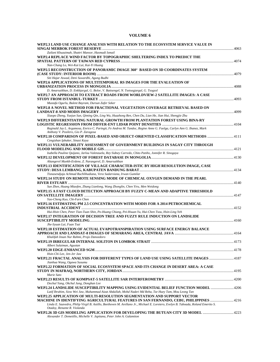# **VOLUME 6**

| WEP2.3 LAND USE CHANGE ANALYSIS WITH RELATION TO THE ECOSYSTEM SERVICE VALUE IN                                                                                                                |  |
|------------------------------------------------------------------------------------------------------------------------------------------------------------------------------------------------|--|
| Zailani Khuzaimah, Shattri Mansor, Hasmadi Ismail                                                                                                                                              |  |
| WEP2.4 REPLACE WIND FACTOR BY TOPOGRAPHIC SHELTERING INDEX TO PREDICT THE                                                                                                                      |  |
| Nan-Chang Lo, Wei-Kai Lai, Kai-Yi Huang                                                                                                                                                        |  |
| WEP2.5 RECONSTRUCTION OF PANORAMIC IMAGE 360° BASED ON 3D COORDINATES SYSTEM<br>Siti Hajar Aswad, Deni Suwardhi, Agung Budhi                                                                   |  |
|                                                                                                                                                                                                |  |
| WEP2.6 APPLICATIONS OF MULTITEMPORAL RS IMAGES FOR THE EVALUATION OF                                                                                                                           |  |
| D. Amarsaikhan, D. Enkhjargal, G. Bolor, V. Battsengel, N. Tsetsegjargal, G. Tsogzol                                                                                                           |  |
| WEP2.7 AN APPROACH TO EXTRACT ROADS FROM WORLDVIEW-2 SATELLITE IMAGES: A CASE                                                                                                                  |  |
|                                                                                                                                                                                                |  |
| Mustafa Ogurlu, Bulent Bayram, Dursun Zafer Seker                                                                                                                                              |  |
| WEP2.8 A NOVEL METHOD FOR FRACTIONAL VEGETATION COVERAGE RETRIEVAL BASED ON                                                                                                                    |  |
| Xiaopo Zheng, Yuejun Sun, Qiming Qin, Ling Wu, Huazhong Ren, Chen Du, Lian He, Jian Hui, Shengjie Zhu                                                                                          |  |
| WEP2.9 DIFFERENTIATING NATURAL GROWTH FROM PLANTATION FOREST USING BINA-RY                                                                                                                     |  |
|                                                                                                                                                                                                |  |
| Reginald Jay L. Argamosa, Enrico C. Paringit, Fe Andrea M. Tandoc, Regine Anne G. Faelga, Carlyn Ann G. Ibanez, Mark<br>Anthony V. Posilero, Gio P. Zaragosa                                   |  |
| WEP2.10 COMPARISON OF PIXEL-BASED AND OBJECT-ORIENTED CLASSIFICATION METHODS 4111<br>Cengizhan Ipbuker, Sinasi Kaya                                                                            |  |
| WEP2.11 VULNERABILITY ASSESSMENT OF GOVERNMENT BUILDINGS IN SAGAY CITY THROUGH                                                                                                                 |  |
|                                                                                                                                                                                                |  |
| Isabella Pauline Quijano, Jarlou Valenzuela, Rey Sidney Carredo, Chito Patiño, Jonnifer R. Sinogaya                                                                                            |  |
|                                                                                                                                                                                                |  |
| Altangerel Munkh-Erdene, Z. Narangerel, D. Amarsaikhan                                                                                                                                         |  |
| WEP2.13 IDENTIFICATION OF VILLAGE CHARACTER-ISTIC BY HIGH RESOLUTION IMAGE, CASE                                                                                                               |  |
|                                                                                                                                                                                                |  |
| Tisnasendjaja Achmad Ruchlihadiana, Vera Sadarviana, Irwan Gumilar<br>WEP2.14 STUDY ON REMOTE SENSING MODE OF CHEMICAL OXYGEN DEMAND IN THE PEARL                                              |  |
|                                                                                                                                                                                                |  |
| Sun Zhen, Huang Miaofen, Zhang Lianlong, Wang Zhonglin, Chen Yiru, Men Weidong                                                                                                                 |  |
| WEP2.15 A FAST CLOUD DETECTION APPROACH BY FUZZY C-MEAN AND ADAPTIVE THRESHOLD                                                                                                                 |  |
|                                                                                                                                                                                                |  |
| Yao-Cheng Kuo, Chi-Farn Chen                                                                                                                                                                   |  |
| WEP2.16 ESTIMATING PM 2.5 CONCENTRATION WITH MODIS FOR A 2014 PETROCHEMICAL                                                                                                                    |  |
|                                                                                                                                                                                                |  |
| Hui-Hsin Chen, Peter Tian-Tuan Shin, Po-Huang Chiang, Pei-Hsuan Yu, Hui-Chen Tsou, Hsin-Ling Yeh                                                                                               |  |
| WEP2.17 INTEGRATION OF DECISION TREE AND FUZZY RULE INDUCTION ON LANDSLIDE                                                                                                                     |  |
|                                                                                                                                                                                                |  |
| Jhe-Syuan Lai, Fuan Tsai                                                                                                                                                                       |  |
| WEP2.18 ESTIMATION OF ACTUAL EVAPOTRANSPIRATION USING SURFACE ENERGY BALANCE                                                                                                                   |  |
|                                                                                                                                                                                                |  |
| Khalifah Insan Nur Rahmi, Projo Danoedoro                                                                                                                                                      |  |
|                                                                                                                                                                                                |  |
| Albert Sulaiman, Agustan                                                                                                                                                                       |  |
|                                                                                                                                                                                                |  |
| Hsin-Chi Lee, Jen-Jer Jaw                                                                                                                                                                      |  |
| WEP2.21 FRACTAL ANALYSIS FOR DIFFERENT TYPES OF LAND USE USING SATELLITE IMAGES 4187                                                                                                           |  |
| Jianhua Wang, Ogawa Susumu                                                                                                                                                                     |  |
| WEP2.22 FORMATION OF SOCIAL ECOSYSTEM SPACE AND ITS CHANGE IN DESERT AREA: A CASE                                                                                                              |  |
|                                                                                                                                                                                                |  |
| Marie Sato                                                                                                                                                                                     |  |
|                                                                                                                                                                                                |  |
| Dochul Yang, Okchul Jung, Donghan Lee                                                                                                                                                          |  |
| WEP2.24 LANDSLIDE SUSCEPTIBILITY MAPPING USING EVIDENTIAL BELIEF FUNCTION MODEL 4206<br>Latif Ibrahim, Siow Wei Jaw, Muhammad Aizat Abdullah, Mohd Nadzri Md Reba, Tze Huey Tam, Mou Leong Tan |  |
| WEP2.25 APPLICATION OF MULTI-RESOLUTION SEGMENTATION AND SUPPORT VECTOR                                                                                                                        |  |
| MACHINE IN IDENTIFYING AGRICULTURAL FEATURES IN SAN FERNANDO, CEBU, PHILIPPINES 4216                                                                                                           |  |
| Linda E. Saavedra, Philip Virgil B. Astillo, Beethoven M. Arellano Jr., Michael E. Loretero, Evelyn B. Taboada, Roland Emerito S.                                                              |  |
| Otadoy, Renante R. Violanda                                                                                                                                                                    |  |
| WEP2.26 3D GIS MODELING APPLICATION FOR DEVELOPING THE BUTUAN CITY 3D MODEL<br>Alexander T. Demetillo, Michelle V. Japitana, Peter John A. Galamiton                                           |  |
|                                                                                                                                                                                                |  |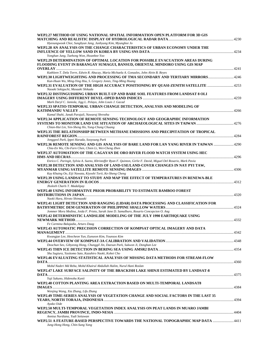| WEP2.27 METHOD OF USING NATIONAL SPATIAL INFORMATION OPEN PLATFORM FOR 3D GIS                                                                                         |  |
|-----------------------------------------------------------------------------------------------------------------------------------------------------------------------|--|
|                                                                                                                                                                       |  |
| Hyeoungwook Choi, Sunghyun Jang, Junhyung Kim, Myunghee Jo                                                                                                            |  |
| WEP2.28 AN ANALYSIS ON THE CHANGE CHARACTERISTICS OF URBAN ECONOMY UNDER THE                                                                                          |  |
|                                                                                                                                                                       |  |
| Yonghan Jung, Taehong Won, Hwanhee Yoo                                                                                                                                |  |
| WEP2.29 DETERMINATION OF OPTIMAL LOCATION FOR POSSIBLE EVACUATION AREAS DURING<br>FLOODING EVENT IN BARANGAY SUMAGUI, BANSUD, ORIENTAL MINDORO USING GIS MAP          |  |
|                                                                                                                                                                       |  |
| Kathleen T. Dela Torre, Edwin R. Abucay, Maria Michaela A. Gonzales, John Alvin B. Reyes                                                                              |  |
|                                                                                                                                                                       |  |
| Kun-Huan Wu, Ming-Ying Hsu, S. Gregory Jones, Ting-Ming Huang                                                                                                         |  |
| WEP2.31 EVALUATION OF THE HIGH ACCURACY POSITIONING BY QUASI-ZENITH SATELLITE 4253                                                                                    |  |
| Naoaki Sekiguchi, Masaaki Shikada                                                                                                                                     |  |
| WEP2.32 DISTINGUISHING URBAN BUILT-UP AND BARE SOIL FEATURES FROM LANDSAT 8 OLI                                                                                       |  |
|                                                                                                                                                                       |  |
| Mark Daryl C. Janiola, Jigg L. Pelayo, John Louis J. Gacad                                                                                                            |  |
| WEP2.33 SPATIO-TEMPORAL URBAN CHANGE DETECTION, ANALYSIS AND MODELING OF                                                                                              |  |
|                                                                                                                                                                       |  |
| Kamal Shahi, Janak Parajuli, Nawaraj Shrestha                                                                                                                         |  |
| WEP2.34 APPLICATION OF REMOTE SENSING TECHNOLOGY AND GEOGRAPHIC INFORMATION                                                                                           |  |
|                                                                                                                                                                       |  |
| Chian-Hui Lin, Yen-Sheng Ho, Yung-Chung Chuang                                                                                                                        |  |
| WEP2.35 THE RELATIONSHIP BETWEEN METHANE EMISSIONS AND PRECIPITATION OF TROPICAL                                                                                      |  |
|                                                                                                                                                                       |  |
| Jonggeol Park, Ippei Harada, Sooyoung Park                                                                                                                            |  |
| WEP2.36 REMOTE SENSING AND GIS ANALYSIS OF BARE LAND FOR LAN YANG RIVER IN TAIWAN 4290<br>Chia-En Wu, Chi-Farn Chen, Chien Li, Wei-Cheng Zhen                         |  |
| WEP2.37 AUTOMATION OF THE CAGAYAN DE ORO RIVER FLOOD WATCH SYSTEM USING HEC                                                                                           |  |
|                                                                                                                                                                       |  |
| Enrico C. Paringit, Sylvia A. Sueno, Khristoffer Ryan F. Quinton, Girlie F. David, Miguel Del Rosario, Mark Pavia                                                     |  |
| WEP2.38 DETECTION AND ANALYSIS OF LAND-USE/LAND-COVER CHANGES IN NAY PYI TAW,                                                                                         |  |
|                                                                                                                                                                       |  |
| Kay Khaing Oo, Eiji Nawata, Kiyoshi Torii, Ke-Sheng Cheng                                                                                                             |  |
| WEP2.39 USING LANDSAT TO STUDY AND MAP THE EFFECT OF TEMPERATURES IN RENEWA-BLE                                                                                       |  |
|                                                                                                                                                                       |  |
| Jholeeh Charls T. Madalipay                                                                                                                                           |  |
| WEP2.40 USING INFORMATIVE PRIOR PROBABILITY TO ESTIMATE BAMBOO FOREST                                                                                                 |  |
|                                                                                                                                                                       |  |
| Naoki Hara, Hiroto Shimazaki                                                                                                                                          |  |
| WEP2.41 LIGHT DETECTION AND RANGING (LIDAR) DATA PROCESSING AND CLASSIFICATION FOR                                                                                    |  |
|                                                                                                                                                                       |  |
| Jommer Mora Medina, Joida F. Prieto, Sarah Jane D. Samalburo, Rosario Concepcion O. Ang<br>WEP2.42 DETERMINISTIC LANDSLIDE MODELING OF THE JULY 1990 EARTHOUAKE USING |  |
|                                                                                                                                                                       |  |
| Fe Carmina Balajadia, Arturo Daag                                                                                                                                     |  |
| WEP2.43 AUTOMATIC PRECISION CORRECTION OF KOMPSAT OPTICAL IMAGERY AND DATA                                                                                            |  |
|                                                                                                                                                                       |  |
| Kwangjae Lee, Heecheon Yun, Eunseon Kim, Younsoo Kim                                                                                                                  |  |
|                                                                                                                                                                       |  |
| Doochun Seo, Gibyeong Hong, Chunggil Jin, Daesun Park, Sukwon Ji, Donghan Lee                                                                                         |  |
|                                                                                                                                                                       |  |
| Shu Sugiura, Yasitomo Sato, Kazuhiro Naoki, Kohei Cho                                                                                                                 |  |
| WEP2.46 EVALUATING STATISTICAL ANALYSIS OF MISSING DATA METHODS FOR STREAM-FLOW                                                                                       |  |
|                                                                                                                                                                       |  |
| Mohd Nadzri Md Reba, Mohd Khairul Abdullah Halim, Nurul Hani Roslan                                                                                                   |  |
| WEP2.47 LAKE SURFACE SALINITY OF THE BRACKISH LAKE SHINJI ESTIMATED BY LANDSAT-8                                                                                      |  |
|                                                                                                                                                                       |  |
| Yuji Sakuno, Hidenobu Kunii                                                                                                                                           |  |
| WEP2.48 COTTON PLANTING AREA EXTRACTION BASED ON MULTI-TEMPORAL LANDSAT8                                                                                              |  |
|                                                                                                                                                                       |  |
| Wenjing Wang, Xia Zhang, Lifu Zhang                                                                                                                                   |  |
| WEP2.49 TIME-SERIES ANALYSIS OF VEGETATION CHANGE AND SOCIAL FACTORS IN THE LAST 35                                                                                   |  |
| Ayako Oide                                                                                                                                                            |  |
| WEP2.50 MULTI-TEMPORAL VEGETATION INDEX ANALYSIS ON PEAT LANDS IN MUARO JAMBI                                                                                         |  |
|                                                                                                                                                                       |  |
| Annisa Nurdiana, Yudi Setiawan                                                                                                                                        |  |
|                                                                                                                                                                       |  |
| WEP2.51 A FEATURE-BASED PERSPECTIVE TOWARDS THE NATIONAL TOPOGRAPHIC MAP DATA  4411                                                                                   |  |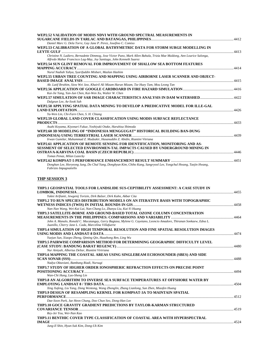| WEP2.52 VALIDATION OF MODIS NDVI WITH GROUND SPECTRAL MEASUREMENTS IN                                                                                                                        |  |
|----------------------------------------------------------------------------------------------------------------------------------------------------------------------------------------------|--|
| Daniel Marc G. Dela Torre, Gay Jane P. Perez, Josefino C. Comiso                                                                                                                             |  |
| WEP2.53 CALIBRATION OF A GLOBAL BATHYMETRIC DATA FOR STORM SURGE MODELLING IN                                                                                                                |  |
| Christine N. Ladiero, Bernadette Dimmog, Jose Victor Puno, Mark Allen Bahala, Trizia Mae Muldong, Ann Lourice Salonga,<br>Alfredo Mahar Francisco Lag-May, Joy Santiago, John Kenneth Suarez |  |
| WEP2.54 SUN GLINT REMOVAL FOR IMPROVEMENT OF SHALLOW SEA BOTTOM FEATURES<br>Nurul Nadiah Yahya, Syarifuddin Misbari, Mazlan Hashim                                                           |  |
| WEP2.55 URBAN TREE COUNTING AND MAPPING USING AIRBORNE LASER SCANNER AND OBJECT-                                                                                                             |  |
| Ab. Latif Ibrahim, Siow Wei Jaw, Khairil Ali Mizam Harun Mizam, Tze Huey Tam, Mou Leong Tan                                                                                                  |  |
| Kai-Jie Yang, Yan-Jun Chen, Kai-Wen Xu, Walter W. Chen                                                                                                                                       |  |
| WEP2.57 SIMULATION OF SAR IMAGE CHARACTERISTICS ANALYSIS IN DAM WATERSHED4422<br>Dalgeun Lee, Ae-Sook Suh                                                                                    |  |
| WEP2.58 APPLYING SPATIAL DATA MINING TO DEVELOP A PREDICATIVE MODEL FOR ILLE-GAL                                                                                                             |  |
| Ya-Wen Lin, Chi-Farn Chen, S. H. Chiang<br>WEP2.59 GLOBAL LAND COVER CLASSIFICATION USING MODIS SURFACE REFLECTANCE                                                                          |  |
| Asahi Koyama, Kiyonari Fukue, Yoshiyuki Otake, Haruhisa Shimoda                                                                                                                              |  |
| WEP2.60 3D MODELING OF "INDONESIA MENGGUGAT" HISTORICAL BUILDING BAN-DUNG                                                                                                                    |  |
| Irwan Gumilar, Muhammad Z. Mudzakir, Hasanuddin Z. Abidin, Riantini Vitriana                                                                                                                 |  |
| WEP2.61 APPLICATION OF REMOTE SENSING FOR IDENTIFICATION, MONITORING AND AS-<br>SESSMENT OF SELECTED ENVIRONMEN-TAL IMPACTS CAUSED BY UNDERGROUND MINING IN                                  |  |
| Tomas Penaz, Milan Lazecky                                                                                                                                                                   |  |
| Donghan Lee, Horyeong Jung, Do Chul Yang, Donghyun Kim, Chiho Kang, Sangryool Lee, Yongchul Hwang, Taejin Hwang,<br>Fabrizio Impagnatiello                                                   |  |
| THP SESSION 3                                                                                                                                                                                |  |
| THP3.1 GEOSPATIAL TOOLS FOR LANDSLIDE SUS-CEPTIBILITY ASSESSMENT: A CASE STUDY IN                                                                                                            |  |
| Yukni Arifianti, Jewgenij Torizin, Dirk Balzer, Dirk Kuhn, Akbar Cita<br>THP3.2 TO RUN SPECIES DISTRIBUTION MODELS ON AN ITERATIVE BASIS WITH TOPOGRAPHIC                                    |  |
| Nan-Nan Wang, Wei-Kai Lai, Nan-Chang Lo, Zhanyu Liu, Kai-Yi Huang                                                                                                                            |  |
| THP3.3 SATELLITE-BORNE AND GROUND-BASED TOTAL OZONE COLUMN CONCENTRATION                                                                                                                     |  |
| John A. Manalo, Ronald C. Macatangay, Gerry Bagtasa, Mylene G. Cayetano, Leoncio Amadore, Thiranan Sonkaew, Edna L.<br>Juanillo, Cherry Jane L. Cada, Marcelina Villafuerte                  |  |
| THP3.4 SIMULATION OF HIGH TEMPORAL RESOLUTION AND FINE SPATIAL RESOLUTION IMAGES                                                                                                             |  |
| Yuejun Sun, Xiaopo Zheng, Qiming Qin, Huazhong Ren, Ling Wu<br>THP3.5 PAIRWISE COMPARISON METHOD FOR DETERMINING GEOGRAPHIC DIFFICULTY LEVEL                                                 |  |
| Nur Ainiyah, Albertus Deliar, Riantini Virtriana                                                                                                                                             |  |
| THP3.6 MAPPING THE COASTAL AREAS USING SINGLEBEAM ECHOSOUNDER (SBES) AND SIDE                                                                                                                |  |
| Nadya Oktaviani, Bambang Riadi, Nursugi<br>THP3.7 STUDY OF HIGHER ORDER IONOSPHERIC REFRACTION EFFECTS ON PRECISE POINT                                                                      |  |
| Wan-Chi Hung, Lao-Sheng Lin                                                                                                                                                                  |  |
| THP3.8 AN ALGORITHM TO INVERSE SEA SURFACE TEMPERATURES AT OFFSHORE WATER BY                                                                                                                 |  |
| Xing Xufeng, Liu Yang, Dong Wentong, Wang Zhonglin, Zhang Lianlong, Sun Zhen, Miaofen Huang                                                                                                  |  |
| THP3.9 DESIGN OF RESAMPLING KERNEL FOR KOMPSAT-3A TO MAINTAIN SPATIAL                                                                                                                        |  |
| Dae-Soon Park, Jae Heon Chung, Doo Chun Seo, Dong-Han Lee<br>THP3.10 GOCE GRAVITY GRADIENT PREDICTIONS BY TAYLOR-KARMAN STRUCTURED                                                           |  |
| Rey-Jer You, Wei-Nan Kao                                                                                                                                                                     |  |
| THP3.11 BENTHIC COVER TYPE CLASSIFICATION OF COASTAL AREA WITH HYPERSPECTRAL                                                                                                                 |  |
|                                                                                                                                                                                              |  |
| Jung-Il Shin, Hyun-Suk Kim, Dong-Uk Kim                                                                                                                                                      |  |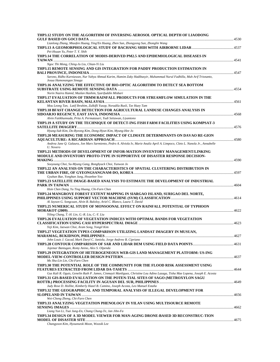| THP3.12 STUDY ON THE ALGORITHM OF INVERSING AEROSOL OPTICAL DEPTH OF LIAODONG                                                                                 |  |
|---------------------------------------------------------------------------------------------------------------------------------------------------------------|--|
| Lianlong Zhang, Miaofen Huang, Ying'En Huang, Zhen Sun, Zhongyong Sun, Zhonglin Wang<br>Pei-Hsuan Yu, Peter T. Y. Shih                                        |  |
| THP3.14 THE CORRELATION OF MODIS-DERIVED PM2.5 AND EPIDEMIOLOGICAL DISEASES IN                                                                                |  |
|                                                                                                                                                               |  |
| Ngoc Thi Mong, Ching-Ju Liu, Chian-Yi Liu<br>THP3.15 REMOTE SENSING AND GIS INTEGRATION FOR PADDY PRODUCTION ESTIMATION IN                                    |  |
|                                                                                                                                                               |  |
| Sarono, Ridho Kurniawan, Nur Yahya Ahmad Karim, Hamim Zaky Hadibasyir, Muhammad Nurul Fadhilla, Muh Arif Trisnanto,<br>Josua Hamonangan Sinaga                |  |
| THP3.16 ANALYZING THE EFFECTIVE OF BIO-OPTIC ALGORITHM TO DETECT SEA BOTTOM                                                                                   |  |
| Norin Nazira Hamid, Mazlan Hashim, Syarifuddin Misbari                                                                                                        |  |
| THP3.17 EVALUATION OF TRMM RAINFALL PRODUCTS FOR STREAMFLOW SIMULATION IN THE                                                                                 |  |
|                                                                                                                                                               |  |
| Mou Leong Tan, Latif Ibrahim, Zulkifli Yusop, Noradila Rusli, Tze Huey Tam<br>THP3.18 BFAST CHANGE DETECTION FOR AGRICULTURAL LANDUSE CHANGES ANALYSIS IN     |  |
|                                                                                                                                                               |  |
| Alvin Fatikhunnada, Prita A. Permatasari, Yudi Setiawan, Liyantono                                                                                            |  |
| THP3.19 A STUDY ON THE TECHNIQUE OF DETECT-ING FISH FARM FACILITIES USING KOMPSAT-3                                                                           |  |
| Hyung-Sub Kim, Do-Ryeong Kim, Dong-Hyun Kim, Myung-Hee Jo                                                                                                     |  |
| THP3.20 MEASURING THE ECONOMIC IMPACT OF CLIMATE DETERMINANTS ON DAVAO RE-GION                                                                                |  |
| Andrea Jane Q. Galaura, Jon Marx Sarmiento, Pedro A. Alviola Iv, Marie Analiz April A. Limpoco, Cleto L. Nanola Jr., Annabelle<br>U. Novero                   |  |
| THP3.21 METHODS OF DEVELOPMENT OF INFOR-MATION INVENTORY MANAGEMENT/LINKING<br>MODULE AND INVENTORY PROTO-TYPE IN SUPPORTIVE OF DISASTER RESPONSE DECISION-   |  |
| Sooyoung Choi, Su-Myung Gang, Bonghyuck Choi, Yunwon Jo                                                                                                       |  |
| THP3.22 AN ANALYSIS ON THE CHARACTERISTICS OF SPATIAL CLUSTERING DISTRIBUTION IN                                                                              |  |
| Gyuhan Bae, Yonghan Jung, Hwanhee Yoo                                                                                                                         |  |
| THP3.23 SATELLITE IMAGE-BASED ANALYSIS TO ESTIMATE THE DEVELOPMENT OF INDUSTRIAL                                                                              |  |
| Hsin Chen Dang, Yu Ting Huang, Chi-Farn Chen                                                                                                                  |  |
| THP3.24 MANGROVE FOREST EXTENT MAPPING IN SIARGAO ISLAND, SURIGAO DEL NORTE,<br>Al Jayson G. Songcuan, Alvin B. Baloloy, Ariel C. Blanco, Laura T. David      |  |
| THP3.25 NUMERICAL STUDY OF MONSOONAL EFFECT ON RAINFALL POTENTIAL OF TYPHOON                                                                                  |  |
|                                                                                                                                                               |  |
| Yiling Chang, T.-H. Lin, G.-R. Liu, C.-Y. Liu                                                                                                                 |  |
| THP3.26 EVALUATION OF VEGETATION INDICES WITH OPTIMAL BANDS FOR VEGETATION<br>Yeji Kim, Jaewan Choi, Aram Song, Yongil Kim                                    |  |
| THP3.27 VEGETATION TYPES COMPARISON UTILIZING LANDSAT IMAGERY IN MUSUAN,                                                                                      |  |
|                                                                                                                                                               |  |
| John Louis J. Gacad, Mark Daryl C. Janiola, Jorge Andrew B. Cipriano                                                                                          |  |
| Jojemar Bantugan, Romy Anino, Alex S. Olpenda                                                                                                                 |  |
| THP3.29 INTEGRATION OF HETEROGENEOUS WEB-GIS LAND MANAGEMENT PLATFORM: US-ING                                                                                 |  |
|                                                                                                                                                               |  |
| Ms Shu-Lin Lin, Chi-Farn Chen                                                                                                                                 |  |
| THP3.30 THE POTENTIAL ROLE OF THE COMMUNITY FOR THE FLOOD RISK ASSESSMENT USING                                                                               |  |
| Gus Kali R. Oguis, Genelin Ruth P. James, Cinmayii Manliguez, Christine Lou Adino Lazaga, Tisha Mae Lopena, Joseph E. Acosta                                  |  |
| THP3.31 GIS-BASED EVALUATION ON THE POTEN-TIAL SITES OF SAGO (METROXYLON SAGU                                                                                 |  |
|                                                                                                                                                               |  |
| Judy Rose D. Hollite, Kimberly Hazel B. Camino, Joseph Acosta, Leo Manuel Estaña<br>THP3.32 THE GEOGRAPHICAL AND TEMPORAL ANALYSIS OF ILLEGAL DEVELOPMENT FOR |  |
|                                                                                                                                                               |  |
| Wei-Cheng Zheng, Chi-Farn Chen                                                                                                                                |  |
| THP3.33 ANALYZING VEGETATION PHENOLOGY IN YILAN USING MULTISOURCE REMOTE                                                                                      |  |
| Liang Yun Li, Tsai Jung-En, Chang Chung-Te, Jan Jihn-Fa                                                                                                       |  |
| THP3.34 DESIGN OF A 3D MODEL VIEWER FOR MAN-AGING DRONE-BASED 3D RECONSTRUC-TION                                                                              |  |
|                                                                                                                                                               |  |
| Changyoon Kim, Hyounseok Moon, Woosik Lee                                                                                                                     |  |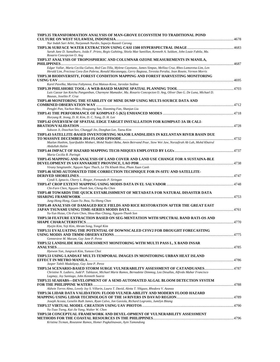| THP3.35 TRANSFORMATION ANALYSIS OF MAN-GROVE ECOSYSTEM TO TRADITIONAL POND                                                                                                                                                                           |  |
|------------------------------------------------------------------------------------------------------------------------------------------------------------------------------------------------------------------------------------------------------|--|
| Nur Indah Sari Arbit, Nurjannah Nurdin, Suparjo Razasli Carong                                                                                                                                                                                       |  |
| Sarah Jane D. Samalburo, Joida F. Prieto, Regis Guhiting, Shiela Mae Santillan, Kenneth A. Suldum, John Louie Fabila, Ma.<br>Rosario Concepcion O. Ang                                                                                               |  |
| THP3.37 ANALYSIS OF TROPOSPHERIC AND COLUMNAR OZONE MEASUREMENTS IN MANILA,                                                                                                                                                                          |  |
| Edgar Vallar, Maria Cecilia Galvez, Red Cas-Tilla, Mylene Cayetano, James Simpas, Melliza Cruz, Rheo Lamorena-Lim, Len<br>Herald Lim, Preciosa Cora-Zon Pabroa, Ronald Macatangay, Gerry Bagtasa, Teresita Peralta, Jean Rosete, Vernon Morris       |  |
| THP3.38 BIODIVERSITY, FOREST CONDITION MAPPING AND FOREST HARVESTING MONITORING                                                                                                                                                                      |  |
| Karel Pavelka, Martina Faltynova, Eva Matous-Kova, Jaroslav Sedina<br>THP3.39 PHILSHORE TOOL: A WEB-BASED MARINE SPATIAL PLANNING TOOL ……………………………………………………4703                                                                                      |  |
| Luis Caezar Ian Ketchu Panganiban, Charmyne Mamador, Ma. Rosario Concepcion O. Ang, Oliver Dan G. De Luna, Michael D.<br>Bausas, Joselito P. Cruz                                                                                                    |  |
| THP3.40 MONITORING THE STABILITY OF MINE DUMP USING MULTI-SOURCE DATA AND                                                                                                                                                                            |  |
| Pengfei Pan, Yachun Mao, Houguang Sun, Xiaoming Fan, Shanjun Liu                                                                                                                                                                                     |  |
| Horyung R. Jeong, D. H. Kim, D. C. Yang, D. H. Lee                                                                                                                                                                                                   |  |
| THP3.42 OVERVIEW OF SPATIAL EDGE TARGET INSTALLATION FOR KOMPSAT-3A IR CALI-                                                                                                                                                                         |  |
| Sukwon Ji, Doochun Seo, Chunggil Jin, Donghan Lee, Taesu Kim<br>THP3.43 SATELLITE-BASED INVENTORYING MAJOR LANDSLIDES IN KELANTAN RIVER BASIN DUE                                                                                                    |  |
| Mazlan Hashim, Syarifuddin Misbari, Mohd Nadzri Reba, Amin Beirvand Pour, Siow Wei Jaw, Norzafirah Ab Lah, Mohd Khairul                                                                                                                              |  |
| Abdullah Halim                                                                                                                                                                                                                                       |  |
| Maria Cecilia R. Paringit                                                                                                                                                                                                                            |  |
| THP3.45 MAPPING AND ANALYSIS OF LAND COVER AND LAND USE CHANGE FOR A SUSTAINA-BLE<br>Virany Sengtianthr, Nguyen Ngoc Thach, Le Thi Khanh Hoa, Pham Xuan Canh                                                                                         |  |
| THP3.46 SEMI-AUTOMATED TIDE CORRECTION TECHNIQUE FOR IN-SITU AND SATELLITE-                                                                                                                                                                          |  |
| Cyndi S. Ignacio, Cherry L. Ringor, Fernando P. Siringan                                                                                                                                                                                             |  |
| Chi-Farn Chen, Nguyen-Thanh Son, Cheng-Ru Chen                                                                                                                                                                                                       |  |
| THP3.48 TOWARDS THE QUICK ESTABLISHMENT OF METADATA FOR NATURAL DISASTER DATA                                                                                                                                                                        |  |
| Jung-Hong Hong, Guan-Yu Jhou, Yu-Sheng Chen<br>THP3.49 ANALYSIS OF DAMAGED RICE FIELDS AND RICE RESTORATION AFTER THE GREAT EAST                                                                                                                     |  |
| Ya-Yun Hsiao, Chi-Farn Chen, Shou-Hao Chiang, Nguyen-Thanh Son                                                                                                                                                                                       |  |
| THP3.50 FEATURE EXTRACTION BASED ON SEG-MENTATION WITH SPECTRAL BAND RATI-OS AND                                                                                                                                                                     |  |
| Hyejin Kim, Yeji Kim, Ahram Song, Yongil Kim<br>THP3.51 EVALUATING THE POTENTIAL OF DOWNSCALED CFSV2 FOR DROUGHT FORECASTING                                                                                                                         |  |
| Gennevieve M. Macam, Gay Jane P. Perez                                                                                                                                                                                                               |  |
| THP3.52 LANDSLIDE RISK ASSESSMENT MONITORING WITH MULTI PASS L, X BAND INSAR                                                                                                                                                                         |  |
| Hyewon Yun, Jungrack Kim, Yunsoo Choi<br>THP3.53 USING LANDSAT MULTI-TEMPORAL IMAGES IN MONITORING URBAN HEAT ISLAND                                                                                                                                 |  |
| Jasper Tabili Madalipay, Gay Jane P. Perez                                                                                                                                                                                                           |  |
| THP3.54 SCENARIO-BASED STORM SURGE VULNERABILITY ASSESSMENT OF CATANDUANES4787<br>Christine N. Ladiero, Judd P. Tablazon, Michael Marie Ramos, Bernadette Dimmog, Lea Desallas, Alfredo Mahar Francisco<br>Lagmay, Joy Santiago, John Kenneth Suarez |  |
| THP3.55 SEAHABS—DEVELOPMENT OF A SEMI-AUTOMATED ALGAL BLOOM DETECTION SYSTEM                                                                                                                                                                         |  |
| Aldwin Torres Almo, Lovely Joy S. Villarin, Laura T. David, Aletta T. Yñiguez, Rhodora V. Azanza<br>THP3.56 LIDAR DATA VALIDATION: FLOOD VULNER-ABILITY AND MODERN FLOOD HAZARD                                                                      |  |
| Joseph Acosta, Genelin Ruth James, Ryan Calvo, Jon Gaviola, Richard Logronio, Jumilyn Bitang                                                                                                                                                         |  |
| Yu-Tsao Tseng, Kai-Jie Yang, Walter W. Chen                                                                                                                                                                                                          |  |
| THP3.58 CONCEPTUAL FRAMEWORK AND DEVEL-OPMENT OF VULNERABILITY ASSESSMENT<br>Kristina Ticman, Roseanne Ramos, Homer Pagkalinawan, Ayin Tamondong                                                                                                     |  |
|                                                                                                                                                                                                                                                      |  |